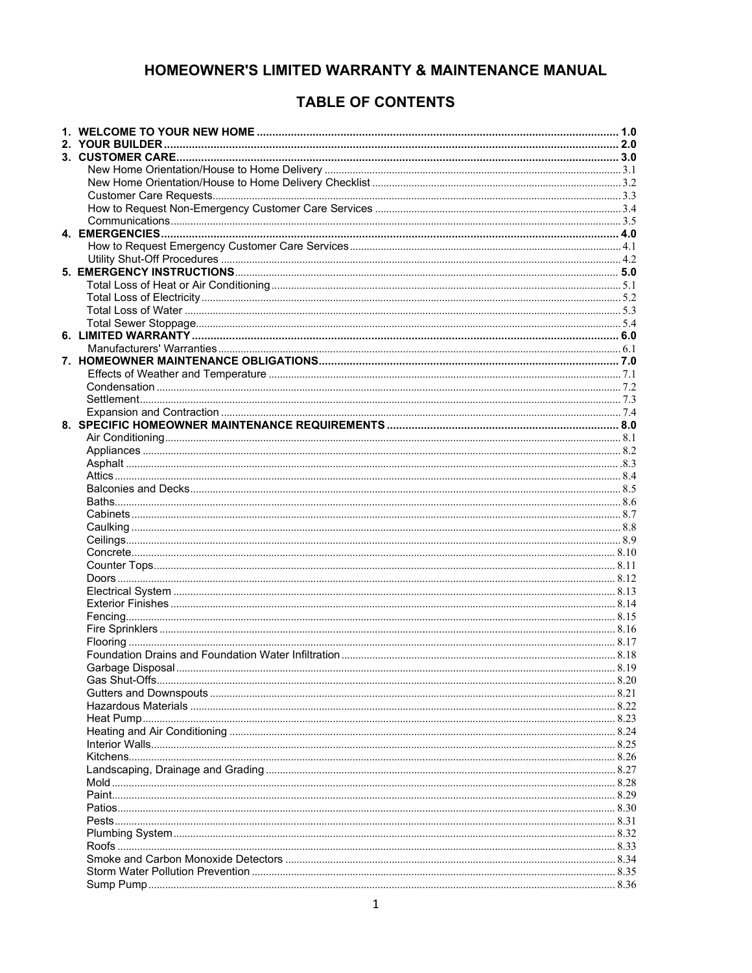# HOMEOWNER'S LIMITED WARRANTY & MAINTENANCE MANUAL

# **TABLE OF CONTENTS**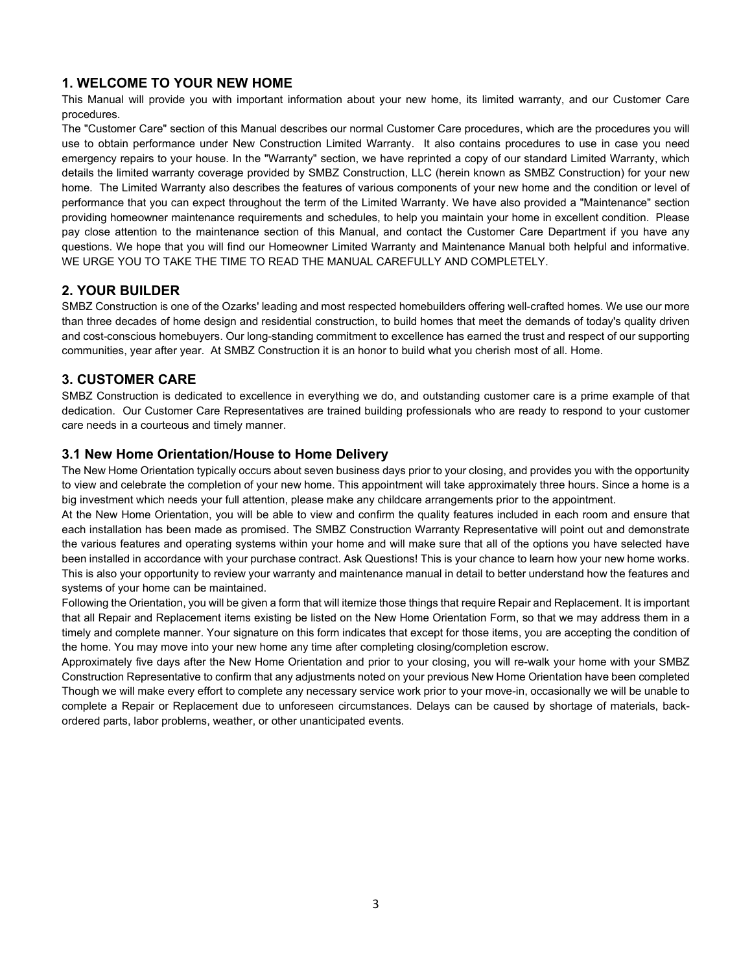## **1. WELCOME TO YOUR NEW HOME**

This Manual will provide you with important information about your new home, its limited warranty, and our Customer Care procedures.

The "Customer Care" section of this Manual describes our normal Customer Care procedures, which are the procedures you will use to obtain performance under New Construction Limited Warranty. It also contains procedures to use in case you need emergency repairs to your house. In the "Warranty" section, we have reprinted a copy of our standard Limited Warranty, which details the limited warranty coverage provided by SMBZ Construction, LLC (herein known as SMBZ Construction) for your new home. The Limited Warranty also describes the features of various components of your new home and the condition or level of performance that you can expect throughout the term of the Limited Warranty. We have also provided a "Maintenance" section providing homeowner maintenance requirements and schedules, to help you maintain your home in excellent condition. Please pay close attention to the maintenance section of this Manual, and contact the Customer Care Department if you have any questions. We hope that you will find our Homeowner Limited Warranty and Maintenance Manual both helpful and informative. WE URGE YOU TO TAKE THE TIME TO READ THE MANUAL CAREFULLY AND COMPLETELY.

## **2. YOUR BUILDER**

SMBZ Construction is one of the Ozarks' leading and most respected homebuilders offering well-crafted homes. We use our more than three decades of home design and residential construction, to build homes that meet the demands of today's quality driven and cost-conscious homebuyers. Our long-standing commitment to excellence has earned the trust and respect of our supporting communities, year after year. At SMBZ Construction it is an honor to build what you cherish most of all. Home.

## **3. CUSTOMER CARE**

SMBZ Construction is dedicated to excellence in everything we do, and outstanding customer care is a prime example of that dedication. Our Customer Care Representatives are trained building professionals who are ready to respond to your customer care needs in a courteous and timely manner.

## **3.1 New Home Orientation/House to Home Delivery**

The New Home Orientation typically occurs about seven business days prior to your closing, and provides you with the opportunity to view and celebrate the completion of your new home. This appointment will take approximately three hours. Since a home is a big investment which needs your full attention, please make any childcare arrangements prior to the appointment.

At the New Home Orientation, you will be able to view and confirm the quality features included in each room and ensure that each installation has been made as promised. The SMBZ Construction Warranty Representative will point out and demonstrate the various features and operating systems within your home and will make sure that all of the options you have selected have been installed in accordance with your purchase contract. Ask Questions! This is your chance to learn how your new home works. This is also your opportunity to review your warranty and maintenance manual in detail to better understand how the features and systems of your home can be maintained.

Following the Orientation, you will be given a form that will itemize those things that require Repair and Replacement. It is important that all Repair and Replacement items existing be listed on the New Home Orientation Form, so that we may address them in a timely and complete manner. Your signature on this form indicates that except for those items, you are accepting the condition of the home. You may move into your new home any time after completing closing/completion escrow.

Approximately five days after the New Home Orientation and prior to your closing, you will re-walk your home with your SMBZ Construction Representative to confirm that any adjustments noted on your previous New Home Orientation have been completed Though we will make every effort to complete any necessary service work prior to your move-in, occasionally we will be unable to complete a Repair or Replacement due to unforeseen circumstances. Delays can be caused by shortage of materials, backordered parts, labor problems, weather, or other unanticipated events.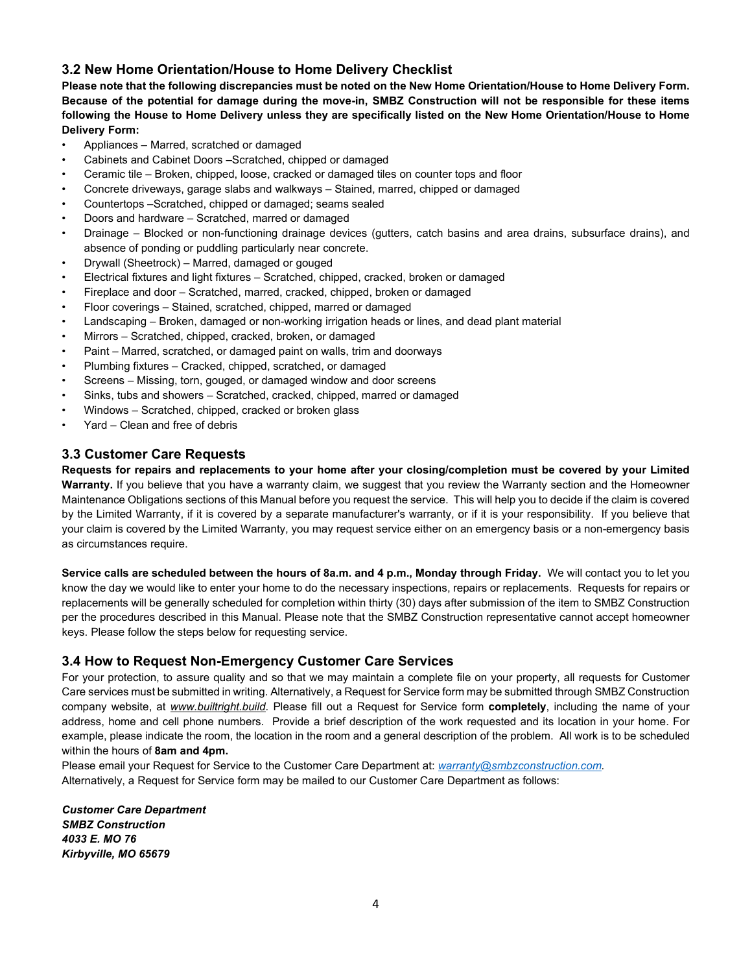## **3.2 New Home Orientation/House to Home Delivery Checklist**

**Please note that the following discrepancies must be noted on the New Home Orientation/House to Home Delivery Form. Because of the potential for damage during the move-in, SMBZ Construction will not be responsible for these items following the House to Home Delivery unless they are specifically listed on the New Home Orientation/House to Home Delivery Form:**

- Appliances Marred, scratched or damaged
- Cabinets and Cabinet Doors –Scratched, chipped or damaged
- Ceramic tile Broken, chipped, loose, cracked or damaged tiles on counter tops and floor
- Concrete driveways, garage slabs and walkways Stained, marred, chipped or damaged
- Countertops –Scratched, chipped or damaged; seams sealed
- Doors and hardware Scratched, marred or damaged
- Drainage Blocked or non-functioning drainage devices (gutters, catch basins and area drains, subsurface drains), and absence of ponding or puddling particularly near concrete.
- Drywall (Sheetrock) Marred, damaged or gouged
- Electrical fixtures and light fixtures Scratched, chipped, cracked, broken or damaged
- Fireplace and door Scratched, marred, cracked, chipped, broken or damaged
- Floor coverings Stained, scratched, chipped, marred or damaged
- Landscaping Broken, damaged or non-working irrigation heads or lines, and dead plant material
- Mirrors Scratched, chipped, cracked, broken, or damaged
- Paint Marred, scratched, or damaged paint on walls, trim and doorways
- Plumbing fixtures Cracked, chipped, scratched, or damaged
- Screens Missing, torn, gouged, or damaged window and door screens
- Sinks, tubs and showers Scratched, cracked, chipped, marred or damaged
- Windows Scratched, chipped, cracked or broken glass
- Yard Clean and free of debris

## **3.3 Customer Care Requests**

**Requests for repairs and replacements to your home after your closing/completion must be covered by your Limited Warranty.** If you believe that you have a warranty claim, we suggest that you review the Warranty section and the Homeowner Maintenance Obligations sections of this Manual before you request the service. This will help you to decide if the claim is covered by the Limited Warranty, if it is covered by a separate manufacturer's warranty, or if it is your responsibility. If you believe that your claim is covered by the Limited Warranty, you may request service either on an emergency basis or a non-emergency basis as circumstances require.

**Service calls are scheduled between the hours of 8a.m. and 4 p.m., Monday through Friday.** We will contact you to let you know the day we would like to enter your home to do the necessary inspections, repairs or replacements. Requests for repairs or replacements will be generally scheduled for completion within thirty (30) days after submission of the item to SMBZ Construction per the procedures described in this Manual. Please note that the SMBZ Construction representative cannot accept homeowner keys. Please follow the steps below for requesting service.

## **3.4 How to Request Non-Emergency Customer Care Services**

For your protection, to assure quality and so that we may maintain a complete file on your property, all requests for Customer Care services must be submitted in writing. Alternatively, a Request for Service form may be submitted through SMBZ Construction company website, at *[www.builtright.build.](http://www.calatlantichomes.com/)* Please fill out a Request for Service form **completely**, including the name of your address, home and cell phone numbers. Provide a brief description of the work requested and its location in your home. For example, please indicate the room, the location in the room and a general description of the problem. All work is to be scheduled within the hours of **8am and 4pm.**

Please email your Request for Service to the Customer Care Department at: *[warranty@smbzconstruction.com.](mailto:warranty@smbzconstruction.com)* Alternatively, a Request for Service form may be mailed to our Customer Care Department as follows:

*Customer Care Department SMBZ Construction 4033 E. MO 76 Kirbyville, MO 65679*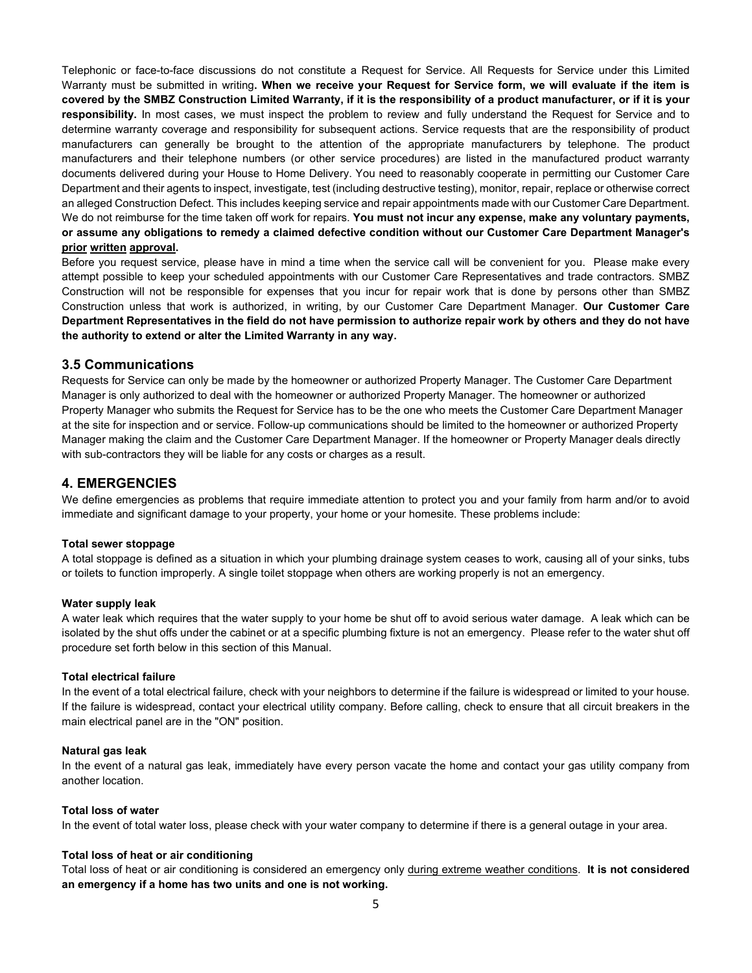Telephonic or face-to-face discussions do not constitute a Request for Service. All Requests for Service under this Limited Warranty must be submitted in writing**. When we receive your Request for Service form, we will evaluate if the item is covered by the SMBZ Construction Limited Warranty, if it is the responsibility of a product manufacturer, or if it is your responsibility.** In most cases, we must inspect the problem to review and fully understand the Request for Service and to determine warranty coverage and responsibility for subsequent actions. Service requests that are the responsibility of product manufacturers can generally be brought to the attention of the appropriate manufacturers by telephone. The product manufacturers and their telephone numbers (or other service procedures) are listed in the manufactured product warranty documents delivered during your House to Home Delivery. You need to reasonably cooperate in permitting our Customer Care Department and their agents to inspect, investigate, test (including destructive testing), monitor, repair, replace or otherwise correct an alleged Construction Defect. This includes keeping service and repair appointments made with our Customer Care Department. We do not reimburse for the time taken off work for repairs. **You must not incur any expense, make any voluntary payments, or assume any obligations to remedy a claimed defective condition without our Customer Care Department Manager's prior written approval.**

Before you request service, please have in mind a time when the service call will be convenient for you. Please make every attempt possible to keep your scheduled appointments with our Customer Care Representatives and trade contractors. SMBZ Construction will not be responsible for expenses that you incur for repair work that is done by persons other than SMBZ Construction unless that work is authorized, in writing, by our Customer Care Department Manager. **Our Customer Care Department Representatives in the field do not have permission to authorize repair work by others and they do not have the authority to extend or alter the Limited Warranty in any way.**

### **3.5 Communications**

Requests for Service can only be made by the homeowner or authorized Property Manager. The Customer Care Department Manager is only authorized to deal with the homeowner or authorized Property Manager. The homeowner or authorized Property Manager who submits the Request for Service has to be the one who meets the Customer Care Department Manager at the site for inspection and or service. Follow-up communications should be limited to the homeowner or authorized Property Manager making the claim and the Customer Care Department Manager. If the homeowner or Property Manager deals directly with sub-contractors they will be liable for any costs or charges as a result.

## **4. EMERGENCIES**

We define emergencies as problems that require immediate attention to protect you and your family from harm and/or to avoid immediate and significant damage to your property, your home or your homesite. These problems include:

#### **Total sewer stoppage**

A total stoppage is defined as a situation in which your plumbing drainage system ceases to work, causing all of your sinks, tubs or toilets to function improperly. A single toilet stoppage when others are working properly is not an emergency.

#### **Water supply leak**

A water leak which requires that the water supply to your home be shut off to avoid serious water damage. A leak which can be isolated by the shut offs under the cabinet or at a specific plumbing fixture is not an emergency. Please refer to the water shut off procedure set forth below in this section of this Manual.

### **Total electrical failure**

In the event of a total electrical failure, check with your neighbors to determine if the failure is widespread or limited to your house. If the failure is widespread, contact your electrical utility company. Before calling, check to ensure that all circuit breakers in the main electrical panel are in the "ON" position.

#### **Natural gas leak**

In the event of a natural gas leak, immediately have every person vacate the home and contact your gas utility company from another location.

### **Total loss of water**

In the event of total water loss, please check with your water company to determine if there is a general outage in your area.

#### **Total loss of heat or air conditioning**

Total loss of heat or air conditioning is considered an emergency only during extreme weather conditions. **It is not considered an emergency if a home has two units and one is not working.**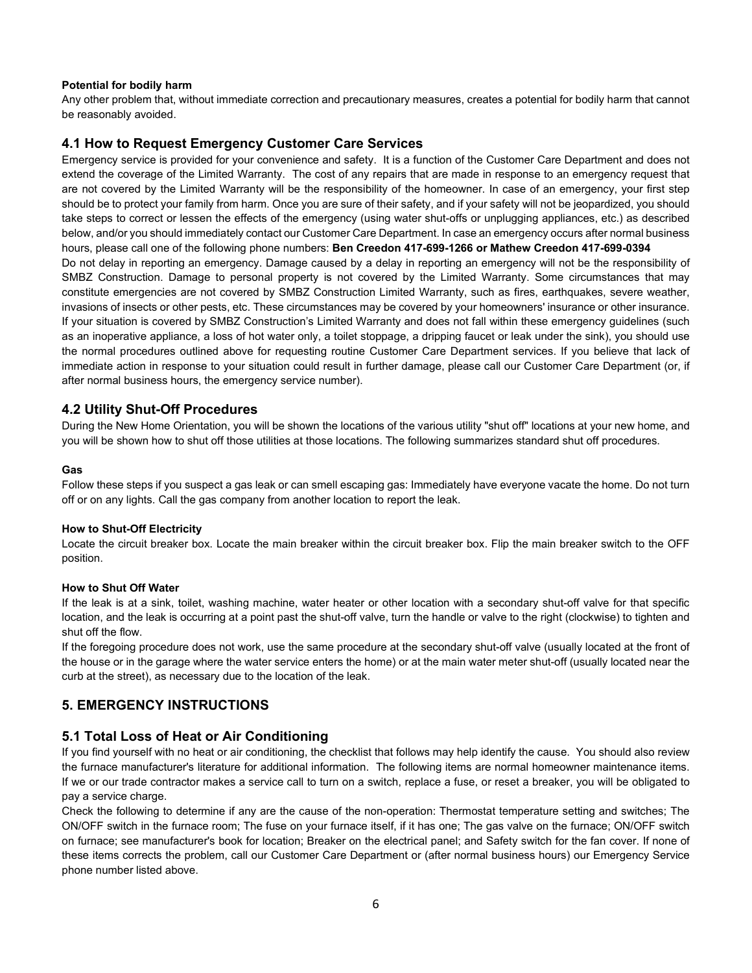### **Potential for bodily harm**

Any other problem that, without immediate correction and precautionary measures, creates a potential for bodily harm that cannot be reasonably avoided.

## **4.1 How to Request Emergency Customer Care Services**

Emergency service is provided for your convenience and safety. It is a function of the Customer Care Department and does not extend the coverage of the Limited Warranty. The cost of any repairs that are made in response to an emergency request that are not covered by the Limited Warranty will be the responsibility of the homeowner. In case of an emergency, your first step should be to protect your family from harm. Once you are sure of their safety, and if your safety will not be jeopardized, you should take steps to correct or lessen the effects of the emergency (using water shut-offs or unplugging appliances, etc.) as described below, and/or you should immediately contact our Customer Care Department. In case an emergency occurs after normal business hours, please call one of the following phone numbers: **Ben Creedon 417-699-1266 or Mathew Creedon 417-699-0394** Do not delay in reporting an emergency. Damage caused by a delay in reporting an emergency will not be the responsibility of SMBZ Construction. Damage to personal property is not covered by the Limited Warranty. Some circumstances that may constitute emergencies are not covered by SMBZ Construction Limited Warranty, such as fires, earthquakes, severe weather, invasions of insects or other pests, etc. These circumstances may be covered by your homeowners' insurance or other insurance. If your situation is covered by SMBZ Construction's Limited Warranty and does not fall within these emergency guidelines (such as an inoperative appliance, a loss of hot water only, a toilet stoppage, a dripping faucet or leak under the sink), you should use the normal procedures outlined above for requesting routine Customer Care Department services. If you believe that lack of immediate action in response to your situation could result in further damage, please call our Customer Care Department (or, if after normal business hours, the emergency service number).

## **4.2 Utility Shut-Off Procedures**

During the New Home Orientation, you will be shown the locations of the various utility "shut off" locations at your new home, and you will be shown how to shut off those utilities at those locations. The following summarizes standard shut off procedures.

### **Gas**

Follow these steps if you suspect a gas leak or can smell escaping gas: Immediately have everyone vacate the home. Do not turn off or on any lights. Call the gas company from another location to report the leak.

### **How to Shut-Off Electricity**

Locate the circuit breaker box. Locate the main breaker within the circuit breaker box. Flip the main breaker switch to the OFF position.

### **How to Shut Off Water**

If the leak is at a sink, toilet, washing machine, water heater or other location with a secondary shut-off valve for that specific location, and the leak is occurring at a point past the shut-off valve, turn the handle or valve to the right (clockwise) to tighten and shut off the flow.

If the foregoing procedure does not work, use the same procedure at the secondary shut-off valve (usually located at the front of the house or in the garage where the water service enters the home) or at the main water meter shut-off (usually located near the curb at the street), as necessary due to the location of the leak.

## **5. EMERGENCY INSTRUCTIONS**

## **5.1 Total Loss of Heat or Air Conditioning**

If you find yourself with no heat or air conditioning, the checklist that follows may help identify the cause. You should also review the furnace manufacturer's literature for additional information. The following items are normal homeowner maintenance items. If we or our trade contractor makes a service call to turn on a switch, replace a fuse, or reset a breaker, you will be obligated to pay a service charge.

Check the following to determine if any are the cause of the non-operation: Thermostat temperature setting and switches; The ON/OFF switch in the furnace room; The fuse on your furnace itself, if it has one; The gas valve on the furnace; ON/OFF switch on furnace; see manufacturer's book for location; Breaker on the electrical panel; and Safety switch for the fan cover. If none of these items corrects the problem, call our Customer Care Department or (after normal business hours) our Emergency Service phone number listed above.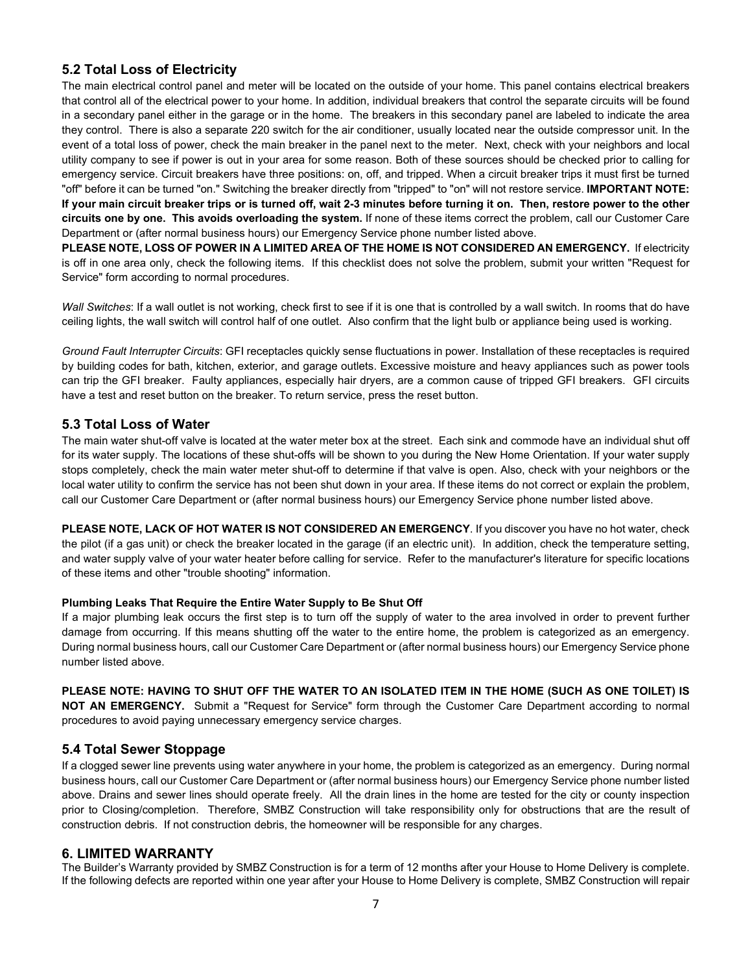## **5.2 Total Loss of Electricity**

The main electrical control panel and meter will be located on the outside of your home. This panel contains electrical breakers that control all of the electrical power to your home. In addition, individual breakers that control the separate circuits will be found in a secondary panel either in the garage or in the home. The breakers in this secondary panel are labeled to indicate the area they control. There is also a separate 220 switch for the air conditioner, usually located near the outside compressor unit. In the event of a total loss of power, check the main breaker in the panel next to the meter. Next, check with your neighbors and local utility company to see if power is out in your area for some reason. Both of these sources should be checked prior to calling for emergency service. Circuit breakers have three positions: on, off, and tripped. When a circuit breaker trips it must first be turned "off" before it can be turned "on." Switching the breaker directly from "tripped" to "on" will not restore service. **IMPORTANT NOTE: If your main circuit breaker trips or is turned off, wait 2-3 minutes before turning it on. Then, restore power to the other circuits one by one. This avoids overloading the system.** If none of these items correct the problem, call our Customer Care Department or (after normal business hours) our Emergency Service phone number listed above.

PLEASE NOTE, LOSS OF POWER IN A LIMITED AREA OF THE HOME IS NOT CONSIDERED AN EMERGENCY. If electricity is off in one area only, check the following items. If this checklist does not solve the problem, submit your written "Request for Service" form according to normal procedures.

*Wall Switches*: If a wall outlet is not working, check first to see if it is one that is controlled by a wall switch. In rooms that do have ceiling lights, the wall switch will control half of one outlet. Also confirm that the light bulb or appliance being used is working.

*Ground Fault Interrupter Circuits*: GFI receptacles quickly sense fluctuations in power. Installation of these receptacles is required by building codes for bath, kitchen, exterior, and garage outlets. Excessive moisture and heavy appliances such as power tools can trip the GFI breaker. Faulty appliances, especially hair dryers, are a common cause of tripped GFI breakers. GFI circuits have a test and reset button on the breaker. To return service, press the reset button.

### **5.3 Total Loss of Water**

The main water shut-off valve is located at the water meter box at the street. Each sink and commode have an individual shut off for its water supply. The locations of these shut-offs will be shown to you during the New Home Orientation. If your water supply stops completely, check the main water meter shut-off to determine if that valve is open. Also, check with your neighbors or the local water utility to confirm the service has not been shut down in your area. If these items do not correct or explain the problem, call our Customer Care Department or (after normal business hours) our Emergency Service phone number listed above.

**PLEASE NOTE, LACK OF HOT WATER IS NOT CONSIDERED AN EMERGENCY**. If you discover you have no hot water, check the pilot (if a gas unit) or check the breaker located in the garage (if an electric unit). In addition, check the temperature setting, and water supply valve of your water heater before calling for service. Refer to the manufacturer's literature for specific locations of these items and other "trouble shooting" information.

### **Plumbing Leaks That Require the Entire Water Supply to Be Shut Off**

If a major plumbing leak occurs the first step is to turn off the supply of water to the area involved in order to prevent further damage from occurring. If this means shutting off the water to the entire home, the problem is categorized as an emergency. During normal business hours, call our Customer Care Department or (after normal business hours) our Emergency Service phone number listed above.

**PLEASE NOTE: HAVING TO SHUT OFF THE WATER TO AN ISOLATED ITEM IN THE HOME (SUCH AS ONE TOILET) IS NOT AN EMERGENCY.** Submit a "Request for Service" form through the Customer Care Department according to normal procedures to avoid paying unnecessary emergency service charges.

## **5.4 Total Sewer Stoppage**

If a clogged sewer line prevents using water anywhere in your home, the problem is categorized as an emergency. During normal business hours, call our Customer Care Department or (after normal business hours) our Emergency Service phone number listed above. Drains and sewer lines should operate freely. All the drain lines in the home are tested for the city or county inspection prior to Closing/completion. Therefore, SMBZ Construction will take responsibility only for obstructions that are the result of construction debris. If not construction debris, the homeowner will be responsible for any charges.

### **6. LIMITED WARRANTY**

The Builder's Warranty provided by SMBZ Construction is for a term of 12 months after your House to Home Delivery is complete. If the following defects are reported within one year after your House to Home Delivery is complete, SMBZ Construction will repair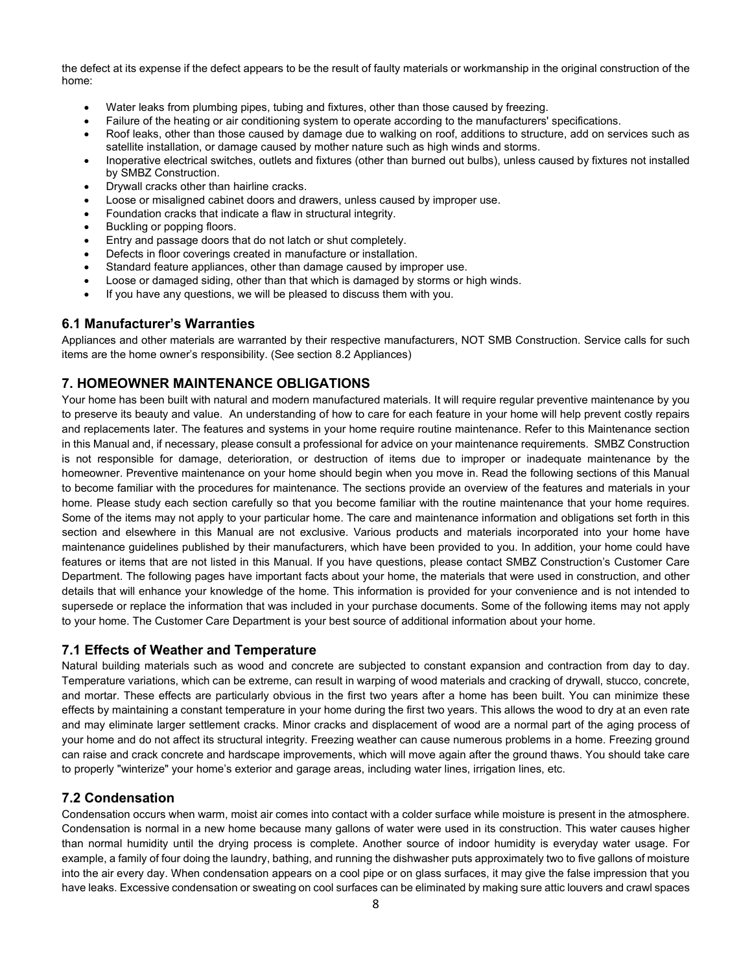the defect at its expense if the defect appears to be the result of faulty materials or workmanship in the original construction of the home:

- Water leaks from plumbing pipes, tubing and fixtures, other than those caused by freezing.
- Failure of the heating or air conditioning system to operate according to the manufacturers' specifications.
- Roof leaks, other than those caused by damage due to walking on roof, additions to structure, add on services such as satellite installation, or damage caused by mother nature such as high winds and storms.
- Inoperative electrical switches, outlets and fixtures (other than burned out bulbs), unless caused by fixtures not installed by SMBZ Construction.
- Drywall cracks other than hairline cracks.
- Loose or misaligned cabinet doors and drawers, unless caused by improper use.
- Foundation cracks that indicate a flaw in structural integrity.
- Buckling or popping floors.
- Entry and passage doors that do not latch or shut completely.
- Defects in floor coverings created in manufacture or installation.
- Standard feature appliances, other than damage caused by improper use.
- Loose or damaged siding, other than that which is damaged by storms or high winds.
- If you have any questions, we will be pleased to discuss them with you.

### **6.1 Manufacturer's Warranties**

Appliances and other materials are warranted by their respective manufacturers, NOT SMB Construction. Service calls for such items are the home owner's responsibility. (See section 8.2 Appliances)

## **7. HOMEOWNER MAINTENANCE OBLIGATIONS**

Your home has been built with natural and modern manufactured materials. It will require regular preventive maintenance by you to preserve its beauty and value. An understanding of how to care for each feature in your home will help prevent costly repairs and replacements later. The features and systems in your home require routine maintenance. Refer to this Maintenance section in this Manual and, if necessary, please consult a professional for advice on your maintenance requirements. SMBZ Construction is not responsible for damage, deterioration, or destruction of items due to improper or inadequate maintenance by the homeowner. Preventive maintenance on your home should begin when you move in. Read the following sections of this Manual to become familiar with the procedures for maintenance. The sections provide an overview of the features and materials in your home. Please study each section carefully so that you become familiar with the routine maintenance that your home requires. Some of the items may not apply to your particular home. The care and maintenance information and obligations set forth in this section and elsewhere in this Manual are not exclusive. Various products and materials incorporated into your home have maintenance guidelines published by their manufacturers, which have been provided to you. In addition, your home could have features or items that are not listed in this Manual. If you have questions, please contact SMBZ Construction's Customer Care Department. The following pages have important facts about your home, the materials that were used in construction, and other details that will enhance your knowledge of the home. This information is provided for your convenience and is not intended to supersede or replace the information that was included in your purchase documents. Some of the following items may not apply to your home. The Customer Care Department is your best source of additional information about your home.

## **7.1 Effects of Weather and Temperature**

Natural building materials such as wood and concrete are subjected to constant expansion and contraction from day to day. Temperature variations, which can be extreme, can result in warping of wood materials and cracking of drywall, stucco, concrete, and mortar. These effects are particularly obvious in the first two years after a home has been built. You can minimize these effects by maintaining a constant temperature in your home during the first two years. This allows the wood to dry at an even rate and may eliminate larger settlement cracks. Minor cracks and displacement of wood are a normal part of the aging process of your home and do not affect its structural integrity. Freezing weather can cause numerous problems in a home. Freezing ground can raise and crack concrete and hardscape improvements, which will move again after the ground thaws. You should take care to properly "winterize" your home's exterior and garage areas, including water lines, irrigation lines, etc.

## **7.2 Condensation**

Condensation occurs when warm, moist air comes into contact with a colder surface while moisture is present in the atmosphere. Condensation is normal in a new home because many gallons of water were used in its construction. This water causes higher than normal humidity until the drying process is complete. Another source of indoor humidity is everyday water usage. For example, a family of four doing the laundry, bathing, and running the dishwasher puts approximately two to five gallons of moisture into the air every day. When condensation appears on a cool pipe or on glass surfaces, it may give the false impression that you have leaks. Excessive condensation or sweating on cool surfaces can be eliminated by making sure attic louvers and crawl spaces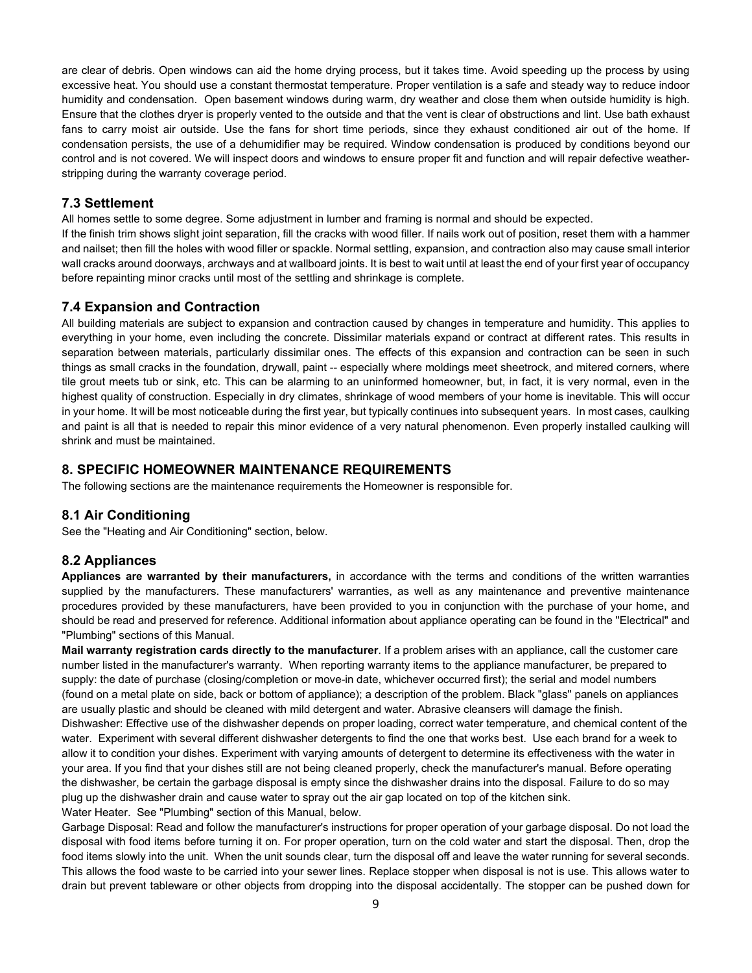are clear of debris. Open windows can aid the home drying process, but it takes time. Avoid speeding up the process by using excessive heat. You should use a constant thermostat temperature. Proper ventilation is a safe and steady way to reduce indoor humidity and condensation. Open basement windows during warm, dry weather and close them when outside humidity is high. Ensure that the clothes dryer is properly vented to the outside and that the vent is clear of obstructions and lint. Use bath exhaust fans to carry moist air outside. Use the fans for short time periods, since they exhaust conditioned air out of the home. If condensation persists, the use of a dehumidifier may be required. Window condensation is produced by conditions beyond our control and is not covered. We will inspect doors and windows to ensure proper fit and function and will repair defective weatherstripping during the warranty coverage period.

## **7.3 Settlement**

All homes settle to some degree. Some adjustment in lumber and framing is normal and should be expected.

If the finish trim shows slight joint separation, fill the cracks with wood filler. If nails work out of position, reset them with a hammer and nailset; then fill the holes with wood filler or spackle. Normal settling, expansion, and contraction also may cause small interior wall cracks around doorways, archways and at wallboard joints. It is best to wait until at least the end of your first year of occupancy before repainting minor cracks until most of the settling and shrinkage is complete.

## **7.4 Expansion and Contraction**

All building materials are subject to expansion and contraction caused by changes in temperature and humidity. This applies to everything in your home, even including the concrete. Dissimilar materials expand or contract at different rates. This results in separation between materials, particularly dissimilar ones. The effects of this expansion and contraction can be seen in such things as small cracks in the foundation, drywall, paint -- especially where moldings meet sheetrock, and mitered corners, where tile grout meets tub or sink, etc. This can be alarming to an uninformed homeowner, but, in fact, it is very normal, even in the highest quality of construction. Especially in dry climates, shrinkage of wood members of your home is inevitable. This will occur in your home. It will be most noticeable during the first year, but typically continues into subsequent years. In most cases, caulking and paint is all that is needed to repair this minor evidence of a very natural phenomenon. Even properly installed caulking will shrink and must be maintained.

## **8. SPECIFIC HOMEOWNER MAINTENANCE REQUIREMENTS**

The following sections are the maintenance requirements the Homeowner is responsible for.

## **8.1 Air Conditioning**

See the "Heating and Air Conditioning" section, below.

## **8.2 Appliances**

**Appliances are warranted by their manufacturers,** in accordance with the terms and conditions of the written warranties supplied by the manufacturers. These manufacturers' warranties, as well as any maintenance and preventive maintenance procedures provided by these manufacturers, have been provided to you in conjunction with the purchase of your home, and should be read and preserved for reference. Additional information about appliance operating can be found in the "Electrical" and "Plumbing" sections of this Manual.

**Mail warranty registration cards directly to the manufacturer**. If a problem arises with an appliance, call the customer care number listed in the manufacturer's warranty. When reporting warranty items to the appliance manufacturer, be prepared to supply: the date of purchase (closing/completion or move-in date, whichever occurred first); the serial and model numbers (found on a metal plate on side, back or bottom of appliance); a description of the problem. Black "glass" panels on appliances are usually plastic and should be cleaned with mild detergent and water. Abrasive cleansers will damage the finish. Dishwasher: Effective use of the dishwasher depends on proper loading, correct water temperature, and chemical content of the water. Experiment with several different dishwasher detergents to find the one that works best. Use each brand for a week to allow it to condition your dishes. Experiment with varying amounts of detergent to determine its effectiveness with the water in your area. If you find that your dishes still are not being cleaned properly, check the manufacturer's manual. Before operating the dishwasher, be certain the garbage disposal is empty since the dishwasher drains into the disposal. Failure to do so may plug up the dishwasher drain and cause water to spray out the air gap located on top of the kitchen sink.

Water Heater. See "Plumbing" section of this Manual, below.

Garbage Disposal: Read and follow the manufacturer's instructions for proper operation of your garbage disposal. Do not load the disposal with food items before turning it on. For proper operation, turn on the cold water and start the disposal. Then, drop the food items slowly into the unit. When the unit sounds clear, turn the disposal off and leave the water running for several seconds. This allows the food waste to be carried into your sewer lines. Replace stopper when disposal is not is use. This allows water to drain but prevent tableware or other objects from dropping into the disposal accidentally. The stopper can be pushed down for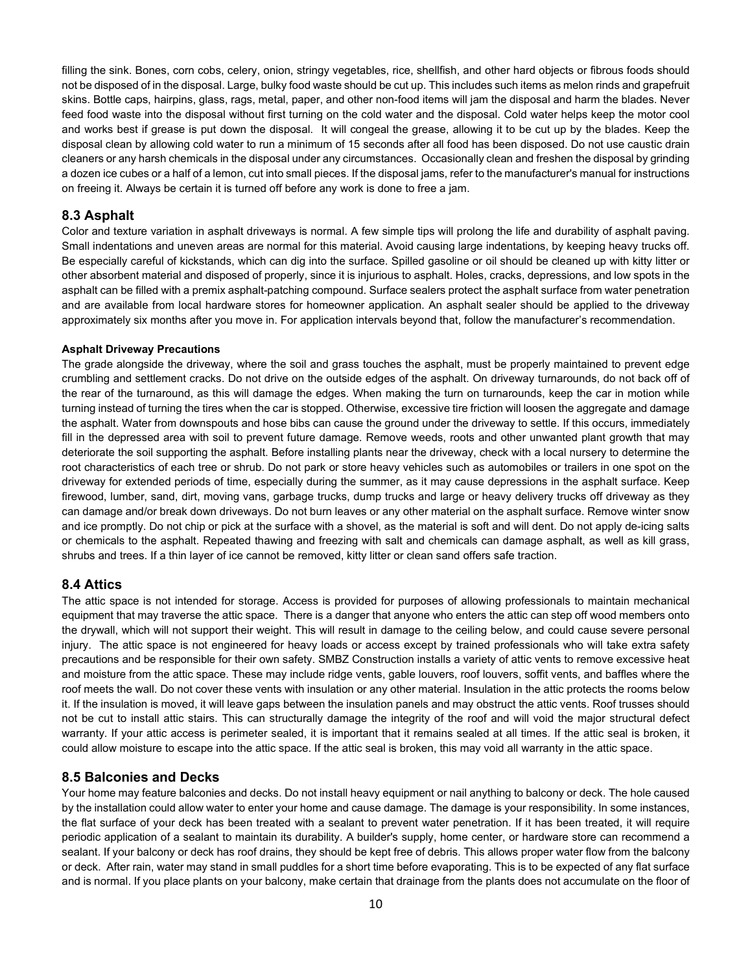filling the sink. Bones, corn cobs, celery, onion, stringy vegetables, rice, shellfish, and other hard objects or fibrous foods should not be disposed of in the disposal. Large, bulky food waste should be cut up. This includes such items as melon rinds and grapefruit skins. Bottle caps, hairpins, glass, rags, metal, paper, and other non-food items will jam the disposal and harm the blades. Never feed food waste into the disposal without first turning on the cold water and the disposal. Cold water helps keep the motor cool and works best if grease is put down the disposal. It will congeal the grease, allowing it to be cut up by the blades. Keep the disposal clean by allowing cold water to run a minimum of 15 seconds after all food has been disposed. Do not use caustic drain cleaners or any harsh chemicals in the disposal under any circumstances. Occasionally clean and freshen the disposal by grinding a dozen ice cubes or a half of a lemon, cut into small pieces. If the disposal jams, refer to the manufacturer's manual for instructions on freeing it. Always be certain it is turned off before any work is done to free a jam.

## **8.3 Asphalt**

Color and texture variation in asphalt driveways is normal. A few simple tips will prolong the life and durability of asphalt paving. Small indentations and uneven areas are normal for this material. Avoid causing large indentations, by keeping heavy trucks off. Be especially careful of kickstands, which can dig into the surface. Spilled gasoline or oil should be cleaned up with kitty litter or other absorbent material and disposed of properly, since it is injurious to asphalt. Holes, cracks, depressions, and low spots in the asphalt can be filled with a premix asphalt-patching compound. Surface sealers protect the asphalt surface from water penetration and are available from local hardware stores for homeowner application. An asphalt sealer should be applied to the driveway approximately six months after you move in. For application intervals beyond that, follow the manufacturer's recommendation.

#### **Asphalt Driveway Precautions**

The grade alongside the driveway, where the soil and grass touches the asphalt, must be properly maintained to prevent edge crumbling and settlement cracks. Do not drive on the outside edges of the asphalt. On driveway turnarounds, do not back off of the rear of the turnaround, as this will damage the edges. When making the turn on turnarounds, keep the car in motion while turning instead of turning the tires when the car is stopped. Otherwise, excessive tire friction will loosen the aggregate and damage the asphalt. Water from downspouts and hose bibs can cause the ground under the driveway to settle. If this occurs, immediately fill in the depressed area with soil to prevent future damage. Remove weeds, roots and other unwanted plant growth that may deteriorate the soil supporting the asphalt. Before installing plants near the driveway, check with a local nursery to determine the root characteristics of each tree or shrub. Do not park or store heavy vehicles such as automobiles or trailers in one spot on the driveway for extended periods of time, especially during the summer, as it may cause depressions in the asphalt surface. Keep firewood, lumber, sand, dirt, moving vans, garbage trucks, dump trucks and large or heavy delivery trucks off driveway as they can damage and/or break down driveways. Do not burn leaves or any other material on the asphalt surface. Remove winter snow and ice promptly. Do not chip or pick at the surface with a shovel, as the material is soft and will dent. Do not apply de-icing salts or chemicals to the asphalt. Repeated thawing and freezing with salt and chemicals can damage asphalt, as well as kill grass, shrubs and trees. If a thin layer of ice cannot be removed, kitty litter or clean sand offers safe traction.

## **8.4 Attics**

The attic space is not intended for storage. Access is provided for purposes of allowing professionals to maintain mechanical equipment that may traverse the attic space. There is a danger that anyone who enters the attic can step off wood members onto the drywall, which will not support their weight. This will result in damage to the ceiling below, and could cause severe personal injury. The attic space is not engineered for heavy loads or access except by trained professionals who will take extra safety precautions and be responsible for their own safety. SMBZ Construction installs a variety of attic vents to remove excessive heat and moisture from the attic space. These may include ridge vents, gable louvers, roof louvers, soffit vents, and baffles where the roof meets the wall. Do not cover these vents with insulation or any other material. Insulation in the attic protects the rooms below it. If the insulation is moved, it will leave gaps between the insulation panels and may obstruct the attic vents. Roof trusses should not be cut to install attic stairs. This can structurally damage the integrity of the roof and will void the major structural defect warranty. If your attic access is perimeter sealed, it is important that it remains sealed at all times. If the attic seal is broken, it could allow moisture to escape into the attic space. If the attic seal is broken, this may void all warranty in the attic space.

## **8.5 Balconies and Decks**

Your home may feature balconies and decks. Do not install heavy equipment or nail anything to balcony or deck. The hole caused by the installation could allow water to enter your home and cause damage. The damage is your responsibility. In some instances, the flat surface of your deck has been treated with a sealant to prevent water penetration. If it has been treated, it will require periodic application of a sealant to maintain its durability. A builder's supply, home center, or hardware store can recommend a sealant. If your balcony or deck has roof drains, they should be kept free of debris. This allows proper water flow from the balcony or deck. After rain, water may stand in small puddles for a short time before evaporating. This is to be expected of any flat surface and is normal. If you place plants on your balcony, make certain that drainage from the plants does not accumulate on the floor of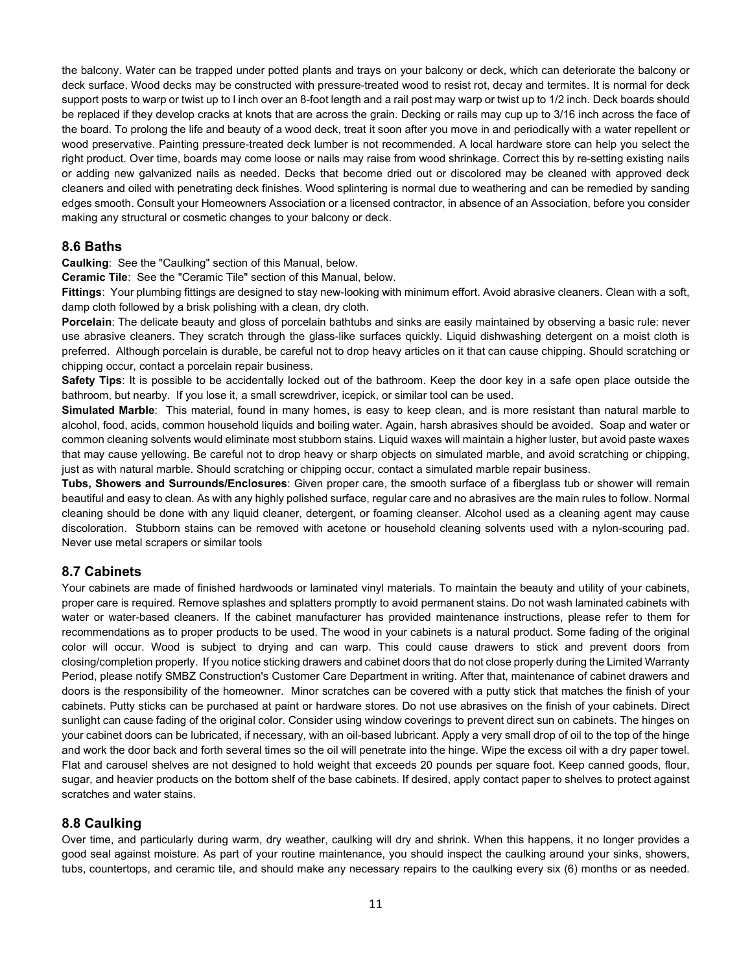the balcony. Water can be trapped under potted plants and trays on your balcony or deck, which can deteriorate the balcony or deck surface. Wood decks may be constructed with pressure-treated wood to resist rot, decay and termites. It is normal for deck support posts to warp or twist up to l inch over an 8-foot length and a rail post may warp or twist up to 1/2 inch. Deck boards should be replaced if they develop cracks at knots that are across the grain. Decking or rails may cup up to 3/16 inch across the face of the board. To prolong the life and beauty of a wood deck, treat it soon after you move in and periodically with a water repellent or wood preservative. Painting pressure-treated deck lumber is not recommended. A local hardware store can help you select the right product. Over time, boards may come loose or nails may raise from wood shrinkage. Correct this by re-setting existing nails or adding new galvanized nails as needed. Decks that become dried out or discolored may be cleaned with approved deck cleaners and oiled with penetrating deck finishes. Wood splintering is normal due to weathering and can be remedied by sanding edges smooth. Consult your Homeowners Association or a licensed contractor, in absence of an Association, before you consider making any structural or cosmetic changes to your balcony or deck.

### **8.6 Baths**

**Caulking**: See the "Caulking" section of this Manual, below.

**Ceramic Tile**: See the "Ceramic Tile" section of this Manual, below.

**Fittings**: Your plumbing fittings are designed to stay new-looking with minimum effort. Avoid abrasive cleaners. Clean with a soft, damp cloth followed by a brisk polishing with a clean, dry cloth.

**Porcelain**: The delicate beauty and gloss of porcelain bathtubs and sinks are easily maintained by observing a basic rule: never use abrasive cleaners. They scratch through the glass-like surfaces quickly. Liquid dishwashing detergent on a moist cloth is preferred. Although porcelain is durable, be careful not to drop heavy articles on it that can cause chipping. Should scratching or chipping occur, contact a porcelain repair business.

**Safety Tips**: It is possible to be accidentally locked out of the bathroom. Keep the door key in a safe open place outside the bathroom, but nearby. If you lose it, a small screwdriver, icepick, or similar tool can be used.

**Simulated Marble**: This material, found in many homes, is easy to keep clean, and is more resistant than natural marble to alcohol, food, acids, common household liquids and boiling water. Again, harsh abrasives should be avoided. Soap and water or common cleaning solvents would eliminate most stubborn stains. Liquid waxes will maintain a higher luster, but avoid paste waxes that may cause yellowing. Be careful not to drop heavy or sharp objects on simulated marble, and avoid scratching or chipping, just as with natural marble. Should scratching or chipping occur, contact a simulated marble repair business.

**Tubs, Showers and Surrounds/Enclosures**: Given proper care, the smooth surface of a fiberglass tub or shower will remain beautiful and easy to clean. As with any highly polished surface, regular care and no abrasives are the main rules to follow. Normal cleaning should be done with any liquid cleaner, detergent, or foaming cleanser. Alcohol used as a cleaning agent may cause discoloration. Stubborn stains can be removed with acetone or household cleaning solvents used with a nylon-scouring pad. Never use metal scrapers or similar tools

## **8.7 Cabinets**

Your cabinets are made of finished hardwoods or laminated vinyl materials. To maintain the beauty and utility of your cabinets, proper care is required. Remove splashes and splatters promptly to avoid permanent stains. Do not wash laminated cabinets with water or water-based cleaners. If the cabinet manufacturer has provided maintenance instructions, please refer to them for recommendations as to proper products to be used. The wood in your cabinets is a natural product. Some fading of the original color will occur. Wood is subject to drying and can warp. This could cause drawers to stick and prevent doors from closing/completion properly. If you notice sticking drawers and cabinet doors that do not close properly during the Limited Warranty Period, please notify SMBZ Construction's Customer Care Department in writing. After that, maintenance of cabinet drawers and doors is the responsibility of the homeowner. Minor scratches can be covered with a putty stick that matches the finish of your cabinets. Putty sticks can be purchased at paint or hardware stores. Do not use abrasives on the finish of your cabinets. Direct sunlight can cause fading of the original color. Consider using window coverings to prevent direct sun on cabinets. The hinges on your cabinet doors can be lubricated, if necessary, with an oil-based lubricant. Apply a very small drop of oil to the top of the hinge and work the door back and forth several times so the oil will penetrate into the hinge. Wipe the excess oil with a dry paper towel. Flat and carousel shelves are not designed to hold weight that exceeds 20 pounds per square foot. Keep canned goods, flour, sugar, and heavier products on the bottom shelf of the base cabinets. If desired, apply contact paper to shelves to protect against scratches and water stains.

## **8.8 Caulking**

Over time, and particularly during warm, dry weather, caulking will dry and shrink. When this happens, it no longer provides a good seal against moisture. As part of your routine maintenance, you should inspect the caulking around your sinks, showers, tubs, countertops, and ceramic tile, and should make any necessary repairs to the caulking every six (6) months or as needed.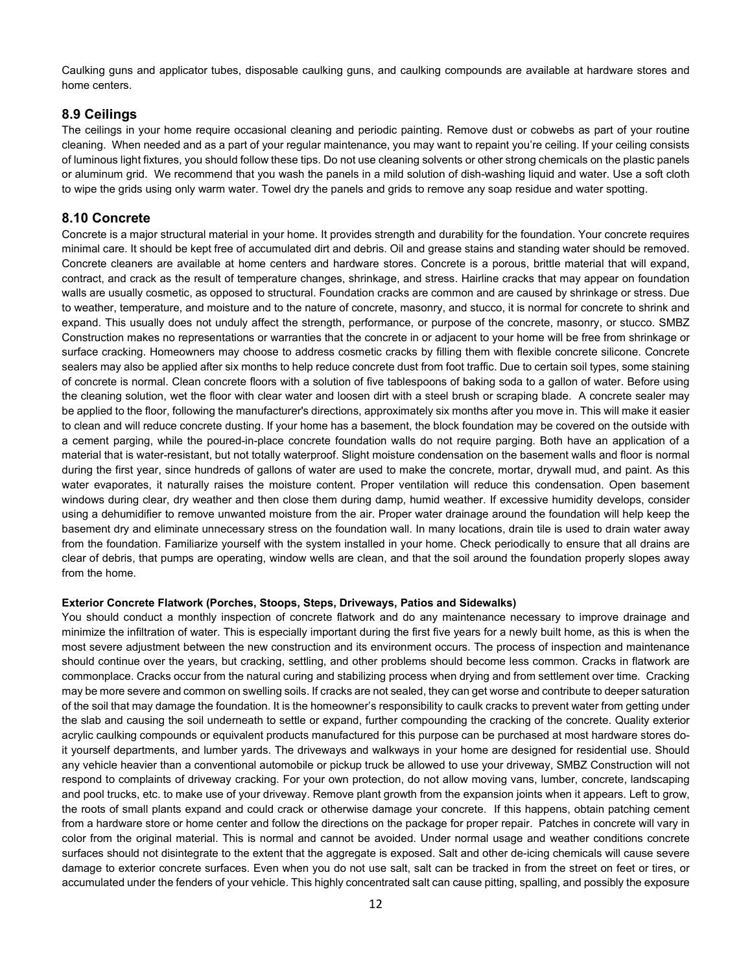Caulking guns and applicator tubes, disposable caulking guns, and caulking compounds are available at hardware stores and home centers.

## **8.9 Ceilings**

The ceilings in your home require occasional cleaning and periodic painting. Remove dust or cobwebs as part of your routine cleaning. When needed and as a part of your regular maintenance, you may want to repaint you're ceiling. If your ceiling consists of luminous light fixtures, you should follow these tips. Do not use cleaning solvents or other strong chemicals on the plastic panels or aluminum grid. We recommend that you wash the panels in a mild solution of dish-washing liquid and water. Use a soft cloth to wipe the grids using only warm water. Towel dry the panels and grids to remove any soap residue and water spotting.

### **8.10 Concrete**

Concrete is a major structural material in your home. It provides strength and durability for the foundation. Your concrete requires minimal care. It should be kept free of accumulated dirt and debris. Oil and grease stains and standing water should be removed. Concrete cleaners are available at home centers and hardware stores. Concrete is a porous, brittle material that will expand, contract, and crack as the result of temperature changes, shrinkage, and stress. Hairline cracks that may appear on foundation walls are usually cosmetic, as opposed to structural. Foundation cracks are common and are caused by shrinkage or stress. Due to weather, temperature, and moisture and to the nature of concrete, masonry, and stucco, it is normal for concrete to shrink and expand. This usually does not unduly affect the strength, performance, or purpose of the concrete, masonry, or stucco. SMBZ Construction makes no representations or warranties that the concrete in or adjacent to your home will be free from shrinkage or surface cracking. Homeowners may choose to address cosmetic cracks by filling them with flexible concrete silicone. Concrete sealers may also be applied after six months to help reduce concrete dust from foot traffic. Due to certain soil types, some staining of concrete is normal. Clean concrete floors with a solution of five tablespoons of baking soda to a gallon of water. Before using the cleaning solution, wet the floor with clear water and loosen dirt with a steel brush or scraping blade. A concrete sealer may be applied to the floor, following the manufacturer's directions, approximately six months after you move in. This will make it easier to clean and will reduce concrete dusting. If your home has a basement, the block foundation may be covered on the outside with a cement parging, while the poured-in-place concrete foundation walls do not require parging. Both have an application of a material that is water-resistant, but not totally waterproof. Slight moisture condensation on the basement walls and floor is normal during the first year, since hundreds of gallons of water are used to make the concrete, mortar, drywall mud, and paint. As this water evaporates, it naturally raises the moisture content. Proper ventilation will reduce this condensation. Open basement windows during clear, dry weather and then close them during damp, humid weather. If excessive humidity develops, consider using a dehumidifier to remove unwanted moisture from the air. Proper water drainage around the foundation will help keep the basement dry and eliminate unnecessary stress on the foundation wall. In many locations, drain tile is used to drain water away from the foundation. Familiarize yourself with the system installed in your home. Check periodically to ensure that all drains are clear of debris, that pumps are operating, window wells are clean, and that the soil around the foundation properly slopes away from the home.

#### **Exterior Concrete Flatwork (Porches, Stoops, Steps, Driveways, Patios and Sidewalks)**

You should conduct a monthly inspection of concrete flatwork and do any maintenance necessary to improve drainage and minimize the infiltration of water. This is especially important during the first five years for a newly built home, as this is when the most severe adjustment between the new construction and its environment occurs. The process of inspection and maintenance should continue over the years, but cracking, settling, and other problems should become less common. Cracks in flatwork are commonplace. Cracks occur from the natural curing and stabilizing process when drying and from settlement over time. Cracking may be more severe and common on swelling soils. If cracks are not sealed, they can get worse and contribute to deeper saturation of the soil that may damage the foundation. It is the homeowner's responsibility to caulk cracks to prevent water from getting under the slab and causing the soil underneath to settle or expand, further compounding the cracking of the concrete. Quality exterior acrylic caulking compounds or equivalent products manufactured for this purpose can be purchased at most hardware stores doit yourself departments, and lumber yards. The driveways and walkways in your home are designed for residential use. Should any vehicle heavier than a conventional automobile or pickup truck be allowed to use your driveway, SMBZ Construction will not respond to complaints of driveway cracking. For your own protection, do not allow moving vans, lumber, concrete, landscaping and pool trucks, etc. to make use of your driveway. Remove plant growth from the expansion joints when it appears. Left to grow, the roots of small plants expand and could crack or otherwise damage your concrete. If this happens, obtain patching cement from a hardware store or home center and follow the directions on the package for proper repair. Patches in concrete will vary in color from the original material. This is normal and cannot be avoided. Under normal usage and weather conditions concrete surfaces should not disintegrate to the extent that the aggregate is exposed. Salt and other de-icing chemicals will cause severe damage to exterior concrete surfaces. Even when you do not use salt, salt can be tracked in from the street on feet or tires, or accumulated under the fenders of your vehicle. This highly concentrated salt can cause pitting, spalling, and possibly the exposure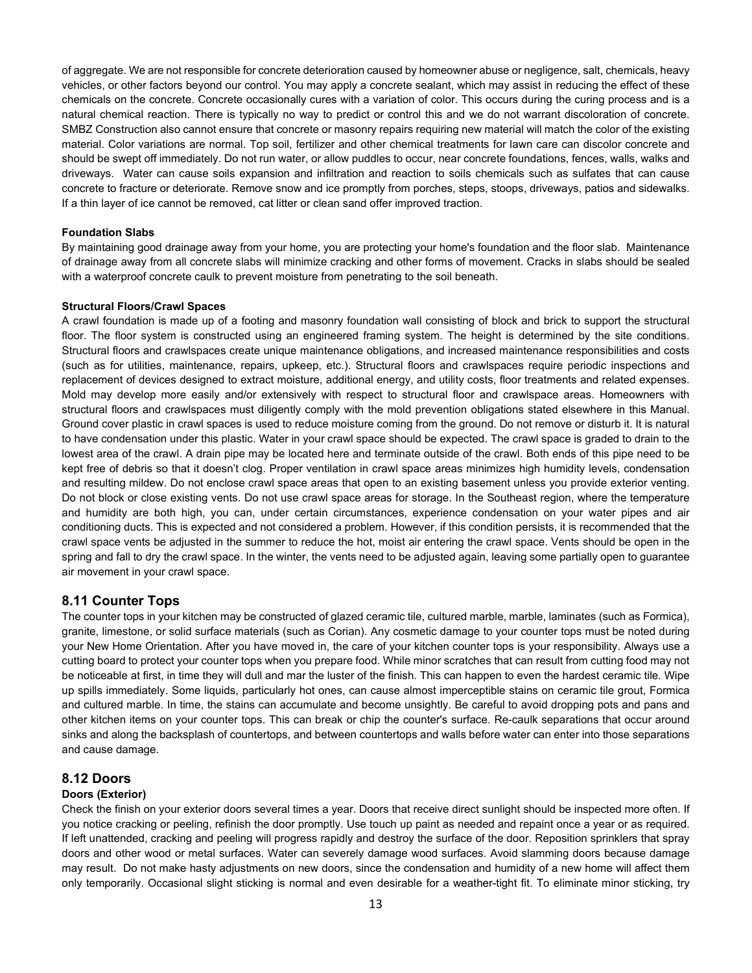of aggregate. We are not responsible for concrete deterioration caused by homeowner abuse or negligence, salt, chemicals, heavy vehicles, or other factors beyond our control. You may apply a concrete sealant, which may assist in reducing the effect of these chemicals on the concrete. Concrete occasionally cures with a variation of color. This occurs during the curing process and is a natural chemical reaction. There is typically no way to predict or control this and we do not warrant discoloration of concrete. SMBZ Construction also cannot ensure that concrete or masonry repairs requiring new material will match the color of the existing material. Color variations are normal. Top soil, fertilizer and other chemical treatments for lawn care can discolor concrete and should be swept off immediately. Do not run water, or allow puddles to occur, near concrete foundations, fences, walls, walks and driveways. Water can cause soils expansion and infiltration and reaction to soils chemicals such as sulfates that can cause concrete to fracture or deteriorate. Remove snow and ice promptly from porches, steps, stoops, driveways, patios and sidewalks. If a thin layer of ice cannot be removed, cat litter or clean sand offer improved traction.

### **Foundation Slabs**

By maintaining good drainage away from your home, you are protecting your home's foundation and the floor slab. Maintenance of drainage away from all concrete slabs will minimize cracking and other forms of movement. Cracks in slabs should be sealed with a waterproof concrete caulk to prevent moisture from penetrating to the soil beneath.

#### **Structural Floors/Crawl Spaces**

A crawl foundation is made up of a footing and masonry foundation wall consisting of block and brick to support the structural floor. The floor system is constructed using an engineered framing system. The height is determined by the site conditions. Structural floors and crawlspaces create unique maintenance obligations, and increased maintenance responsibilities and costs (such as for utilities, maintenance, repairs, upkeep, etc.). Structural floors and crawlspaces require periodic inspections and replacement of devices designed to extract moisture, additional energy, and utility costs, floor treatments and related expenses. Mold may develop more easily and/or extensively with respect to structural floor and crawlspace areas. Homeowners with structural floors and crawlspaces must diligently comply with the mold prevention obligations stated elsewhere in this Manual. Ground cover plastic in crawl spaces is used to reduce moisture coming from the ground. Do not remove or disturb it. It is natural to have condensation under this plastic. Water in your crawl space should be expected. The crawl space is graded to drain to the lowest area of the crawl. A drain pipe may be located here and terminate outside of the crawl. Both ends of this pipe need to be kept free of debris so that it doesn't clog. Proper ventilation in crawl space areas minimizes high humidity levels, condensation and resulting mildew. Do not enclose crawl space areas that open to an existing basement unless you provide exterior venting. Do not block or close existing vents. Do not use crawl space areas for storage. In the Southeast region, where the temperature and humidity are both high, you can, under certain circumstances, experience condensation on your water pipes and air conditioning ducts. This is expected and not considered a problem. However, if this condition persists, it is recommended that the crawl space vents be adjusted in the summer to reduce the hot, moist air entering the crawl space. Vents should be open in the spring and fall to dry the crawl space. In the winter, the vents need to be adjusted again, leaving some partially open to guarantee air movement in your crawl space.

## **8.11 Counter Tops**

The counter tops in your kitchen may be constructed of glazed ceramic tile, cultured marble, marble, laminates (such as Formica), granite, limestone, or solid surface materials (such as Corian). Any cosmetic damage to your counter tops must be noted during your New Home Orientation. After you have moved in, the care of your kitchen counter tops is your responsibility. Always use a cutting board to protect your counter tops when you prepare food. While minor scratches that can result from cutting food may not be noticeable at first, in time they will dull and mar the luster of the finish. This can happen to even the hardest ceramic tile. Wipe up spills immediately. Some liquids, particularly hot ones, can cause almost imperceptible stains on ceramic tile grout, Formica and cultured marble. In time, the stains can accumulate and become unsightly. Be careful to avoid dropping pots and pans and other kitchen items on your counter tops. This can break or chip the counter's surface. Re-caulk separations that occur around sinks and along the backsplash of countertops, and between countertops and walls before water can enter into those separations and cause damage.

### **8.12 Doors**

### **Doors (Exterior)**

Check the finish on your exterior doors several times a year. Doors that receive direct sunlight should be inspected more often. If you notice cracking or peeling, refinish the door promptly. Use touch up paint as needed and repaint once a year or as required. If left unattended, cracking and peeling will progress rapidly and destroy the surface of the door. Reposition sprinklers that spray doors and other wood or metal surfaces. Water can severely damage wood surfaces. Avoid slamming doors because damage may result. Do not make hasty adjustments on new doors, since the condensation and humidity of a new home will affect them only temporarily. Occasional slight sticking is normal and even desirable for a weather-tight fit. To eliminate minor sticking, try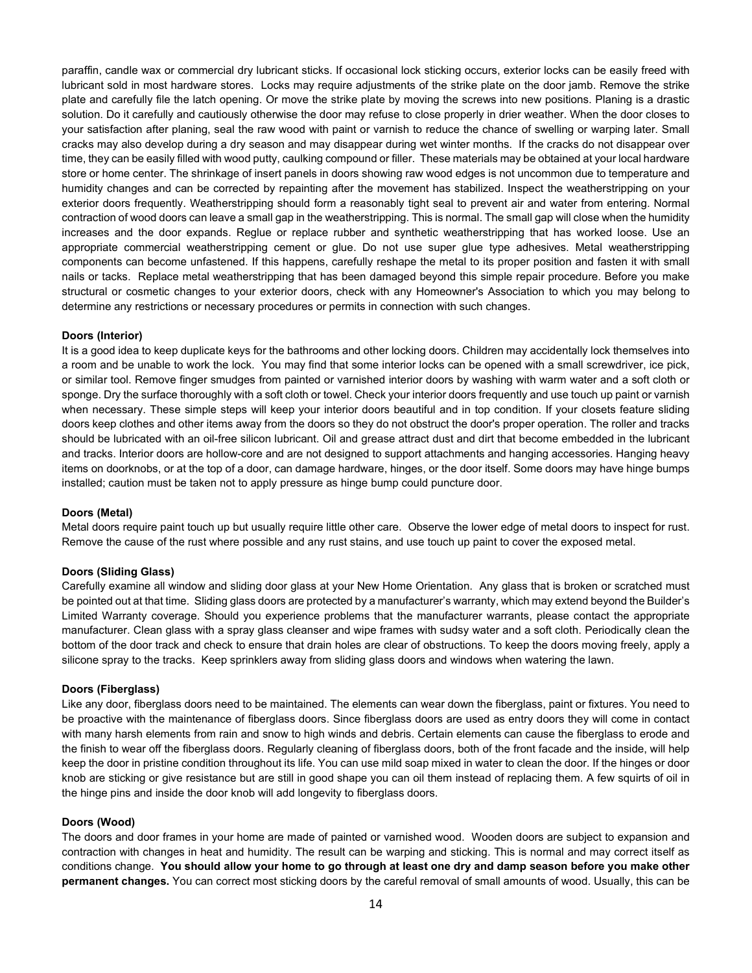paraffin, candle wax or commercial dry lubricant sticks. If occasional lock sticking occurs, exterior locks can be easily freed with lubricant sold in most hardware stores. Locks may require adjustments of the strike plate on the door jamb. Remove the strike plate and carefully file the latch opening. Or move the strike plate by moving the screws into new positions. Planing is a drastic solution. Do it carefully and cautiously otherwise the door may refuse to close properly in drier weather. When the door closes to your satisfaction after planing, seal the raw wood with paint or varnish to reduce the chance of swelling or warping later. Small cracks may also develop during a dry season and may disappear during wet winter months. If the cracks do not disappear over time, they can be easily filled with wood putty, caulking compound or filler. These materials may be obtained at your local hardware store or home center. The shrinkage of insert panels in doors showing raw wood edges is not uncommon due to temperature and humidity changes and can be corrected by repainting after the movement has stabilized. Inspect the weatherstripping on your exterior doors frequently. Weatherstripping should form a reasonably tight seal to prevent air and water from entering. Normal contraction of wood doors can leave a small gap in the weatherstripping. This is normal. The small gap will close when the humidity increases and the door expands. Reglue or replace rubber and synthetic weatherstripping that has worked loose. Use an appropriate commercial weatherstripping cement or glue. Do not use super glue type adhesives. Metal weatherstripping components can become unfastened. If this happens, carefully reshape the metal to its proper position and fasten it with small nails or tacks. Replace metal weatherstripping that has been damaged beyond this simple repair procedure. Before you make structural or cosmetic changes to your exterior doors, check with any Homeowner's Association to which you may belong to determine any restrictions or necessary procedures or permits in connection with such changes.

#### **Doors (Interior)**

It is a good idea to keep duplicate keys for the bathrooms and other locking doors. Children may accidentally lock themselves into a room and be unable to work the lock. You may find that some interior locks can be opened with a small screwdriver, ice pick, or similar tool. Remove finger smudges from painted or varnished interior doors by washing with warm water and a soft cloth or sponge. Dry the surface thoroughly with a soft cloth or towel. Check your interior doors frequently and use touch up paint or varnish when necessary. These simple steps will keep your interior doors beautiful and in top condition. If your closets feature sliding doors keep clothes and other items away from the doors so they do not obstruct the door's proper operation. The roller and tracks should be lubricated with an oil-free silicon lubricant. Oil and grease attract dust and dirt that become embedded in the lubricant and tracks. Interior doors are hollow-core and are not designed to support attachments and hanging accessories. Hanging heavy items on doorknobs, or at the top of a door, can damage hardware, hinges, or the door itself. Some doors may have hinge bumps installed; caution must be taken not to apply pressure as hinge bump could puncture door.

#### **Doors (Metal)**

Metal doors require paint touch up but usually require little other care. Observe the lower edge of metal doors to inspect for rust. Remove the cause of the rust where possible and any rust stains, and use touch up paint to cover the exposed metal.

#### **Doors (Sliding Glass)**

Carefully examine all window and sliding door glass at your New Home Orientation. Any glass that is broken or scratched must be pointed out at that time. Sliding glass doors are protected by a manufacturer's warranty, which may extend beyond the Builder's Limited Warranty coverage. Should you experience problems that the manufacturer warrants, please contact the appropriate manufacturer. Clean glass with a spray glass cleanser and wipe frames with sudsy water and a soft cloth. Periodically clean the bottom of the door track and check to ensure that drain holes are clear of obstructions. To keep the doors moving freely, apply a silicone spray to the tracks. Keep sprinklers away from sliding glass doors and windows when watering the lawn.

#### **Doors (Fiberglass)**

Like any door, fiberglass doors need to be maintained. The elements can wear down the fiberglass, paint or fixtures. You need to be proactive with the maintenance of fiberglass doors. Since fiberglass doors are used as entry doors they will come in contact with many harsh elements from rain and snow to high winds and debris. Certain elements can cause the fiberglass to erode and the finish to wear off the fiberglass doors. Regularly cleaning of fiberglass doors, both of the front facade and the inside, will help keep the door in pristine condition throughout its life. You can use mild soap mixed in water to clean the door. If the hinges or door knob are sticking or give resistance but are still in good shape you can oil them instead of replacing them. A few squirts of oil in the hinge pins and inside the door knob will add longevity to fiberglass doors.

#### **Doors (Wood)**

The doors and door frames in your home are made of painted or varnished wood. Wooden doors are subject to expansion and contraction with changes in heat and humidity. The result can be warping and sticking. This is normal and may correct itself as conditions change. **You should allow your home to go through at least one dry and damp season before you make other permanent changes.** You can correct most sticking doors by the careful removal of small amounts of wood. Usually, this can be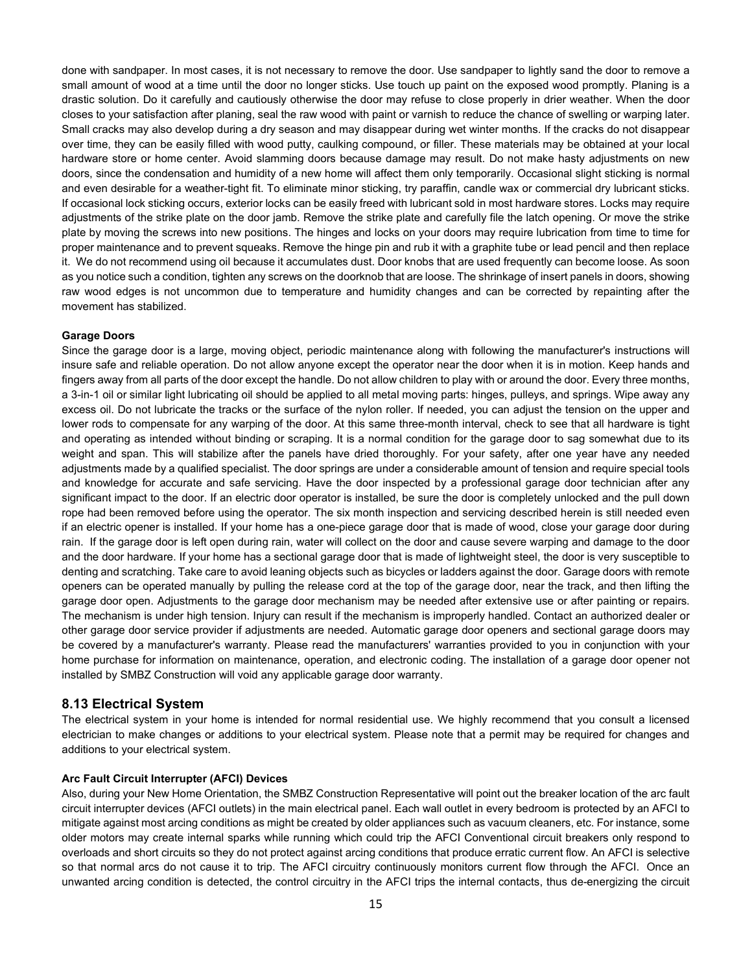done with sandpaper. In most cases, it is not necessary to remove the door. Use sandpaper to lightly sand the door to remove a small amount of wood at a time until the door no longer sticks. Use touch up paint on the exposed wood promptly. Planing is a drastic solution. Do it carefully and cautiously otherwise the door may refuse to close properly in drier weather. When the door closes to your satisfaction after planing, seal the raw wood with paint or varnish to reduce the chance of swelling or warping later. Small cracks may also develop during a dry season and may disappear during wet winter months. If the cracks do not disappear over time, they can be easily filled with wood putty, caulking compound, or filler. These materials may be obtained at your local hardware store or home center. Avoid slamming doors because damage may result. Do not make hasty adjustments on new doors, since the condensation and humidity of a new home will affect them only temporarily. Occasional slight sticking is normal and even desirable for a weather-tight fit. To eliminate minor sticking, try paraffin, candle wax or commercial dry lubricant sticks. If occasional lock sticking occurs, exterior locks can be easily freed with lubricant sold in most hardware stores. Locks may require adjustments of the strike plate on the door jamb. Remove the strike plate and carefully file the latch opening. Or move the strike plate by moving the screws into new positions. The hinges and locks on your doors may require lubrication from time to time for proper maintenance and to prevent squeaks. Remove the hinge pin and rub it with a graphite tube or lead pencil and then replace it. We do not recommend using oil because it accumulates dust. Door knobs that are used frequently can become loose. As soon as you notice such a condition, tighten any screws on the doorknob that are loose. The shrinkage of insert panels in doors, showing raw wood edges is not uncommon due to temperature and humidity changes and can be corrected by repainting after the movement has stabilized.

#### **Garage Doors**

Since the garage door is a large, moving object, periodic maintenance along with following the manufacturer's instructions will insure safe and reliable operation. Do not allow anyone except the operator near the door when it is in motion. Keep hands and fingers away from all parts of the door except the handle. Do not allow children to play with or around the door. Every three months, a 3-in-1 oil or similar light lubricating oil should be applied to all metal moving parts: hinges, pulleys, and springs. Wipe away any excess oil. Do not lubricate the tracks or the surface of the nylon roller. If needed, you can adjust the tension on the upper and lower rods to compensate for any warping of the door. At this same three-month interval, check to see that all hardware is tight and operating as intended without binding or scraping. It is a normal condition for the garage door to sag somewhat due to its weight and span. This will stabilize after the panels have dried thoroughly. For your safety, after one year have any needed adjustments made by a qualified specialist. The door springs are under a considerable amount of tension and require special tools and knowledge for accurate and safe servicing. Have the door inspected by a professional garage door technician after any significant impact to the door. If an electric door operator is installed, be sure the door is completely unlocked and the pull down rope had been removed before using the operator. The six month inspection and servicing described herein is still needed even if an electric opener is installed. If your home has a one-piece garage door that is made of wood, close your garage door during rain. If the garage door is left open during rain, water will collect on the door and cause severe warping and damage to the door and the door hardware. If your home has a sectional garage door that is made of lightweight steel, the door is very susceptible to denting and scratching. Take care to avoid leaning objects such as bicycles or ladders against the door. Garage doors with remote openers can be operated manually by pulling the release cord at the top of the garage door, near the track, and then lifting the garage door open. Adjustments to the garage door mechanism may be needed after extensive use or after painting or repairs. The mechanism is under high tension. Injury can result if the mechanism is improperly handled. Contact an authorized dealer or other garage door service provider if adjustments are needed. Automatic garage door openers and sectional garage doors may be covered by a manufacturer's warranty. Please read the manufacturers' warranties provided to you in conjunction with your home purchase for information on maintenance, operation, and electronic coding. The installation of a garage door opener not installed by SMBZ Construction will void any applicable garage door warranty.

### **8.13 Electrical System**

The electrical system in your home is intended for normal residential use. We highly recommend that you consult a licensed electrician to make changes or additions to your electrical system. Please note that a permit may be required for changes and additions to your electrical system.

#### **Arc Fault Circuit Interrupter (AFCI) Devices**

Also, during your New Home Orientation, the SMBZ Construction Representative will point out the breaker location of the arc fault circuit interrupter devices (AFCI outlets) in the main electrical panel. Each wall outlet in every bedroom is protected by an AFCI to mitigate against most arcing conditions as might be created by older appliances such as vacuum cleaners, etc. For instance, some older motors may create internal sparks while running which could trip the AFCI Conventional circuit breakers only respond to overloads and short circuits so they do not protect against arcing conditions that produce erratic current flow. An AFCI is selective so that normal arcs do not cause it to trip. The AFCI circuitry continuously monitors current flow through the AFCI. Once an unwanted arcing condition is detected, the control circuitry in the AFCI trips the internal contacts, thus de-energizing the circuit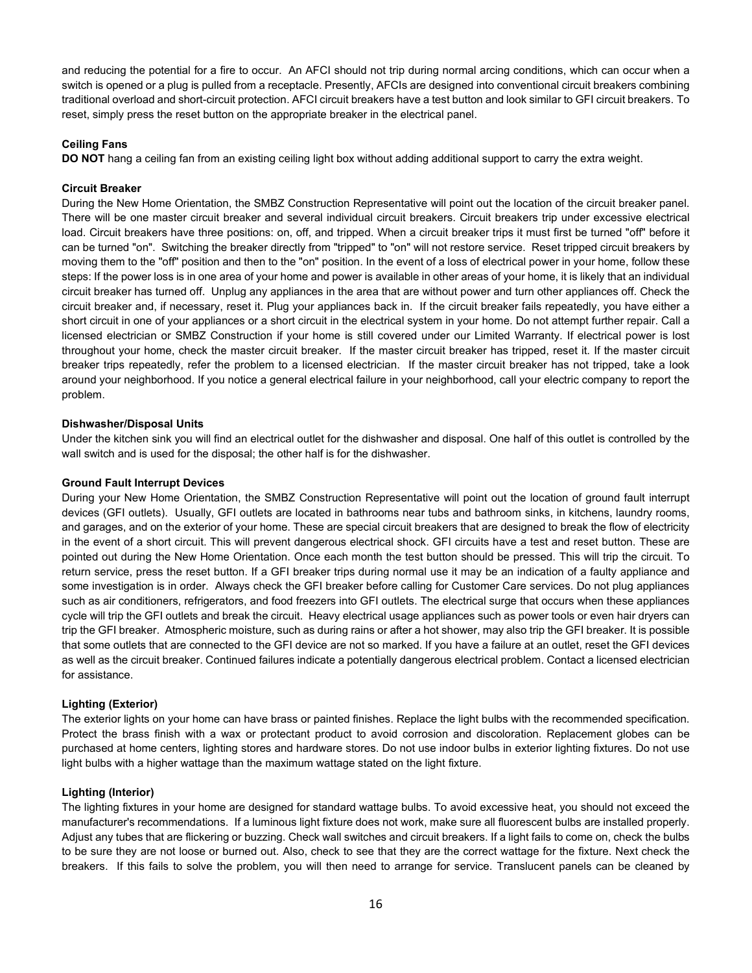and reducing the potential for a fire to occur. An AFCI should not trip during normal arcing conditions, which can occur when a switch is opened or a plug is pulled from a receptacle. Presently, AFCIs are designed into conventional circuit breakers combining traditional overload and short-circuit protection. AFCI circuit breakers have a test button and look similar to GFI circuit breakers. To reset, simply press the reset button on the appropriate breaker in the electrical panel.

## **Ceiling Fans**

**DO NOT** hang a ceiling fan from an existing ceiling light box without adding additional support to carry the extra weight.

### **Circuit Breaker**

During the New Home Orientation, the SMBZ Construction Representative will point out the location of the circuit breaker panel. There will be one master circuit breaker and several individual circuit breakers. Circuit breakers trip under excessive electrical load. Circuit breakers have three positions: on, off, and tripped. When a circuit breaker trips it must first be turned "off" before it can be turned "on". Switching the breaker directly from "tripped" to "on" will not restore service. Reset tripped circuit breakers by moving them to the "off" position and then to the "on" position. In the event of a loss of electrical power in your home, follow these steps: If the power loss is in one area of your home and power is available in other areas of your home, it is likely that an individual circuit breaker has turned off. Unplug any appliances in the area that are without power and turn other appliances off. Check the circuit breaker and, if necessary, reset it. Plug your appliances back in. If the circuit breaker fails repeatedly, you have either a short circuit in one of your appliances or a short circuit in the electrical system in your home. Do not attempt further repair. Call a licensed electrician or SMBZ Construction if your home is still covered under our Limited Warranty. If electrical power is lost throughout your home, check the master circuit breaker. If the master circuit breaker has tripped, reset it. If the master circuit breaker trips repeatedly, refer the problem to a licensed electrician. If the master circuit breaker has not tripped, take a look around your neighborhood. If you notice a general electrical failure in your neighborhood, call your electric company to report the problem.

### **Dishwasher/Disposal Units**

Under the kitchen sink you will find an electrical outlet for the dishwasher and disposal. One half of this outlet is controlled by the wall switch and is used for the disposal; the other half is for the dishwasher.

### **Ground Fault Interrupt Devices**

During your New Home Orientation, the SMBZ Construction Representative will point out the location of ground fault interrupt devices (GFI outlets). Usually, GFI outlets are located in bathrooms near tubs and bathroom sinks, in kitchens, laundry rooms, and garages, and on the exterior of your home. These are special circuit breakers that are designed to break the flow of electricity in the event of a short circuit. This will prevent dangerous electrical shock. GFI circuits have a test and reset button. These are pointed out during the New Home Orientation. Once each month the test button should be pressed. This will trip the circuit. To return service, press the reset button. If a GFI breaker trips during normal use it may be an indication of a faulty appliance and some investigation is in order. Always check the GFI breaker before calling for Customer Care services. Do not plug appliances such as air conditioners, refrigerators, and food freezers into GFI outlets. The electrical surge that occurs when these appliances cycle will trip the GFI outlets and break the circuit. Heavy electrical usage appliances such as power tools or even hair dryers can trip the GFI breaker. Atmospheric moisture, such as during rains or after a hot shower, may also trip the GFI breaker. It is possible that some outlets that are connected to the GFI device are not so marked. If you have a failure at an outlet, reset the GFI devices as well as the circuit breaker. Continued failures indicate a potentially dangerous electrical problem. Contact a licensed electrician for assistance.

### **Lighting (Exterior)**

The exterior lights on your home can have brass or painted finishes. Replace the light bulbs with the recommended specification. Protect the brass finish with a wax or protectant product to avoid corrosion and discoloration. Replacement globes can be purchased at home centers, lighting stores and hardware stores. Do not use indoor bulbs in exterior lighting fixtures. Do not use light bulbs with a higher wattage than the maximum wattage stated on the light fixture.

### **Lighting (Interior)**

The lighting fixtures in your home are designed for standard wattage bulbs. To avoid excessive heat, you should not exceed the manufacturer's recommendations. If a luminous light fixture does not work, make sure all fluorescent bulbs are installed properly. Adjust any tubes that are flickering or buzzing. Check wall switches and circuit breakers. If a light fails to come on, check the bulbs to be sure they are not loose or burned out. Also, check to see that they are the correct wattage for the fixture. Next check the breakers. If this fails to solve the problem, you will then need to arrange for service. Translucent panels can be cleaned by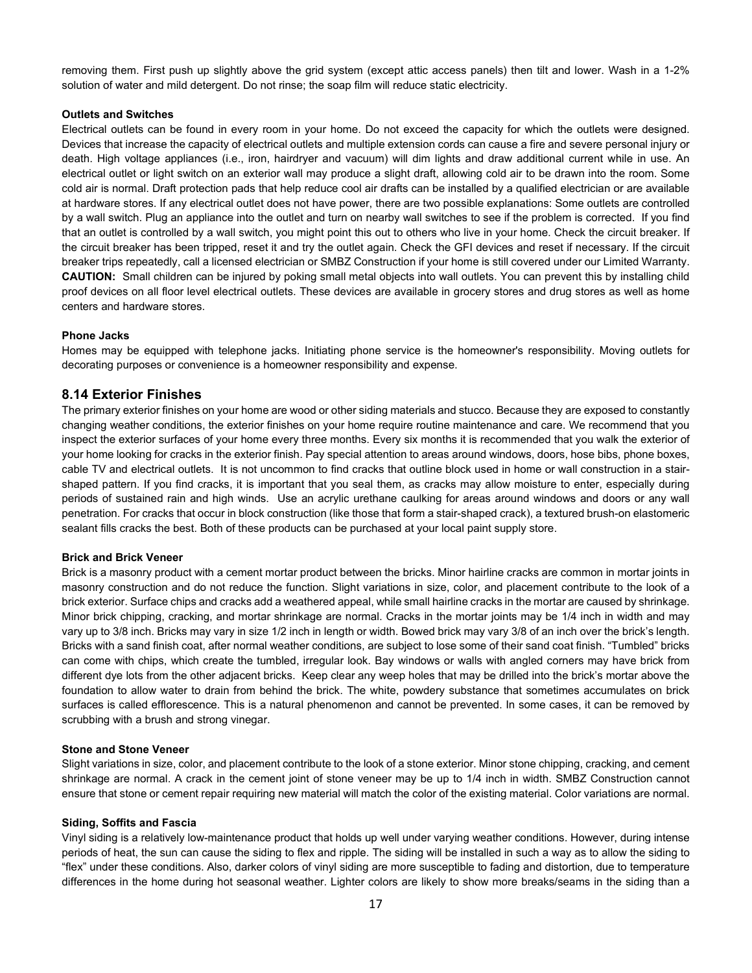removing them. First push up slightly above the grid system (except attic access panels) then tilt and lower. Wash in a 1-2% solution of water and mild detergent. Do not rinse; the soap film will reduce static electricity.

## **Outlets and Switches**

Electrical outlets can be found in every room in your home. Do not exceed the capacity for which the outlets were designed. Devices that increase the capacity of electrical outlets and multiple extension cords can cause a fire and severe personal injury or death. High voltage appliances (i.e., iron, hairdryer and vacuum) will dim lights and draw additional current while in use. An electrical outlet or light switch on an exterior wall may produce a slight draft, allowing cold air to be drawn into the room. Some cold air is normal. Draft protection pads that help reduce cool air drafts can be installed by a qualified electrician or are available at hardware stores. If any electrical outlet does not have power, there are two possible explanations: Some outlets are controlled by a wall switch. Plug an appliance into the outlet and turn on nearby wall switches to see if the problem is corrected. If you find that an outlet is controlled by a wall switch, you might point this out to others who live in your home. Check the circuit breaker. If the circuit breaker has been tripped, reset it and try the outlet again. Check the GFI devices and reset if necessary. If the circuit breaker trips repeatedly, call a licensed electrician or SMBZ Construction if your home is still covered under our Limited Warranty. **CAUTION:** Small children can be injured by poking small metal objects into wall outlets. You can prevent this by installing child proof devices on all floor level electrical outlets. These devices are available in grocery stores and drug stores as well as home centers and hardware stores.

#### **Phone Jacks**

Homes may be equipped with telephone jacks. Initiating phone service is the homeowner's responsibility. Moving outlets for decorating purposes or convenience is a homeowner responsibility and expense.

### **8.14 Exterior Finishes**

The primary exterior finishes on your home are wood or other siding materials and stucco. Because they are exposed to constantly changing weather conditions, the exterior finishes on your home require routine maintenance and care. We recommend that you inspect the exterior surfaces of your home every three months. Every six months it is recommended that you walk the exterior of your home looking for cracks in the exterior finish. Pay special attention to areas around windows, doors, hose bibs, phone boxes, cable TV and electrical outlets. It is not uncommon to find cracks that outline block used in home or wall construction in a stairshaped pattern. If you find cracks, it is important that you seal them, as cracks may allow moisture to enter, especially during periods of sustained rain and high winds. Use an acrylic urethane caulking for areas around windows and doors or any wall penetration. For cracks that occur in block construction (like those that form a stair-shaped crack), a textured brush-on elastomeric sealant fills cracks the best. Both of these products can be purchased at your local paint supply store.

#### **Brick and Brick Veneer**

Brick is a masonry product with a cement mortar product between the bricks. Minor hairline cracks are common in mortar joints in masonry construction and do not reduce the function. Slight variations in size, color, and placement contribute to the look of a brick exterior. Surface chips and cracks add a weathered appeal, while small hairline cracks in the mortar are caused by shrinkage. Minor brick chipping, cracking, and mortar shrinkage are normal. Cracks in the mortar joints may be 1/4 inch in width and may vary up to 3/8 inch. Bricks may vary in size 1/2 inch in length or width. Bowed brick may vary 3/8 of an inch over the brick's length. Bricks with a sand finish coat, after normal weather conditions, are subject to lose some of their sand coat finish. "Tumbled" bricks can come with chips, which create the tumbled, irregular look. Bay windows or walls with angled corners may have brick from different dye lots from the other adjacent bricks. Keep clear any weep holes that may be drilled into the brick's mortar above the foundation to allow water to drain from behind the brick. The white, powdery substance that sometimes accumulates on brick surfaces is called efflorescence. This is a natural phenomenon and cannot be prevented. In some cases, it can be removed by scrubbing with a brush and strong vinegar.

#### **Stone and Stone Veneer**

Slight variations in size, color, and placement contribute to the look of a stone exterior. Minor stone chipping, cracking, and cement shrinkage are normal. A crack in the cement joint of stone veneer may be up to 1/4 inch in width. SMBZ Construction cannot ensure that stone or cement repair requiring new material will match the color of the existing material. Color variations are normal.

#### **Siding, Soffits and Fascia**

Vinyl siding is a relatively low-maintenance product that holds up well under varying weather conditions. However, during intense periods of heat, the sun can cause the siding to flex and ripple. The siding will be installed in such a way as to allow the siding to "flex" under these conditions. Also, darker colors of vinyl siding are more susceptible to fading and distortion, due to temperature differences in the home during hot seasonal weather. Lighter colors are likely to show more breaks/seams in the siding than a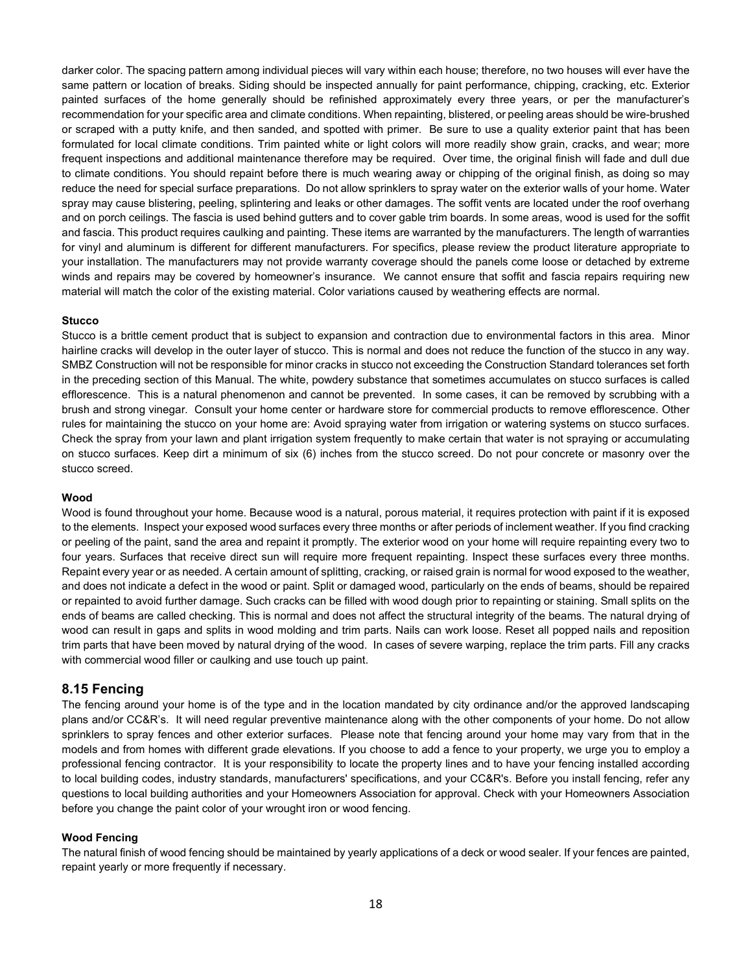darker color. The spacing pattern among individual pieces will vary within each house; therefore, no two houses will ever have the same pattern or location of breaks. Siding should be inspected annually for paint performance, chipping, cracking, etc. Exterior painted surfaces of the home generally should be refinished approximately every three years, or per the manufacturer's recommendation for your specific area and climate conditions. When repainting, blistered, or peeling areas should be wire-brushed or scraped with a putty knife, and then sanded, and spotted with primer. Be sure to use a quality exterior paint that has been formulated for local climate conditions. Trim painted white or light colors will more readily show grain, cracks, and wear; more frequent inspections and additional maintenance therefore may be required. Over time, the original finish will fade and dull due to climate conditions. You should repaint before there is much wearing away or chipping of the original finish, as doing so may reduce the need for special surface preparations. Do not allow sprinklers to spray water on the exterior walls of your home. Water spray may cause blistering, peeling, splintering and leaks or other damages. The soffit vents are located under the roof overhang and on porch ceilings. The fascia is used behind gutters and to cover gable trim boards. In some areas, wood is used for the soffit and fascia. This product requires caulking and painting. These items are warranted by the manufacturers. The length of warranties for vinyl and aluminum is different for different manufacturers. For specifics, please review the product literature appropriate to your installation. The manufacturers may not provide warranty coverage should the panels come loose or detached by extreme winds and repairs may be covered by homeowner's insurance. We cannot ensure that soffit and fascia repairs requiring new material will match the color of the existing material. Color variations caused by weathering effects are normal.

#### **Stucco**

Stucco is a brittle cement product that is subject to expansion and contraction due to environmental factors in this area. Minor hairline cracks will develop in the outer layer of stucco. This is normal and does not reduce the function of the stucco in any way. SMBZ Construction will not be responsible for minor cracks in stucco not exceeding the Construction Standard tolerances set forth in the preceding section of this Manual. The white, powdery substance that sometimes accumulates on stucco surfaces is called efflorescence. This is a natural phenomenon and cannot be prevented. In some cases, it can be removed by scrubbing with a brush and strong vinegar. Consult your home center or hardware store for commercial products to remove efflorescence. Other rules for maintaining the stucco on your home are: Avoid spraying water from irrigation or watering systems on stucco surfaces. Check the spray from your lawn and plant irrigation system frequently to make certain that water is not spraying or accumulating on stucco surfaces. Keep dirt a minimum of six (6) inches from the stucco screed. Do not pour concrete or masonry over the stucco screed.

#### **Wood**

Wood is found throughout your home. Because wood is a natural, porous material, it requires protection with paint if it is exposed to the elements. Inspect your exposed wood surfaces every three months or after periods of inclement weather. If you find cracking or peeling of the paint, sand the area and repaint it promptly. The exterior wood on your home will require repainting every two to four years. Surfaces that receive direct sun will require more frequent repainting. Inspect these surfaces every three months. Repaint every year or as needed. A certain amount of splitting, cracking, or raised grain is normal for wood exposed to the weather, and does not indicate a defect in the wood or paint. Split or damaged wood, particularly on the ends of beams, should be repaired or repainted to avoid further damage. Such cracks can be filled with wood dough prior to repainting or staining. Small splits on the ends of beams are called checking. This is normal and does not affect the structural integrity of the beams. The natural drying of wood can result in gaps and splits in wood molding and trim parts. Nails can work loose. Reset all popped nails and reposition trim parts that have been moved by natural drying of the wood. In cases of severe warping, replace the trim parts. Fill any cracks with commercial wood filler or caulking and use touch up paint.

### **8.15 Fencing**

The fencing around your home is of the type and in the location mandated by city ordinance and/or the approved landscaping plans and/or CC&R's. It will need regular preventive maintenance along with the other components of your home. Do not allow sprinklers to spray fences and other exterior surfaces. Please note that fencing around your home may vary from that in the models and from homes with different grade elevations. If you choose to add a fence to your property, we urge you to employ a professional fencing contractor. It is your responsibility to locate the property lines and to have your fencing installed according to local building codes, industry standards, manufacturers' specifications, and your CC&R's. Before you install fencing, refer any questions to local building authorities and your Homeowners Association for approval. Check with your Homeowners Association before you change the paint color of your wrought iron or wood fencing.

#### **Wood Fencing**

The natural finish of wood fencing should be maintained by yearly applications of a deck or wood sealer. If your fences are painted, repaint yearly or more frequently if necessary.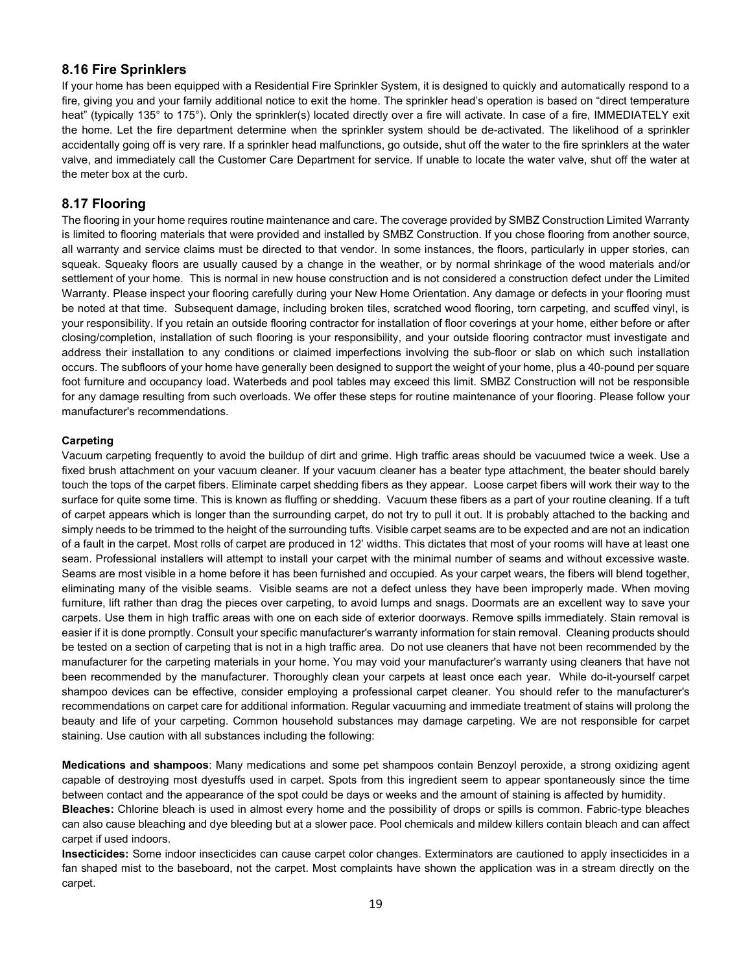## **8.16 Fire Sprinklers**

If your home has been equipped with a Residential Fire Sprinkler System, it is designed to quickly and automatically respond to a fire, giving you and your family additional notice to exit the home. The sprinkler head's operation is based on "direct temperature heat" (typically 135° to 175°). Only the sprinkler(s) located directly over a fire will activate. In case of a fire, IMMEDIATELY exit the home. Let the fire department determine when the sprinkler system should be de-activated. The likelihood of a sprinkler accidentally going off is very rare. If a sprinkler head malfunctions, go outside, shut off the water to the fire sprinklers at the water valve, and immediately call the Customer Care Department for service. If unable to locate the water valve, shut off the water at the meter box at the curb.

## **8.17 Flooring**

The flooring in your home requires routine maintenance and care. The coverage provided by SMBZ Construction Limited Warranty is limited to flooring materials that were provided and installed by SMBZ Construction. If you chose flooring from another source, all warranty and service claims must be directed to that vendor. In some instances, the floors, particularly in upper stories, can squeak. Squeaky floors are usually caused by a change in the weather, or by normal shrinkage of the wood materials and/or settlement of your home. This is normal in new house construction and is not considered a construction defect under the Limited Warranty. Please inspect your flooring carefully during your New Home Orientation. Any damage or defects in your flooring must be noted at that time. Subsequent damage, including broken tiles, scratched wood flooring, torn carpeting, and scuffed vinyl, is your responsibility. If you retain an outside flooring contractor for installation of floor coverings at your home, either before or after closing/completion, installation of such flooring is your responsibility, and your outside flooring contractor must investigate and address their installation to any conditions or claimed imperfections involving the sub-floor or slab on which such installation occurs. The subfloors of your home have generally been designed to support the weight of your home, plus a 40-pound per square foot furniture and occupancy load. Waterbeds and pool tables may exceed this limit. SMBZ Construction will not be responsible for any damage resulting from such overloads. We offer these steps for routine maintenance of your flooring. Please follow your manufacturer's recommendations.

### **Carpeting**

Vacuum carpeting frequently to avoid the buildup of dirt and grime. High traffic areas should be vacuumed twice a week. Use a fixed brush attachment on your vacuum cleaner. If your vacuum cleaner has a beater type attachment, the beater should barely touch the tops of the carpet fibers. Eliminate carpet shedding fibers as they appear. Loose carpet fibers will work their way to the surface for quite some time. This is known as fluffing or shedding. Vacuum these fibers as a part of your routine cleaning. If a tuft of carpet appears which is longer than the surrounding carpet, do not try to pull it out. It is probably attached to the backing and simply needs to be trimmed to the height of the surrounding tufts. Visible carpet seams are to be expected and are not an indication of a fault in the carpet. Most rolls of carpet are produced in 12' widths. This dictates that most of your rooms will have at least one seam. Professional installers will attempt to install your carpet with the minimal number of seams and without excessive waste. Seams are most visible in a home before it has been furnished and occupied. As your carpet wears, the fibers will blend together, eliminating many of the visible seams. Visible seams are not a defect unless they have been improperly made. When moving furniture, lift rather than drag the pieces over carpeting, to avoid lumps and snags. Doormats are an excellent way to save your carpets. Use them in high traffic areas with one on each side of exterior doorways. Remove spills immediately. Stain removal is easier if it is done promptly. Consult your specific manufacturer's warranty information for stain removal. Cleaning products should be tested on a section of carpeting that is not in a high traffic area. Do not use cleaners that have not been recommended by the manufacturer for the carpeting materials in your home. You may void your manufacturer's warranty using cleaners that have not been recommended by the manufacturer. Thoroughly clean your carpets at least once each year. While do-it-yourself carpet shampoo devices can be effective, consider employing a professional carpet cleaner. You should refer to the manufacturer's recommendations on carpet care for additional information. Regular vacuuming and immediate treatment of stains will prolong the beauty and life of your carpeting. Common household substances may damage carpeting. We are not responsible for carpet staining. Use caution with all substances including the following:

**Medications and shampoos**: Many medications and some pet shampoos contain Benzoyl peroxide, a strong oxidizing agent capable of destroying most dyestuffs used in carpet. Spots from this ingredient seem to appear spontaneously since the time between contact and the appearance of the spot could be days or weeks and the amount of staining is affected by humidity.

**Bleaches:** Chlorine bleach is used in almost every home and the possibility of drops or spills is common. Fabric-type bleaches can also cause bleaching and dye bleeding but at a slower pace. Pool chemicals and mildew killers contain bleach and can affect carpet if used indoors.

**Insecticides:** Some indoor insecticides can cause carpet color changes. Exterminators are cautioned to apply insecticides in a fan shaped mist to the baseboard, not the carpet. Most complaints have shown the application was in a stream directly on the carpet.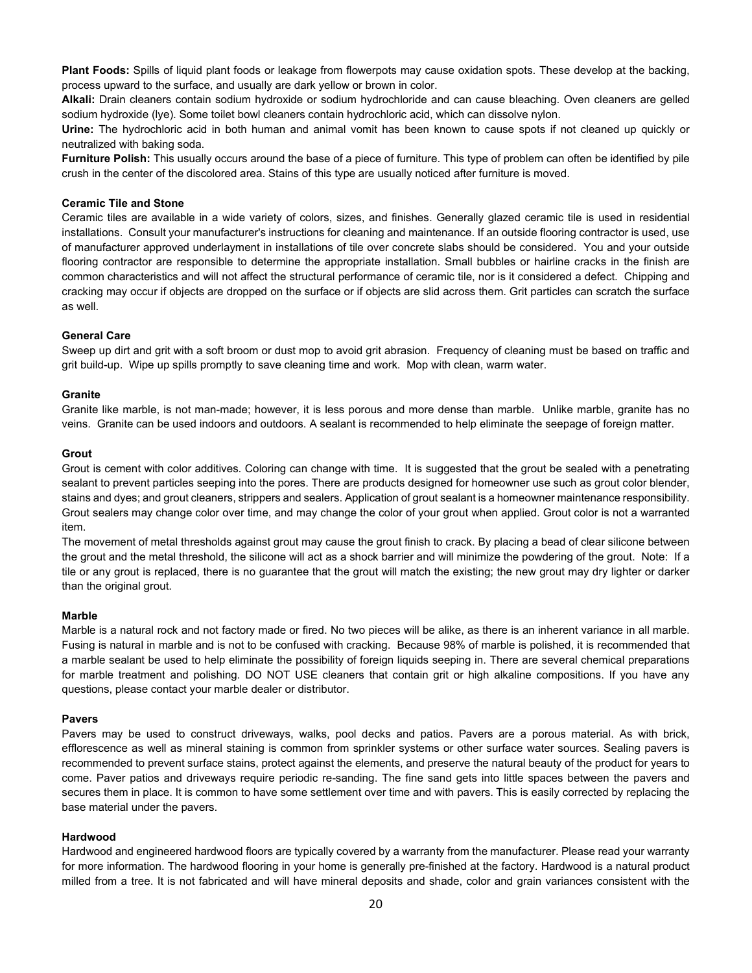**Plant Foods:** Spills of liquid plant foods or leakage from flowerpots may cause oxidation spots. These develop at the backing, process upward to the surface, and usually are dark yellow or brown in color.

**Alkali:** Drain cleaners contain sodium hydroxide or sodium hydrochloride and can cause bleaching. Oven cleaners are gelled sodium hydroxide (lye). Some toilet bowl cleaners contain hydrochloric acid, which can dissolve nylon.

**Urine:** The hydrochloric acid in both human and animal vomit has been known to cause spots if not cleaned up quickly or neutralized with baking soda.

**Furniture Polish:** This usually occurs around the base of a piece of furniture. This type of problem can often be identified by pile crush in the center of the discolored area. Stains of this type are usually noticed after furniture is moved.

### **Ceramic Tile and Stone**

Ceramic tiles are available in a wide variety of colors, sizes, and finishes. Generally glazed ceramic tile is used in residential installations. Consult your manufacturer's instructions for cleaning and maintenance. If an outside flooring contractor is used, use of manufacturer approved underlayment in installations of tile over concrete slabs should be considered. You and your outside flooring contractor are responsible to determine the appropriate installation. Small bubbles or hairline cracks in the finish are common characteristics and will not affect the structural performance of ceramic tile, nor is it considered a defect. Chipping and cracking may occur if objects are dropped on the surface or if objects are slid across them. Grit particles can scratch the surface as well.

### **General Care**

Sweep up dirt and grit with a soft broom or dust mop to avoid grit abrasion. Frequency of cleaning must be based on traffic and grit build-up. Wipe up spills promptly to save cleaning time and work. Mop with clean, warm water.

### **Granite**

Granite like marble, is not man-made; however, it is less porous and more dense than marble. Unlike marble, granite has no veins. Granite can be used indoors and outdoors. A sealant is recommended to help eliminate the seepage of foreign matter.

### **Grout**

Grout is cement with color additives. Coloring can change with time. It is suggested that the grout be sealed with a penetrating sealant to prevent particles seeping into the pores. There are products designed for homeowner use such as grout color blender, stains and dyes; and grout cleaners, strippers and sealers. Application of grout sealant is a homeowner maintenance responsibility. Grout sealers may change color over time, and may change the color of your grout when applied. Grout color is not a warranted item.

The movement of metal thresholds against grout may cause the grout finish to crack. By placing a bead of clear silicone between the grout and the metal threshold, the silicone will act as a shock barrier and will minimize the powdering of the grout. Note: If a tile or any grout is replaced, there is no guarantee that the grout will match the existing; the new grout may dry lighter or darker than the original grout.

### **Marble**

Marble is a natural rock and not factory made or fired. No two pieces will be alike, as there is an inherent variance in all marble. Fusing is natural in marble and is not to be confused with cracking. Because 98% of marble is polished, it is recommended that a marble sealant be used to help eliminate the possibility of foreign liquids seeping in. There are several chemical preparations for marble treatment and polishing. DO NOT USE cleaners that contain grit or high alkaline compositions. If you have any questions, please contact your marble dealer or distributor.

### **Pavers**

Pavers may be used to construct driveways, walks, pool decks and patios. Pavers are a porous material. As with brick, efflorescence as well as mineral staining is common from sprinkler systems or other surface water sources. Sealing pavers is recommended to prevent surface stains, protect against the elements, and preserve the natural beauty of the product for years to come. Paver patios and driveways require periodic re-sanding. The fine sand gets into little spaces between the pavers and secures them in place. It is common to have some settlement over time and with pavers. This is easily corrected by replacing the base material under the pavers.

### **Hardwood**

Hardwood and engineered hardwood floors are typically covered by a warranty from the manufacturer. Please read your warranty for more information. The hardwood flooring in your home is generally pre-finished at the factory. Hardwood is a natural product milled from a tree. It is not fabricated and will have mineral deposits and shade, color and grain variances consistent with the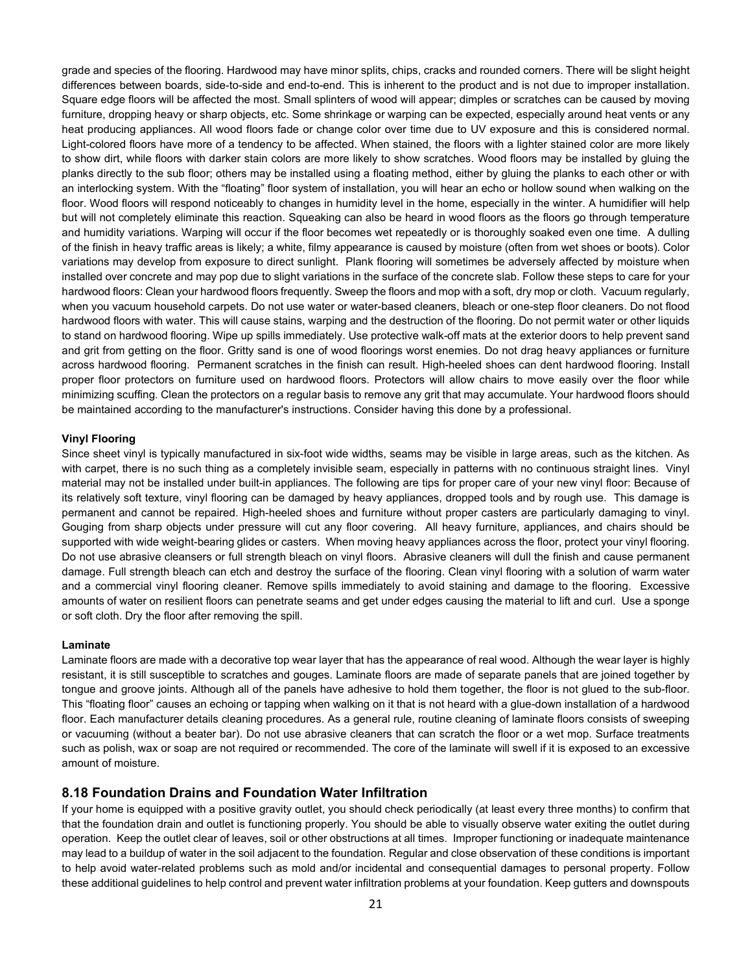grade and species of the flooring. Hardwood may have minor splits, chips, cracks and rounded corners. There will be slight height differences between boards, side-to-side and end-to-end. This is inherent to the product and is not due to improper installation. Square edge floors will be affected the most. Small splinters of wood will appear; dimples or scratches can be caused by moving furniture, dropping heavy or sharp objects, etc. Some shrinkage or warping can be expected, especially around heat vents or any heat producing appliances. All wood floors fade or change color over time due to UV exposure and this is considered normal. Light-colored floors have more of a tendency to be affected. When stained, the floors with a lighter stained color are more likely to show dirt, while floors with darker stain colors are more likely to show scratches. Wood floors may be installed by gluing the planks directly to the sub floor; others may be installed using a floating method, either by gluing the planks to each other or with an interlocking system. With the "floating" floor system of installation, you will hear an echo or hollow sound when walking on the floor. Wood floors will respond noticeably to changes in humidity level in the home, especially in the winter. A humidifier will help but will not completely eliminate this reaction. Squeaking can also be heard in wood floors as the floors go through temperature and humidity variations. Warping will occur if the floor becomes wet repeatedly or is thoroughly soaked even one time. A dulling of the finish in heavy traffic areas is likely; a white, filmy appearance is caused by moisture (often from wet shoes or boots). Color variations may develop from exposure to direct sunlight. Plank flooring will sometimes be adversely affected by moisture when installed over concrete and may pop due to slight variations in the surface of the concrete slab. Follow these steps to care for your hardwood floors: Clean your hardwood floors frequently. Sweep the floors and mop with a soft, dry mop or cloth. Vacuum regularly, when you vacuum household carpets. Do not use water or water-based cleaners, bleach or one-step floor cleaners. Do not flood hardwood floors with water. This will cause stains, warping and the destruction of the flooring. Do not permit water or other liquids to stand on hardwood flooring. Wipe up spills immediately. Use protective walk-off mats at the exterior doors to help prevent sand and grit from getting on the floor. Gritty sand is one of wood floorings worst enemies. Do not drag heavy appliances or furniture across hardwood flooring. Permanent scratches in the finish can result. High-heeled shoes can dent hardwood flooring. Install proper floor protectors on furniture used on hardwood floors. Protectors will allow chairs to move easily over the floor while minimizing scuffing. Clean the protectors on a regular basis to remove any grit that may accumulate. Your hardwood floors should be maintained according to the manufacturer's instructions. Consider having this done by a professional.

#### **Vinyl Flooring**

Since sheet vinyl is typically manufactured in six-foot wide widths, seams may be visible in large areas, such as the kitchen. As with carpet, there is no such thing as a completely invisible seam, especially in patterns with no continuous straight lines. Vinyl material may not be installed under built-in appliances. The following are tips for proper care of your new vinyl floor: Because of its relatively soft texture, vinyl flooring can be damaged by heavy appliances, dropped tools and by rough use. This damage is permanent and cannot be repaired. High-heeled shoes and furniture without proper casters are particularly damaging to vinyl. Gouging from sharp objects under pressure will cut any floor covering. All heavy furniture, appliances, and chairs should be supported with wide weight-bearing glides or casters. When moving heavy appliances across the floor, protect your vinyl flooring. Do not use abrasive cleansers or full strength bleach on vinyl floors. Abrasive cleaners will dull the finish and cause permanent damage. Full strength bleach can etch and destroy the surface of the flooring. Clean vinyl flooring with a solution of warm water and a commercial vinyl flooring cleaner. Remove spills immediately to avoid staining and damage to the flooring. Excessive amounts of water on resilient floors can penetrate seams and get under edges causing the material to lift and curl. Use a sponge or soft cloth. Dry the floor after removing the spill.

#### **Laminate**

Laminate floors are made with a decorative top wear layer that has the appearance of real wood. Although the wear layer is highly resistant, it is still susceptible to scratches and gouges. Laminate floors are made of separate panels that are joined together by tongue and groove joints. Although all of the panels have adhesive to hold them together, the floor is not glued to the sub-floor. This "floating floor" causes an echoing or tapping when walking on it that is not heard with a glue-down installation of a hardwood floor. Each manufacturer details cleaning procedures. As a general rule, routine cleaning of laminate floors consists of sweeping or vacuuming (without a beater bar). Do not use abrasive cleaners that can scratch the floor or a wet mop. Surface treatments such as polish, wax or soap are not required or recommended. The core of the laminate will swell if it is exposed to an excessive amount of moisture.

### **8.18 Foundation Drains and Foundation Water Infiltration**

If your home is equipped with a positive gravity outlet, you should check periodically (at least every three months) to confirm that that the foundation drain and outlet is functioning properly. You should be able to visually observe water exiting the outlet during operation. Keep the outlet clear of leaves, soil or other obstructions at all times. Improper functioning or inadequate maintenance may lead to a buildup of water in the soil adjacent to the foundation. Regular and close observation of these conditions is important to help avoid water-related problems such as mold and/or incidental and consequential damages to personal property. Follow these additional guidelines to help control and prevent water infiltration problems at your foundation. Keep gutters and downspouts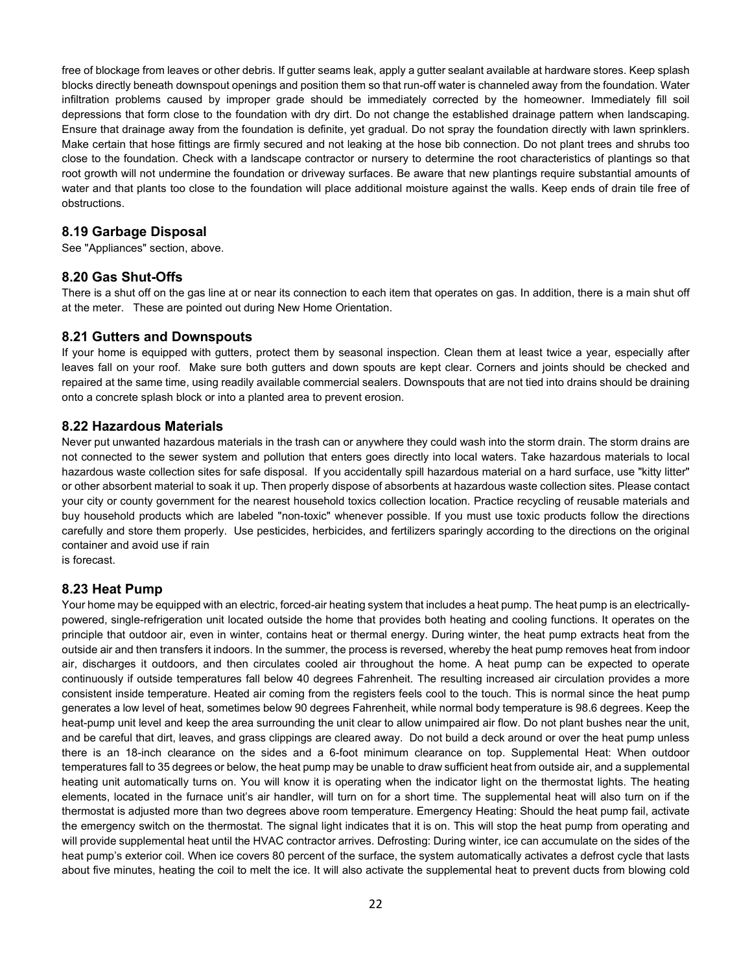free of blockage from leaves or other debris. If gutter seams leak, apply a gutter sealant available at hardware stores. Keep splash blocks directly beneath downspout openings and position them so that run-off water is channeled away from the foundation. Water infiltration problems caused by improper grade should be immediately corrected by the homeowner. Immediately fill soil depressions that form close to the foundation with dry dirt. Do not change the established drainage pattern when landscaping. Ensure that drainage away from the foundation is definite, yet gradual. Do not spray the foundation directly with lawn sprinklers. Make certain that hose fittings are firmly secured and not leaking at the hose bib connection. Do not plant trees and shrubs too close to the foundation. Check with a landscape contractor or nursery to determine the root characteristics of plantings so that root growth will not undermine the foundation or driveway surfaces. Be aware that new plantings require substantial amounts of water and that plants too close to the foundation will place additional moisture against the walls. Keep ends of drain tile free of obstructions.

## **8.19 Garbage Disposal**

See "Appliances" section, above.

## **8.20 Gas Shut-Offs**

There is a shut off on the gas line at or near its connection to each item that operates on gas. In addition, there is a main shut off at the meter. These are pointed out during New Home Orientation.

## **8.21 Gutters and Downspouts**

If your home is equipped with gutters, protect them by seasonal inspection. Clean them at least twice a year, especially after leaves fall on your roof. Make sure both gutters and down spouts are kept clear. Corners and joints should be checked and repaired at the same time, using readily available commercial sealers. Downspouts that are not tied into drains should be draining onto a concrete splash block or into a planted area to prevent erosion.

## **8.22 Hazardous Materials**

Never put unwanted hazardous materials in the trash can or anywhere they could wash into the storm drain. The storm drains are not connected to the sewer system and pollution that enters goes directly into local waters. Take hazardous materials to local hazardous waste collection sites for safe disposal. If you accidentally spill hazardous material on a hard surface, use "kitty litter" or other absorbent material to soak it up. Then properly dispose of absorbents at hazardous waste collection sites. Please contact your city or county government for the nearest household toxics collection location. Practice recycling of reusable materials and buy household products which are labeled "non-toxic" whenever possible. If you must use toxic products follow the directions carefully and store them properly. Use pesticides, herbicides, and fertilizers sparingly according to the directions on the original container and avoid use if rain

is forecast.

## **8.23 Heat Pump**

Your home may be equipped with an electric, forced-air heating system that includes a heat pump. The heat pump is an electricallypowered, single-refrigeration unit located outside the home that provides both heating and cooling functions. It operates on the principle that outdoor air, even in winter, contains heat or thermal energy. During winter, the heat pump extracts heat from the outside air and then transfers it indoors. In the summer, the process is reversed, whereby the heat pump removes heat from indoor air, discharges it outdoors, and then circulates cooled air throughout the home. A heat pump can be expected to operate continuously if outside temperatures fall below 40 degrees Fahrenheit. The resulting increased air circulation provides a more consistent inside temperature. Heated air coming from the registers feels cool to the touch. This is normal since the heat pump generates a low level of heat, sometimes below 90 degrees Fahrenheit, while normal body temperature is 98.6 degrees. Keep the heat-pump unit level and keep the area surrounding the unit clear to allow unimpaired air flow. Do not plant bushes near the unit, and be careful that dirt, leaves, and grass clippings are cleared away. Do not build a deck around or over the heat pump unless there is an 18-inch clearance on the sides and a 6-foot minimum clearance on top. Supplemental Heat: When outdoor temperatures fall to 35 degrees or below, the heat pump may be unable to draw sufficient heat from outside air, and a supplemental heating unit automatically turns on. You will know it is operating when the indicator light on the thermostat lights. The heating elements, located in the furnace unit's air handler, will turn on for a short time. The supplemental heat will also turn on if the thermostat is adjusted more than two degrees above room temperature. Emergency Heating: Should the heat pump fail, activate the emergency switch on the thermostat. The signal light indicates that it is on. This will stop the heat pump from operating and will provide supplemental heat until the HVAC contractor arrives. Defrosting: During winter, ice can accumulate on the sides of the heat pump's exterior coil. When ice covers 80 percent of the surface, the system automatically activates a defrost cycle that lasts about five minutes, heating the coil to melt the ice. It will also activate the supplemental heat to prevent ducts from blowing cold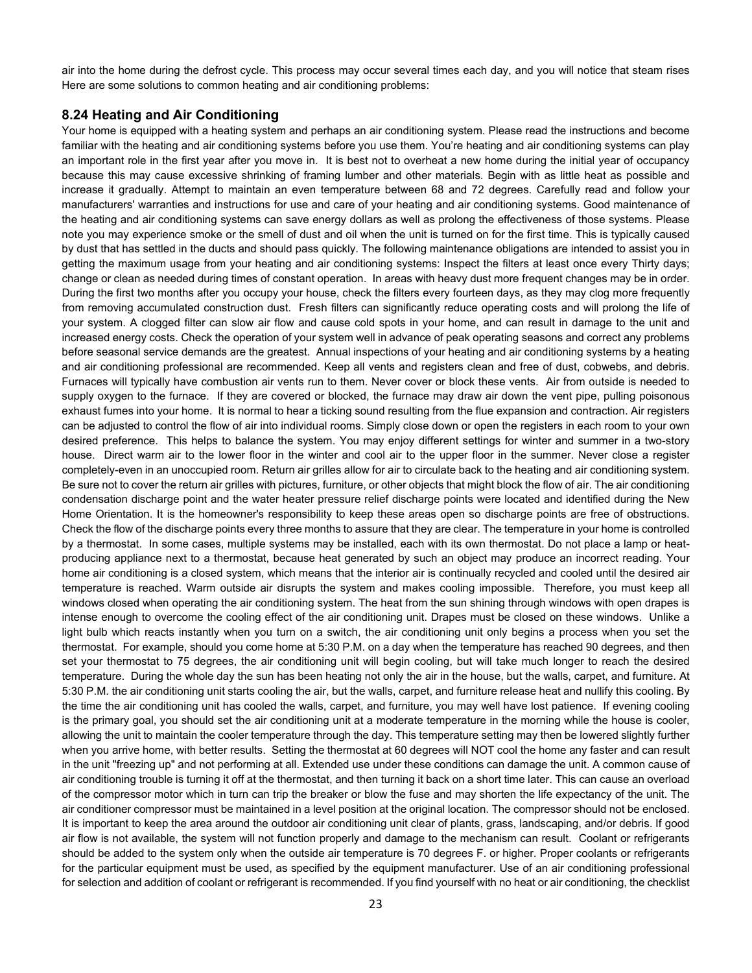air into the home during the defrost cycle. This process may occur several times each day, and you will notice that steam rises Here are some solutions to common heating and air conditioning problems:

### **8.24 Heating and Air Conditioning**

Your home is equipped with a heating system and perhaps an air conditioning system. Please read the instructions and become familiar with the heating and air conditioning systems before you use them. You're heating and air conditioning systems can play an important role in the first year after you move in. It is best not to overheat a new home during the initial year of occupancy because this may cause excessive shrinking of framing lumber and other materials. Begin with as little heat as possible and increase it gradually. Attempt to maintain an even temperature between 68 and 72 degrees. Carefully read and follow your manufacturers' warranties and instructions for use and care of your heating and air conditioning systems. Good maintenance of the heating and air conditioning systems can save energy dollars as well as prolong the effectiveness of those systems. Please note you may experience smoke or the smell of dust and oil when the unit is turned on for the first time. This is typically caused by dust that has settled in the ducts and should pass quickly. The following maintenance obligations are intended to assist you in getting the maximum usage from your heating and air conditioning systems: Inspect the filters at least once every Thirty days; change or clean as needed during times of constant operation. In areas with heavy dust more frequent changes may be in order. During the first two months after you occupy your house, check the filters every fourteen days, as they may clog more frequently from removing accumulated construction dust. Fresh filters can significantly reduce operating costs and will prolong the life of your system. A clogged filter can slow air flow and cause cold spots in your home, and can result in damage to the unit and increased energy costs. Check the operation of your system well in advance of peak operating seasons and correct any problems before seasonal service demands are the greatest. Annual inspections of your heating and air conditioning systems by a heating and air conditioning professional are recommended. Keep all vents and registers clean and free of dust, cobwebs, and debris. Furnaces will typically have combustion air vents run to them. Never cover or block these vents. Air from outside is needed to supply oxygen to the furnace. If they are covered or blocked, the furnace may draw air down the vent pipe, pulling poisonous exhaust fumes into your home. It is normal to hear a ticking sound resulting from the flue expansion and contraction. Air registers can be adjusted to control the flow of air into individual rooms. Simply close down or open the registers in each room to your own desired preference. This helps to balance the system. You may enjoy different settings for winter and summer in a two-story house. Direct warm air to the lower floor in the winter and cool air to the upper floor in the summer. Never close a register completely-even in an unoccupied room. Return air grilles allow for air to circulate back to the heating and air conditioning system. Be sure not to cover the return air grilles with pictures, furniture, or other objects that might block the flow of air. The air conditioning condensation discharge point and the water heater pressure relief discharge points were located and identified during the New Home Orientation. It is the homeowner's responsibility to keep these areas open so discharge points are free of obstructions. Check the flow of the discharge points every three months to assure that they are clear. The temperature in your home is controlled by a thermostat. In some cases, multiple systems may be installed, each with its own thermostat. Do not place a lamp or heatproducing appliance next to a thermostat, because heat generated by such an object may produce an incorrect reading. Your home air conditioning is a closed system, which means that the interior air is continually recycled and cooled until the desired air temperature is reached. Warm outside air disrupts the system and makes cooling impossible. Therefore, you must keep all windows closed when operating the air conditioning system. The heat from the sun shining through windows with open drapes is intense enough to overcome the cooling effect of the air conditioning unit. Drapes must be closed on these windows. Unlike a light bulb which reacts instantly when you turn on a switch, the air conditioning unit only begins a process when you set the thermostat. For example, should you come home at 5:30 P.M. on a day when the temperature has reached 90 degrees, and then set your thermostat to 75 degrees, the air conditioning unit will begin cooling, but will take much longer to reach the desired temperature. During the whole day the sun has been heating not only the air in the house, but the walls, carpet, and furniture. At 5:30 P.M. the air conditioning unit starts cooling the air, but the walls, carpet, and furniture release heat and nullify this cooling. By the time the air conditioning unit has cooled the walls, carpet, and furniture, you may well have lost patience. If evening cooling is the primary goal, you should set the air conditioning unit at a moderate temperature in the morning while the house is cooler, allowing the unit to maintain the cooler temperature through the day. This temperature setting may then be lowered slightly further when you arrive home, with better results. Setting the thermostat at 60 degrees will NOT cool the home any faster and can result in the unit "freezing up" and not performing at all. Extended use under these conditions can damage the unit. A common cause of air conditioning trouble is turning it off at the thermostat, and then turning it back on a short time later. This can cause an overload of the compressor motor which in turn can trip the breaker or blow the fuse and may shorten the life expectancy of the unit. The air conditioner compressor must be maintained in a level position at the original location. The compressor should not be enclosed. It is important to keep the area around the outdoor air conditioning unit clear of plants, grass, landscaping, and/or debris. If good air flow is not available, the system will not function properly and damage to the mechanism can result. Coolant or refrigerants should be added to the system only when the outside air temperature is 70 degrees F. or higher. Proper coolants or refrigerants for the particular equipment must be used, as specified by the equipment manufacturer. Use of an air conditioning professional for selection and addition of coolant or refrigerant is recommended. If you find yourself with no heat or air conditioning, the checklist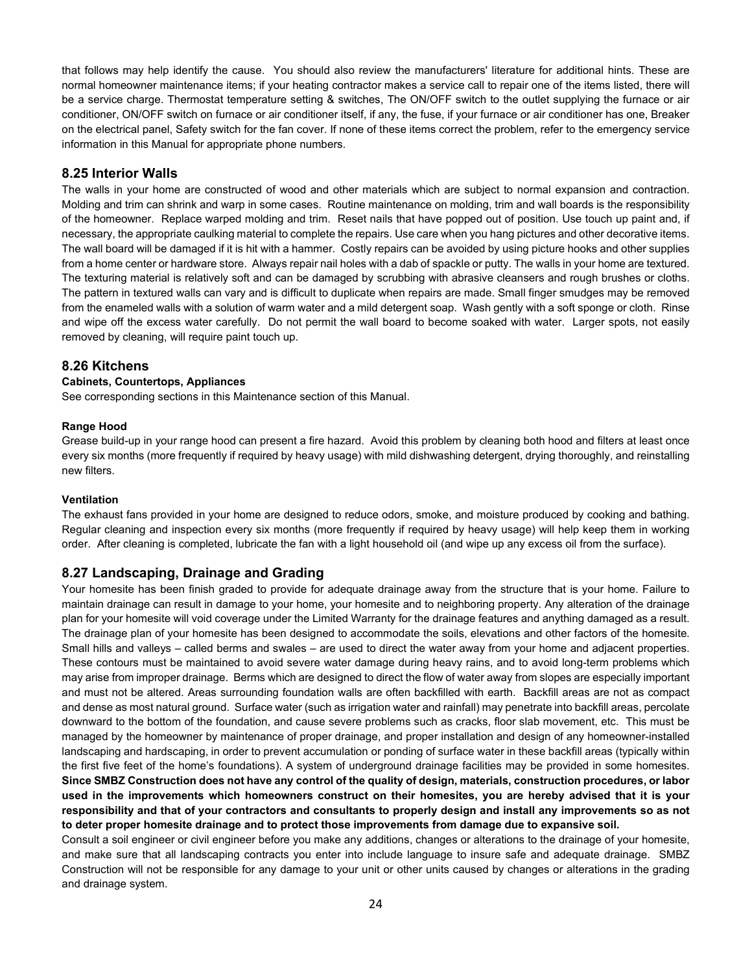that follows may help identify the cause. You should also review the manufacturers' literature for additional hints. These are normal homeowner maintenance items; if your heating contractor makes a service call to repair one of the items listed, there will be a service charge. Thermostat temperature setting & switches, The ON/OFF switch to the outlet supplying the furnace or air conditioner, ON/OFF switch on furnace or air conditioner itself, if any, the fuse, if your furnace or air conditioner has one, Breaker on the electrical panel, Safety switch for the fan cover. If none of these items correct the problem, refer to the emergency service information in this Manual for appropriate phone numbers.

## **8.25 Interior Walls**

The walls in your home are constructed of wood and other materials which are subject to normal expansion and contraction. Molding and trim can shrink and warp in some cases. Routine maintenance on molding, trim and wall boards is the responsibility of the homeowner. Replace warped molding and trim. Reset nails that have popped out of position. Use touch up paint and, if necessary, the appropriate caulking material to complete the repairs. Use care when you hang pictures and other decorative items. The wall board will be damaged if it is hit with a hammer. Costly repairs can be avoided by using picture hooks and other supplies from a home center or hardware store. Always repair nail holes with a dab of spackle or putty. The walls in your home are textured. The texturing material is relatively soft and can be damaged by scrubbing with abrasive cleansers and rough brushes or cloths. The pattern in textured walls can vary and is difficult to duplicate when repairs are made. Small finger smudges may be removed from the enameled walls with a solution of warm water and a mild detergent soap. Wash gently with a soft sponge or cloth. Rinse and wipe off the excess water carefully. Do not permit the wall board to become soaked with water. Larger spots, not easily removed by cleaning, will require paint touch up.

## **8.26 Kitchens**

## **Cabinets, Countertops, Appliances**

See corresponding sections in this Maintenance section of this Manual.

## **Range Hood**

Grease build-up in your range hood can present a fire hazard. Avoid this problem by cleaning both hood and filters at least once every six months (more frequently if required by heavy usage) with mild dishwashing detergent, drying thoroughly, and reinstalling new filters.

## **Ventilation**

The exhaust fans provided in your home are designed to reduce odors, smoke, and moisture produced by cooking and bathing. Regular cleaning and inspection every six months (more frequently if required by heavy usage) will help keep them in working order. After cleaning is completed, lubricate the fan with a light household oil (and wipe up any excess oil from the surface).

## **8.27 Landscaping, Drainage and Grading**

Your homesite has been finish graded to provide for adequate drainage away from the structure that is your home. Failure to maintain drainage can result in damage to your home, your homesite and to neighboring property. Any alteration of the drainage plan for your homesite will void coverage under the Limited Warranty for the drainage features and anything damaged as a result. The drainage plan of your homesite has been designed to accommodate the soils, elevations and other factors of the homesite. Small hills and valleys – called berms and swales – are used to direct the water away from your home and adjacent properties. These contours must be maintained to avoid severe water damage during heavy rains, and to avoid long-term problems which may arise from improper drainage. Berms which are designed to direct the flow of water away from slopes are especially important and must not be altered. Areas surrounding foundation walls are often backfilled with earth. Backfill areas are not as compact and dense as most natural ground. Surface water (such as irrigation water and rainfall) may penetrate into backfill areas, percolate downward to the bottom of the foundation, and cause severe problems such as cracks, floor slab movement, etc. This must be managed by the homeowner by maintenance of proper drainage, and proper installation and design of any homeowner-installed landscaping and hardscaping, in order to prevent accumulation or ponding of surface water in these backfill areas (typically within the first five feet of the home's foundations). A system of underground drainage facilities may be provided in some homesites. **Since SMBZ Construction does not have any control of the quality of design, materials, construction procedures, or labor used in the improvements which homeowners construct on their homesites, you are hereby advised that it is your responsibility and that of your contractors and consultants to properly design and install any improvements so as not to deter proper homesite drainage and to protect those improvements from damage due to expansive soil.**

Consult a soil engineer or civil engineer before you make any additions, changes or alterations to the drainage of your homesite, and make sure that all landscaping contracts you enter into include language to insure safe and adequate drainage. SMBZ Construction will not be responsible for any damage to your unit or other units caused by changes or alterations in the grading and drainage system.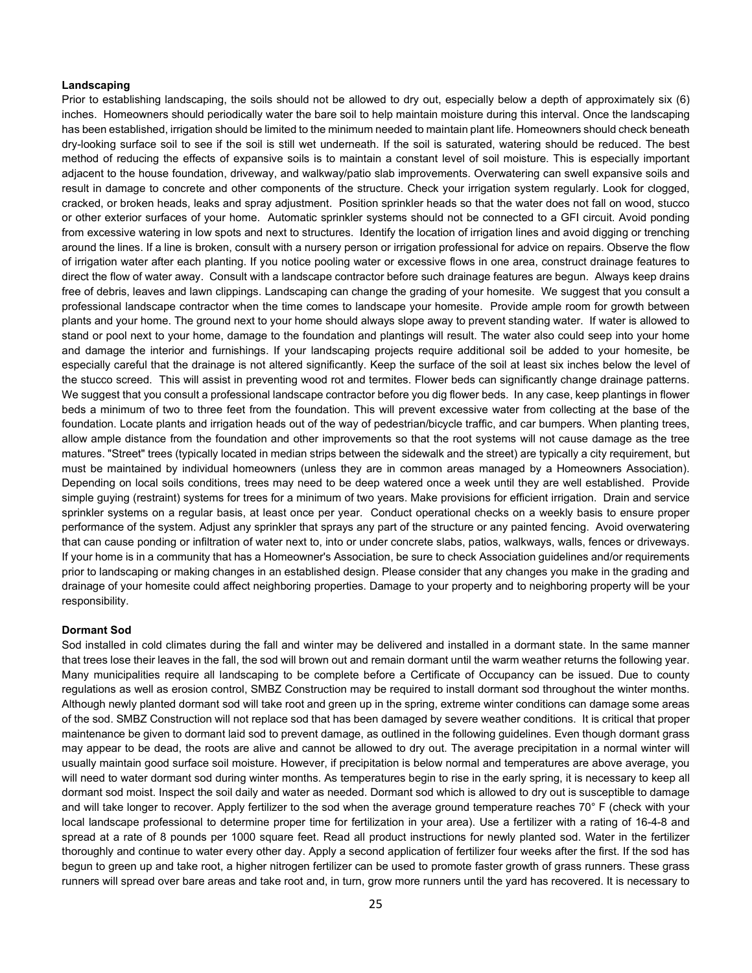#### **Landscaping**

Prior to establishing landscaping, the soils should not be allowed to dry out, especially below a depth of approximately six (6) inches. Homeowners should periodically water the bare soil to help maintain moisture during this interval. Once the landscaping has been established, irrigation should be limited to the minimum needed to maintain plant life. Homeowners should check beneath dry-looking surface soil to see if the soil is still wet underneath. If the soil is saturated, watering should be reduced. The best method of reducing the effects of expansive soils is to maintain a constant level of soil moisture. This is especially important adjacent to the house foundation, driveway, and walkway/patio slab improvements. Overwatering can swell expansive soils and result in damage to concrete and other components of the structure. Check your irrigation system regularly. Look for clogged, cracked, or broken heads, leaks and spray adjustment. Position sprinkler heads so that the water does not fall on wood, stucco or other exterior surfaces of your home. Automatic sprinkler systems should not be connected to a GFI circuit. Avoid ponding from excessive watering in low spots and next to structures. Identify the location of irrigation lines and avoid digging or trenching around the lines. If a line is broken, consult with a nursery person or irrigation professional for advice on repairs. Observe the flow of irrigation water after each planting. If you notice pooling water or excessive flows in one area, construct drainage features to direct the flow of water away. Consult with a landscape contractor before such drainage features are begun. Always keep drains free of debris, leaves and lawn clippings. Landscaping can change the grading of your homesite. We suggest that you consult a professional landscape contractor when the time comes to landscape your homesite. Provide ample room for growth between plants and your home. The ground next to your home should always slope away to prevent standing water. If water is allowed to stand or pool next to your home, damage to the foundation and plantings will result. The water also could seep into your home and damage the interior and furnishings. If your landscaping projects require additional soil be added to your homesite, be especially careful that the drainage is not altered significantly. Keep the surface of the soil at least six inches below the level of the stucco screed. This will assist in preventing wood rot and termites. Flower beds can significantly change drainage patterns. We suggest that you consult a professional landscape contractor before you dig flower beds. In any case, keep plantings in flower beds a minimum of two to three feet from the foundation. This will prevent excessive water from collecting at the base of the foundation. Locate plants and irrigation heads out of the way of pedestrian/bicycle traffic, and car bumpers. When planting trees, allow ample distance from the foundation and other improvements so that the root systems will not cause damage as the tree matures. "Street" trees (typically located in median strips between the sidewalk and the street) are typically a city requirement, but must be maintained by individual homeowners (unless they are in common areas managed by a Homeowners Association). Depending on local soils conditions, trees may need to be deep watered once a week until they are well established. Provide simple guying (restraint) systems for trees for a minimum of two years. Make provisions for efficient irrigation. Drain and service sprinkler systems on a regular basis, at least once per year. Conduct operational checks on a weekly basis to ensure proper performance of the system. Adjust any sprinkler that sprays any part of the structure or any painted fencing. Avoid overwatering that can cause ponding or infiltration of water next to, into or under concrete slabs, patios, walkways, walls, fences or driveways. If your home is in a community that has a Homeowner's Association, be sure to check Association guidelines and/or requirements prior to landscaping or making changes in an established design. Please consider that any changes you make in the grading and drainage of your homesite could affect neighboring properties. Damage to your property and to neighboring property will be your responsibility.

#### **Dormant Sod**

Sod installed in cold climates during the fall and winter may be delivered and installed in a dormant state. In the same manner that trees lose their leaves in the fall, the sod will brown out and remain dormant until the warm weather returns the following year. Many municipalities require all landscaping to be complete before a Certificate of Occupancy can be issued. Due to county regulations as well as erosion control, SMBZ Construction may be required to install dormant sod throughout the winter months. Although newly planted dormant sod will take root and green up in the spring, extreme winter conditions can damage some areas of the sod. SMBZ Construction will not replace sod that has been damaged by severe weather conditions. It is critical that proper maintenance be given to dormant laid sod to prevent damage, as outlined in the following guidelines. Even though dormant grass may appear to be dead, the roots are alive and cannot be allowed to dry out. The average precipitation in a normal winter will usually maintain good surface soil moisture. However, if precipitation is below normal and temperatures are above average, you will need to water dormant sod during winter months. As temperatures begin to rise in the early spring, it is necessary to keep all dormant sod moist. Inspect the soil daily and water as needed. Dormant sod which is allowed to dry out is susceptible to damage and will take longer to recover. Apply fertilizer to the sod when the average ground temperature reaches 70° F (check with your local landscape professional to determine proper time for fertilization in your area). Use a fertilizer with a rating of 16-4-8 and spread at a rate of 8 pounds per 1000 square feet. Read all product instructions for newly planted sod. Water in the fertilizer thoroughly and continue to water every other day. Apply a second application of fertilizer four weeks after the first. If the sod has begun to green up and take root, a higher nitrogen fertilizer can be used to promote faster growth of grass runners. These grass runners will spread over bare areas and take root and, in turn, grow more runners until the yard has recovered. It is necessary to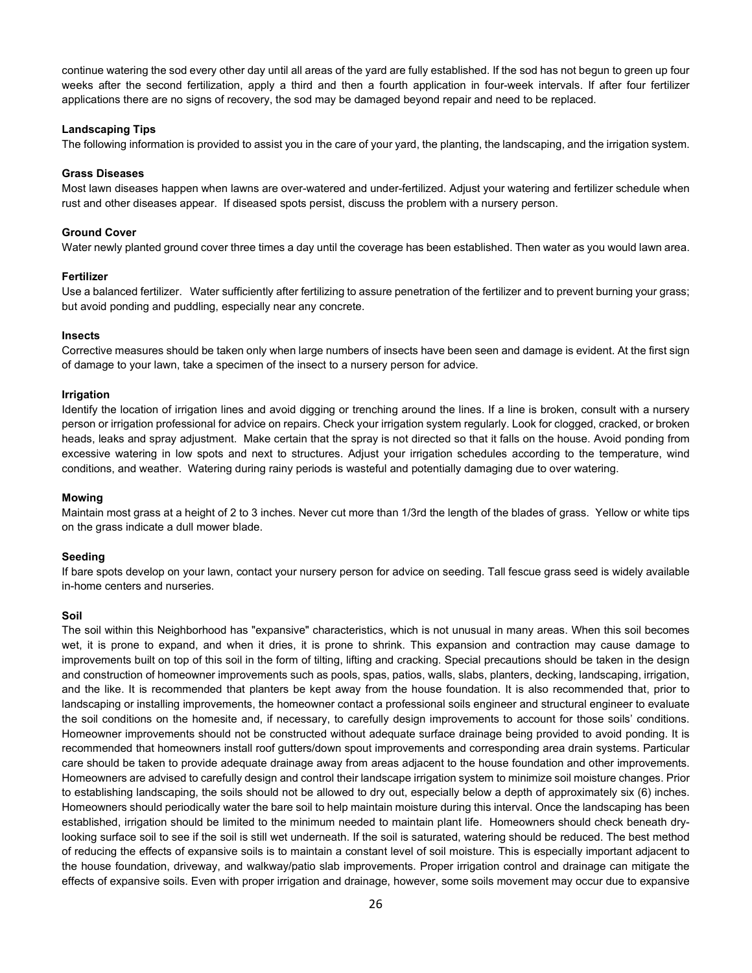continue watering the sod every other day until all areas of the yard are fully established. If the sod has not begun to green up four weeks after the second fertilization, apply a third and then a fourth application in four-week intervals. If after four fertilizer applications there are no signs of recovery, the sod may be damaged beyond repair and need to be replaced.

#### **Landscaping Tips**

The following information is provided to assist you in the care of your yard, the planting, the landscaping, and the irrigation system.

#### **Grass Diseases**

Most lawn diseases happen when lawns are over-watered and under-fertilized. Adjust your watering and fertilizer schedule when rust and other diseases appear. If diseased spots persist, discuss the problem with a nursery person.

#### **Ground Cover**

Water newly planted ground cover three times a day until the coverage has been established. Then water as you would lawn area.

#### **Fertilizer**

Use a balanced fertilizer. Water sufficiently after fertilizing to assure penetration of the fertilizer and to prevent burning your grass; but avoid ponding and puddling, especially near any concrete.

#### **Insects**

Corrective measures should be taken only when large numbers of insects have been seen and damage is evident. At the first sign of damage to your lawn, take a specimen of the insect to a nursery person for advice.

#### **Irrigation**

Identify the location of irrigation lines and avoid digging or trenching around the lines. If a line is broken, consult with a nursery person or irrigation professional for advice on repairs. Check your irrigation system regularly. Look for clogged, cracked, or broken heads, leaks and spray adjustment. Make certain that the spray is not directed so that it falls on the house. Avoid ponding from excessive watering in low spots and next to structures. Adjust your irrigation schedules according to the temperature, wind conditions, and weather. Watering during rainy periods is wasteful and potentially damaging due to over watering.

#### **Mowing**

Maintain most grass at a height of 2 to 3 inches. Never cut more than 1/3rd the length of the blades of grass. Yellow or white tips on the grass indicate a dull mower blade.

#### **Seeding**

If bare spots develop on your lawn, contact your nursery person for advice on seeding. Tall fescue grass seed is widely available in-home centers and nurseries.

#### **Soil**

The soil within this Neighborhood has "expansive" characteristics, which is not unusual in many areas. When this soil becomes wet, it is prone to expand, and when it dries, it is prone to shrink. This expansion and contraction may cause damage to improvements built on top of this soil in the form of tilting, lifting and cracking. Special precautions should be taken in the design and construction of homeowner improvements such as pools, spas, patios, walls, slabs, planters, decking, landscaping, irrigation, and the like. It is recommended that planters be kept away from the house foundation. It is also recommended that, prior to landscaping or installing improvements, the homeowner contact a professional soils engineer and structural engineer to evaluate the soil conditions on the homesite and, if necessary, to carefully design improvements to account for those soils' conditions. Homeowner improvements should not be constructed without adequate surface drainage being provided to avoid ponding. It is recommended that homeowners install roof gutters/down spout improvements and corresponding area drain systems. Particular care should be taken to provide adequate drainage away from areas adjacent to the house foundation and other improvements. Homeowners are advised to carefully design and control their landscape irrigation system to minimize soil moisture changes. Prior to establishing landscaping, the soils should not be allowed to dry out, especially below a depth of approximately six (6) inches. Homeowners should periodically water the bare soil to help maintain moisture during this interval. Once the landscaping has been established, irrigation should be limited to the minimum needed to maintain plant life. Homeowners should check beneath drylooking surface soil to see if the soil is still wet underneath. If the soil is saturated, watering should be reduced. The best method of reducing the effects of expansive soils is to maintain a constant level of soil moisture. This is especially important adjacent to the house foundation, driveway, and walkway/patio slab improvements. Proper irrigation control and drainage can mitigate the effects of expansive soils. Even with proper irrigation and drainage, however, some soils movement may occur due to expansive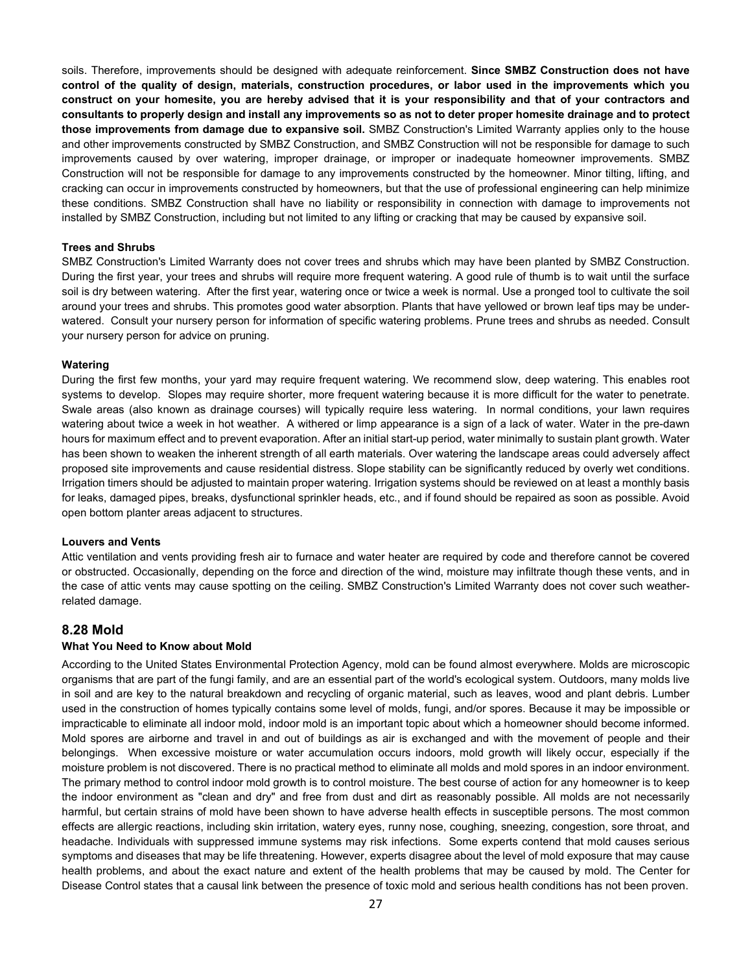soils. Therefore, improvements should be designed with adequate reinforcement. **Since SMBZ Construction does not have control of the quality of design, materials, construction procedures, or labor used in the improvements which you construct on your homesite, you are hereby advised that it is your responsibility and that of your contractors and consultants to properly design and install any improvements so as not to deter proper homesite drainage and to protect those improvements from damage due to expansive soil.** SMBZ Construction's Limited Warranty applies only to the house and other improvements constructed by SMBZ Construction, and SMBZ Construction will not be responsible for damage to such improvements caused by over watering, improper drainage, or improper or inadequate homeowner improvements. SMBZ Construction will not be responsible for damage to any improvements constructed by the homeowner. Minor tilting, lifting, and cracking can occur in improvements constructed by homeowners, but that the use of professional engineering can help minimize these conditions. SMBZ Construction shall have no liability or responsibility in connection with damage to improvements not installed by SMBZ Construction, including but not limited to any lifting or cracking that may be caused by expansive soil.

#### **Trees and Shrubs**

SMBZ Construction's Limited Warranty does not cover trees and shrubs which may have been planted by SMBZ Construction. During the first year, your trees and shrubs will require more frequent watering. A good rule of thumb is to wait until the surface soil is dry between watering. After the first year, watering once or twice a week is normal. Use a pronged tool to cultivate the soil around your trees and shrubs. This promotes good water absorption. Plants that have yellowed or brown leaf tips may be underwatered. Consult your nursery person for information of specific watering problems. Prune trees and shrubs as needed. Consult your nursery person for advice on pruning.

#### **Watering**

During the first few months, your yard may require frequent watering. We recommend slow, deep watering. This enables root systems to develop. Slopes may require shorter, more frequent watering because it is more difficult for the water to penetrate. Swale areas (also known as drainage courses) will typically require less watering. In normal conditions, your lawn requires watering about twice a week in hot weather. A withered or limp appearance is a sign of a lack of water. Water in the pre-dawn hours for maximum effect and to prevent evaporation. After an initial start-up period, water minimally to sustain plant growth. Water has been shown to weaken the inherent strength of all earth materials. Over watering the landscape areas could adversely affect proposed site improvements and cause residential distress. Slope stability can be significantly reduced by overly wet conditions. Irrigation timers should be adjusted to maintain proper watering. Irrigation systems should be reviewed on at least a monthly basis for leaks, damaged pipes, breaks, dysfunctional sprinkler heads, etc., and if found should be repaired as soon as possible. Avoid open bottom planter areas adjacent to structures.

#### **Louvers and Vents**

Attic ventilation and vents providing fresh air to furnace and water heater are required by code and therefore cannot be covered or obstructed. Occasionally, depending on the force and direction of the wind, moisture may infiltrate though these vents, and in the case of attic vents may cause spotting on the ceiling. SMBZ Construction's Limited Warranty does not cover such weatherrelated damage.

## **8.28 Mold**

#### **What You Need to Know about Mold**

According to the United States Environmental Protection Agency, mold can be found almost everywhere. Molds are microscopic organisms that are part of the fungi family, and are an essential part of the world's ecological system. Outdoors, many molds live in soil and are key to the natural breakdown and recycling of organic material, such as leaves, wood and plant debris. Lumber used in the construction of homes typically contains some level of molds, fungi, and/or spores. Because it may be impossible or impracticable to eliminate all indoor mold, indoor mold is an important topic about which a homeowner should become informed. Mold spores are airborne and travel in and out of buildings as air is exchanged and with the movement of people and their belongings. When excessive moisture or water accumulation occurs indoors, mold growth will likely occur, especially if the moisture problem is not discovered. There is no practical method to eliminate all molds and mold spores in an indoor environment. The primary method to control indoor mold growth is to control moisture. The best course of action for any homeowner is to keep the indoor environment as "clean and dry" and free from dust and dirt as reasonably possible. All molds are not necessarily harmful, but certain strains of mold have been shown to have adverse health effects in susceptible persons. The most common effects are allergic reactions, including skin irritation, watery eyes, runny nose, coughing, sneezing, congestion, sore throat, and headache. Individuals with suppressed immune systems may risk infections. Some experts contend that mold causes serious symptoms and diseases that may be life threatening. However, experts disagree about the level of mold exposure that may cause health problems, and about the exact nature and extent of the health problems that may be caused by mold. The Center for Disease Control states that a causal link between the presence of toxic mold and serious health conditions has not been proven.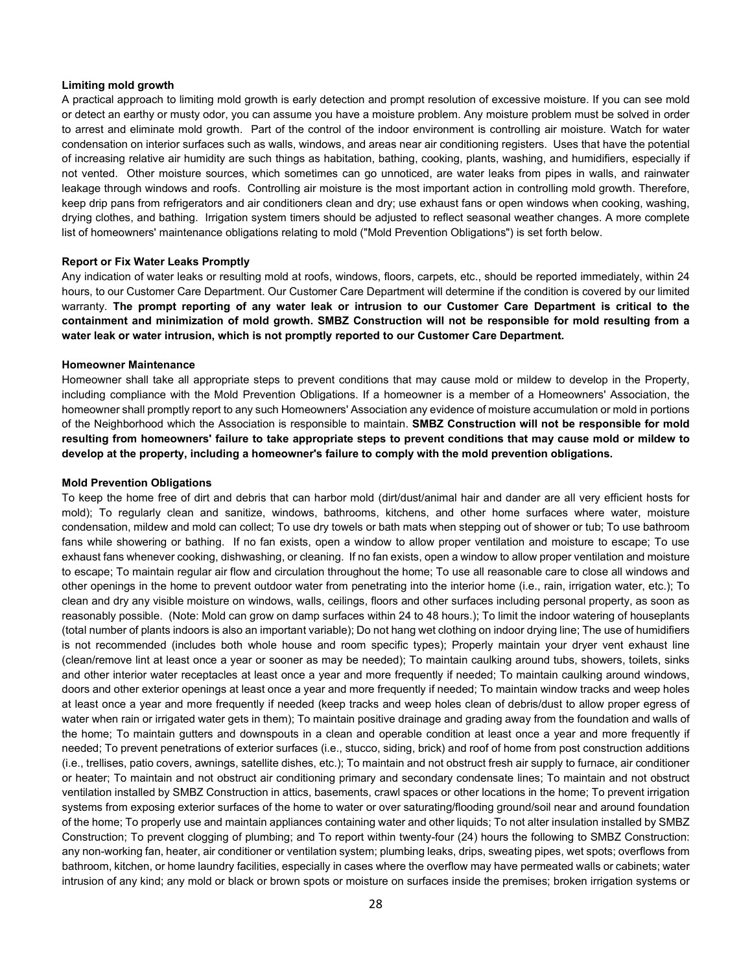#### **Limiting mold growth**

A practical approach to limiting mold growth is early detection and prompt resolution of excessive moisture. If you can see mold or detect an earthy or musty odor, you can assume you have a moisture problem. Any moisture problem must be solved in order to arrest and eliminate mold growth. Part of the control of the indoor environment is controlling air moisture. Watch for water condensation on interior surfaces such as walls, windows, and areas near air conditioning registers. Uses that have the potential of increasing relative air humidity are such things as habitation, bathing, cooking, plants, washing, and humidifiers, especially if not vented. Other moisture sources, which sometimes can go unnoticed, are water leaks from pipes in walls, and rainwater leakage through windows and roofs. Controlling air moisture is the most important action in controlling mold growth. Therefore, keep drip pans from refrigerators and air conditioners clean and dry; use exhaust fans or open windows when cooking, washing, drying clothes, and bathing. Irrigation system timers should be adjusted to reflect seasonal weather changes. A more complete list of homeowners' maintenance obligations relating to mold ("Mold Prevention Obligations") is set forth below.

#### **Report or Fix Water Leaks Promptly**

Any indication of water leaks or resulting mold at roofs, windows, floors, carpets, etc., should be reported immediately, within 24 hours, to our Customer Care Department. Our Customer Care Department will determine if the condition is covered by our limited warranty. **The prompt reporting of any water leak or intrusion to our Customer Care Department is critical to the containment and minimization of mold growth. SMBZ Construction will not be responsible for mold resulting from a water leak or water intrusion, which is not promptly reported to our Customer Care Department.**

#### **Homeowner Maintenance**

Homeowner shall take all appropriate steps to prevent conditions that may cause mold or mildew to develop in the Property, including compliance with the Mold Prevention Obligations. If a homeowner is a member of a Homeowners' Association, the homeowner shall promptly report to any such Homeowners' Association any evidence of moisture accumulation or mold in portions of the Neighborhood which the Association is responsible to maintain. **SMBZ Construction will not be responsible for mold resulting from homeowners' failure to take appropriate steps to prevent conditions that may cause mold or mildew to develop at the property, including a homeowner's failure to comply with the mold prevention obligations.**

#### **Mold Prevention Obligations**

To keep the home free of dirt and debris that can harbor mold (dirt/dust/animal hair and dander are all very efficient hosts for mold); To regularly clean and sanitize, windows, bathrooms, kitchens, and other home surfaces where water, moisture condensation, mildew and mold can collect; To use dry towels or bath mats when stepping out of shower or tub; To use bathroom fans while showering or bathing. If no fan exists, open a window to allow proper ventilation and moisture to escape; To use exhaust fans whenever cooking, dishwashing, or cleaning. If no fan exists, open a window to allow proper ventilation and moisture to escape; To maintain regular air flow and circulation throughout the home; To use all reasonable care to close all windows and other openings in the home to prevent outdoor water from penetrating into the interior home (i.e., rain, irrigation water, etc.); To clean and dry any visible moisture on windows, walls, ceilings, floors and other surfaces including personal property, as soon as reasonably possible. (Note: Mold can grow on damp surfaces within 24 to 48 hours.); To limit the indoor watering of houseplants (total number of plants indoors is also an important variable); Do not hang wet clothing on indoor drying line; The use of humidifiers is not recommended (includes both whole house and room specific types); Properly maintain your dryer vent exhaust line (clean/remove lint at least once a year or sooner as may be needed); To maintain caulking around tubs, showers, toilets, sinks and other interior water receptacles at least once a year and more frequently if needed; To maintain caulking around windows, doors and other exterior openings at least once a year and more frequently if needed; To maintain window tracks and weep holes at least once a year and more frequently if needed (keep tracks and weep holes clean of debris/dust to allow proper egress of water when rain or irrigated water gets in them); To maintain positive drainage and grading away from the foundation and walls of the home; To maintain gutters and downspouts in a clean and operable condition at least once a year and more frequently if needed; To prevent penetrations of exterior surfaces (i.e., stucco, siding, brick) and roof of home from post construction additions (i.e., trellises, patio covers, awnings, satellite dishes, etc.); To maintain and not obstruct fresh air supply to furnace, air conditioner or heater; To maintain and not obstruct air conditioning primary and secondary condensate lines; To maintain and not obstruct ventilation installed by SMBZ Construction in attics, basements, crawl spaces or other locations in the home; To prevent irrigation systems from exposing exterior surfaces of the home to water or over saturating/flooding ground/soil near and around foundation of the home; To properly use and maintain appliances containing water and other liquids; To not alter insulation installed by SMBZ Construction; To prevent clogging of plumbing; and To report within twenty-four (24) hours the following to SMBZ Construction: any non-working fan, heater, air conditioner or ventilation system; plumbing leaks, drips, sweating pipes, wet spots; overflows from bathroom, kitchen, or home laundry facilities, especially in cases where the overflow may have permeated walls or cabinets; water intrusion of any kind; any mold or black or brown spots or moisture on surfaces inside the premises; broken irrigation systems or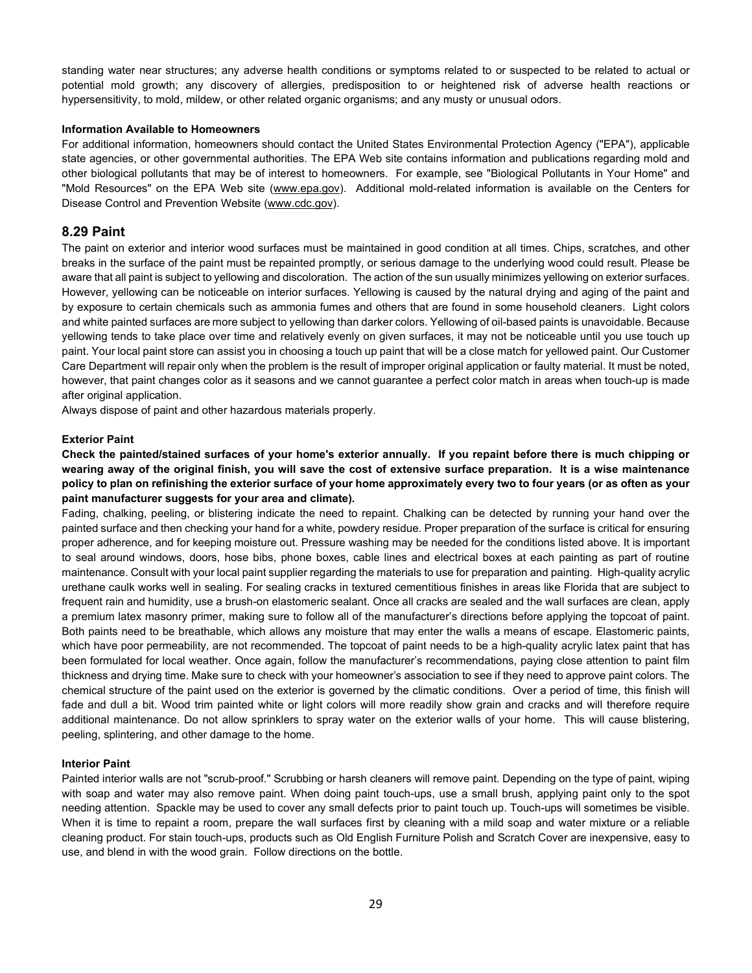standing water near structures; any adverse health conditions or symptoms related to or suspected to be related to actual or potential mold growth; any discovery of allergies, predisposition to or heightened risk of adverse health reactions or hypersensitivity, to mold, mildew, or other related organic organisms; and any musty or unusual odors.

#### **Information Available to Homeowners**

For additional information, homeowners should contact the United States Environmental Protection Agency ("EPA"), applicable state agencies, or other governmental authorities. The EPA Web site contains information and publications regarding mold and other biological pollutants that may be of interest to homeowners. For example, see "Biological Pollutants in Your Home" and "Mold Resources" on the EPA Web site [\(www.epa.gov\)](http://www.epa.gov/). Additional mold-related information is available on the Centers for Disease Control and Prevention Website [\(www.cdc.gov\)](http://www.cdc.gov/).

### **8.29 Paint**

The paint on exterior and interior wood surfaces must be maintained in good condition at all times. Chips, scratches, and other breaks in the surface of the paint must be repainted promptly, or serious damage to the underlying wood could result. Please be aware that all paint is subject to yellowing and discoloration. The action of the sun usually minimizes yellowing on exterior surfaces. However, yellowing can be noticeable on interior surfaces. Yellowing is caused by the natural drying and aging of the paint and by exposure to certain chemicals such as ammonia fumes and others that are found in some household cleaners. Light colors and white painted surfaces are more subject to yellowing than darker colors. Yellowing of oil-based paints is unavoidable. Because yellowing tends to take place over time and relatively evenly on given surfaces, it may not be noticeable until you use touch up paint. Your local paint store can assist you in choosing a touch up paint that will be a close match for yellowed paint. Our Customer Care Department will repair only when the problem is the result of improper original application or faulty material. It must be noted, however, that paint changes color as it seasons and we cannot guarantee a perfect color match in areas when touch-up is made after original application.

Always dispose of paint and other hazardous materials properly.

#### **Exterior Paint**

**Check the painted/stained surfaces of your home's exterior annually. If you repaint before there is much chipping or wearing away of the original finish, you will save the cost of extensive surface preparation. It is a wise maintenance policy to plan on refinishing the exterior surface of your home approximately every two to four years (or as often as your paint manufacturer suggests for your area and climate).** 

Fading, chalking, peeling, or blistering indicate the need to repaint. Chalking can be detected by running your hand over the painted surface and then checking your hand for a white, powdery residue. Proper preparation of the surface is critical for ensuring proper adherence, and for keeping moisture out. Pressure washing may be needed for the conditions listed above. It is important to seal around windows, doors, hose bibs, phone boxes, cable lines and electrical boxes at each painting as part of routine maintenance. Consult with your local paint supplier regarding the materials to use for preparation and painting. High-quality acrylic urethane caulk works well in sealing. For sealing cracks in textured cementitious finishes in areas like Florida that are subject to frequent rain and humidity, use a brush-on elastomeric sealant. Once all cracks are sealed and the wall surfaces are clean, apply a premium latex masonry primer, making sure to follow all of the manufacturer's directions before applying the topcoat of paint. Both paints need to be breathable, which allows any moisture that may enter the walls a means of escape. Elastomeric paints, which have poor permeability, are not recommended. The topcoat of paint needs to be a high-quality acrylic latex paint that has been formulated for local weather. Once again, follow the manufacturer's recommendations, paying close attention to paint film thickness and drying time. Make sure to check with your homeowner's association to see if they need to approve paint colors. The chemical structure of the paint used on the exterior is governed by the climatic conditions. Over a period of time, this finish will fade and dull a bit. Wood trim painted white or light colors will more readily show grain and cracks and will therefore require additional maintenance. Do not allow sprinklers to spray water on the exterior walls of your home. This will cause blistering, peeling, splintering, and other damage to the home.

### **Interior Paint**

Painted interior walls are not "scrub-proof." Scrubbing or harsh cleaners will remove paint. Depending on the type of paint, wiping with soap and water may also remove paint. When doing paint touch-ups, use a small brush, applying paint only to the spot needing attention. Spackle may be used to cover any small defects prior to paint touch up. Touch-ups will sometimes be visible. When it is time to repaint a room, prepare the wall surfaces first by cleaning with a mild soap and water mixture or a reliable cleaning product. For stain touch-ups, products such as Old English Furniture Polish and Scratch Cover are inexpensive, easy to use, and blend in with the wood grain. Follow directions on the bottle.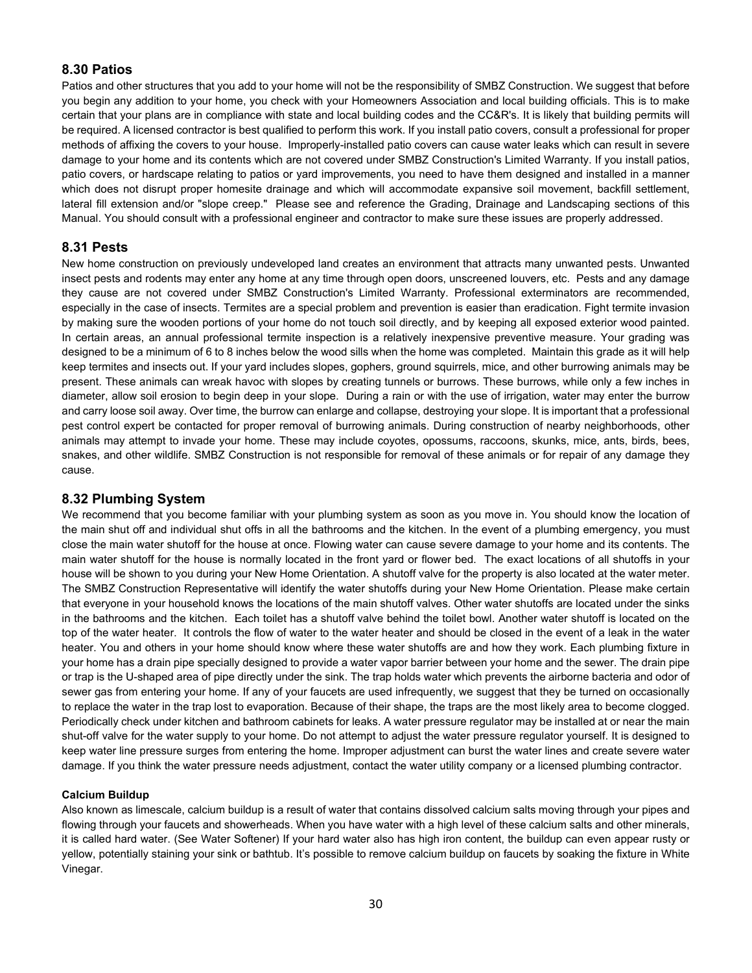## **8.30 Patios**

Patios and other structures that you add to your home will not be the responsibility of SMBZ Construction. We suggest that before you begin any addition to your home, you check with your Homeowners Association and local building officials. This is to make certain that your plans are in compliance with state and local building codes and the CC&R's. It is likely that building permits will be required. A licensed contractor is best qualified to perform this work. If you install patio covers, consult a professional for proper methods of affixing the covers to your house. Improperly-installed patio covers can cause water leaks which can result in severe damage to your home and its contents which are not covered under SMBZ Construction's Limited Warranty. If you install patios, patio covers, or hardscape relating to patios or yard improvements, you need to have them designed and installed in a manner which does not disrupt proper homesite drainage and which will accommodate expansive soil movement, backfill settlement, lateral fill extension and/or "slope creep." Please see and reference the Grading, Drainage and Landscaping sections of this Manual. You should consult with a professional engineer and contractor to make sure these issues are properly addressed.

## **8.31 Pests**

New home construction on previously undeveloped land creates an environment that attracts many unwanted pests. Unwanted insect pests and rodents may enter any home at any time through open doors, unscreened louvers, etc. Pests and any damage they cause are not covered under SMBZ Construction's Limited Warranty. Professional exterminators are recommended, especially in the case of insects. Termites are a special problem and prevention is easier than eradication. Fight termite invasion by making sure the wooden portions of your home do not touch soil directly, and by keeping all exposed exterior wood painted. In certain areas, an annual professional termite inspection is a relatively inexpensive preventive measure. Your grading was designed to be a minimum of 6 to 8 inches below the wood sills when the home was completed. Maintain this grade as it will help keep termites and insects out. If your yard includes slopes, gophers, ground squirrels, mice, and other burrowing animals may be present. These animals can wreak havoc with slopes by creating tunnels or burrows. These burrows, while only a few inches in diameter, allow soil erosion to begin deep in your slope. During a rain or with the use of irrigation, water may enter the burrow and carry loose soil away. Over time, the burrow can enlarge and collapse, destroying your slope. It is important that a professional pest control expert be contacted for proper removal of burrowing animals. During construction of nearby neighborhoods, other animals may attempt to invade your home. These may include coyotes, opossums, raccoons, skunks, mice, ants, birds, bees, snakes, and other wildlife. SMBZ Construction is not responsible for removal of these animals or for repair of any damage they cause.

## **8.32 Plumbing System**

We recommend that you become familiar with your plumbing system as soon as you move in. You should know the location of the main shut off and individual shut offs in all the bathrooms and the kitchen. In the event of a plumbing emergency, you must close the main water shutoff for the house at once. Flowing water can cause severe damage to your home and its contents. The main water shutoff for the house is normally located in the front yard or flower bed. The exact locations of all shutoffs in your house will be shown to you during your New Home Orientation. A shutoff valve for the property is also located at the water meter. The SMBZ Construction Representative will identify the water shutoffs during your New Home Orientation. Please make certain that everyone in your household knows the locations of the main shutoff valves. Other water shutoffs are located under the sinks in the bathrooms and the kitchen. Each toilet has a shutoff valve behind the toilet bowl. Another water shutoff is located on the top of the water heater. It controls the flow of water to the water heater and should be closed in the event of a leak in the water heater. You and others in your home should know where these water shutoffs are and how they work. Each plumbing fixture in your home has a drain pipe specially designed to provide a water vapor barrier between your home and the sewer. The drain pipe or trap is the U-shaped area of pipe directly under the sink. The trap holds water which prevents the airborne bacteria and odor of sewer gas from entering your home. If any of your faucets are used infrequently, we suggest that they be turned on occasionally to replace the water in the trap lost to evaporation. Because of their shape, the traps are the most likely area to become clogged. Periodically check under kitchen and bathroom cabinets for leaks. A water pressure regulator may be installed at or near the main shut-off valve for the water supply to your home. Do not attempt to adjust the water pressure regulator yourself. It is designed to keep water line pressure surges from entering the home. Improper adjustment can burst the water lines and create severe water damage. If you think the water pressure needs adjustment, contact the water utility company or a licensed plumbing contractor.

### **Calcium Buildup**

Also known as limescale, calcium buildup is a result of water that contains dissolved calcium salts moving through your pipes and flowing through your faucets and showerheads. When you have water with a high level of these calcium salts and other minerals, it is called hard water. (See Water Softener) If your hard water also has high iron content, the buildup can even appear rusty or yellow, potentially staining your sink or bathtub. It's possible to remove calcium buildup on faucets by soaking the fixture in White Vinegar.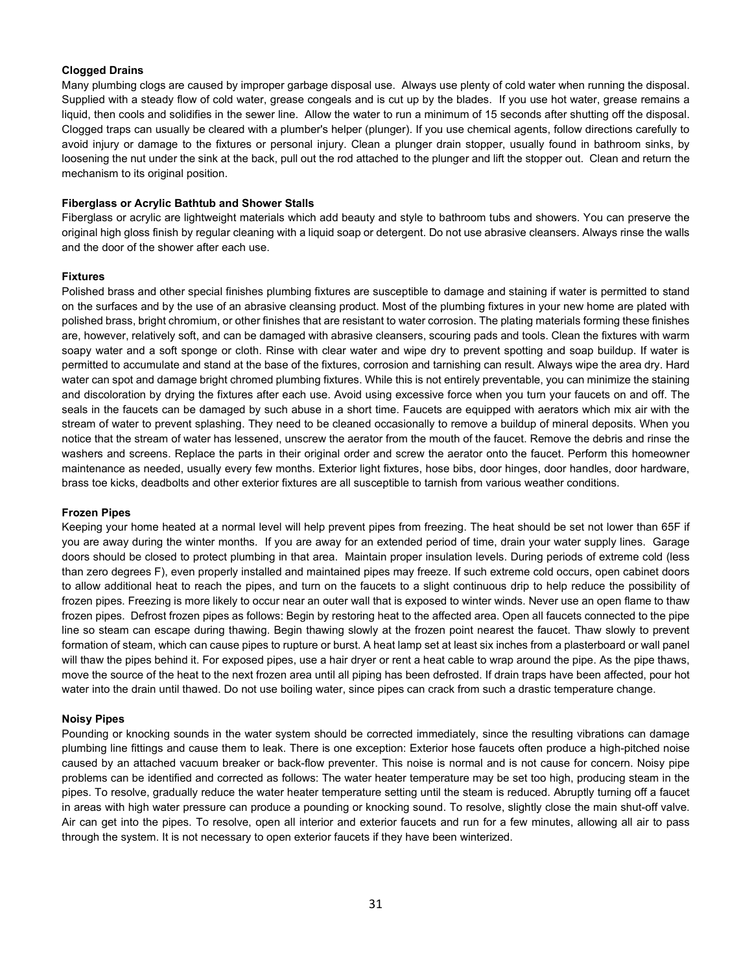### **Clogged Drains**

Many plumbing clogs are caused by improper garbage disposal use. Always use plenty of cold water when running the disposal. Supplied with a steady flow of cold water, grease congeals and is cut up by the blades. If you use hot water, grease remains a liquid, then cools and solidifies in the sewer line. Allow the water to run a minimum of 15 seconds after shutting off the disposal. Clogged traps can usually be cleared with a plumber's helper (plunger). If you use chemical agents, follow directions carefully to avoid injury or damage to the fixtures or personal injury. Clean a plunger drain stopper, usually found in bathroom sinks, by loosening the nut under the sink at the back, pull out the rod attached to the plunger and lift the stopper out. Clean and return the mechanism to its original position.

#### **Fiberglass or Acrylic Bathtub and Shower Stalls**

Fiberglass or acrylic are lightweight materials which add beauty and style to bathroom tubs and showers. You can preserve the original high gloss finish by regular cleaning with a liquid soap or detergent. Do not use abrasive cleansers. Always rinse the walls and the door of the shower after each use.

### **Fixtures**

Polished brass and other special finishes plumbing fixtures are susceptible to damage and staining if water is permitted to stand on the surfaces and by the use of an abrasive cleansing product. Most of the plumbing fixtures in your new home are plated with polished brass, bright chromium, or other finishes that are resistant to water corrosion. The plating materials forming these finishes are, however, relatively soft, and can be damaged with abrasive cleansers, scouring pads and tools. Clean the fixtures with warm soapy water and a soft sponge or cloth. Rinse with clear water and wipe dry to prevent spotting and soap buildup. If water is permitted to accumulate and stand at the base of the fixtures, corrosion and tarnishing can result. Always wipe the area dry. Hard water can spot and damage bright chromed plumbing fixtures. While this is not entirely preventable, you can minimize the staining and discoloration by drying the fixtures after each use. Avoid using excessive force when you turn your faucets on and off. The seals in the faucets can be damaged by such abuse in a short time. Faucets are equipped with aerators which mix air with the stream of water to prevent splashing. They need to be cleaned occasionally to remove a buildup of mineral deposits. When you notice that the stream of water has lessened, unscrew the aerator from the mouth of the faucet. Remove the debris and rinse the washers and screens. Replace the parts in their original order and screw the aerator onto the faucet. Perform this homeowner maintenance as needed, usually every few months. Exterior light fixtures, hose bibs, door hinges, door handles, door hardware, brass toe kicks, deadbolts and other exterior fixtures are all susceptible to tarnish from various weather conditions.

### **Frozen Pipes**

Keeping your home heated at a normal level will help prevent pipes from freezing. The heat should be set not lower than 65F if you are away during the winter months. If you are away for an extended period of time, drain your water supply lines. Garage doors should be closed to protect plumbing in that area. Maintain proper insulation levels. During periods of extreme cold (less than zero degrees F), even properly installed and maintained pipes may freeze. If such extreme cold occurs, open cabinet doors to allow additional heat to reach the pipes, and turn on the faucets to a slight continuous drip to help reduce the possibility of frozen pipes. Freezing is more likely to occur near an outer wall that is exposed to winter winds. Never use an open flame to thaw frozen pipes. Defrost frozen pipes as follows: Begin by restoring heat to the affected area. Open all faucets connected to the pipe line so steam can escape during thawing. Begin thawing slowly at the frozen point nearest the faucet. Thaw slowly to prevent formation of steam, which can cause pipes to rupture or burst. A heat lamp set at least six inches from a plasterboard or wall panel will thaw the pipes behind it. For exposed pipes, use a hair dryer or rent a heat cable to wrap around the pipe. As the pipe thaws, move the source of the heat to the next frozen area until all piping has been defrosted. If drain traps have been affected, pour hot water into the drain until thawed. Do not use boiling water, since pipes can crack from such a drastic temperature change.

#### **Noisy Pipes**

Pounding or knocking sounds in the water system should be corrected immediately, since the resulting vibrations can damage plumbing line fittings and cause them to leak. There is one exception: Exterior hose faucets often produce a high-pitched noise caused by an attached vacuum breaker or back-flow preventer. This noise is normal and is not cause for concern. Noisy pipe problems can be identified and corrected as follows: The water heater temperature may be set too high, producing steam in the pipes. To resolve, gradually reduce the water heater temperature setting until the steam is reduced. Abruptly turning off a faucet in areas with high water pressure can produce a pounding or knocking sound. To resolve, slightly close the main shut-off valve. Air can get into the pipes. To resolve, open all interior and exterior faucets and run for a few minutes, allowing all air to pass through the system. It is not necessary to open exterior faucets if they have been winterized.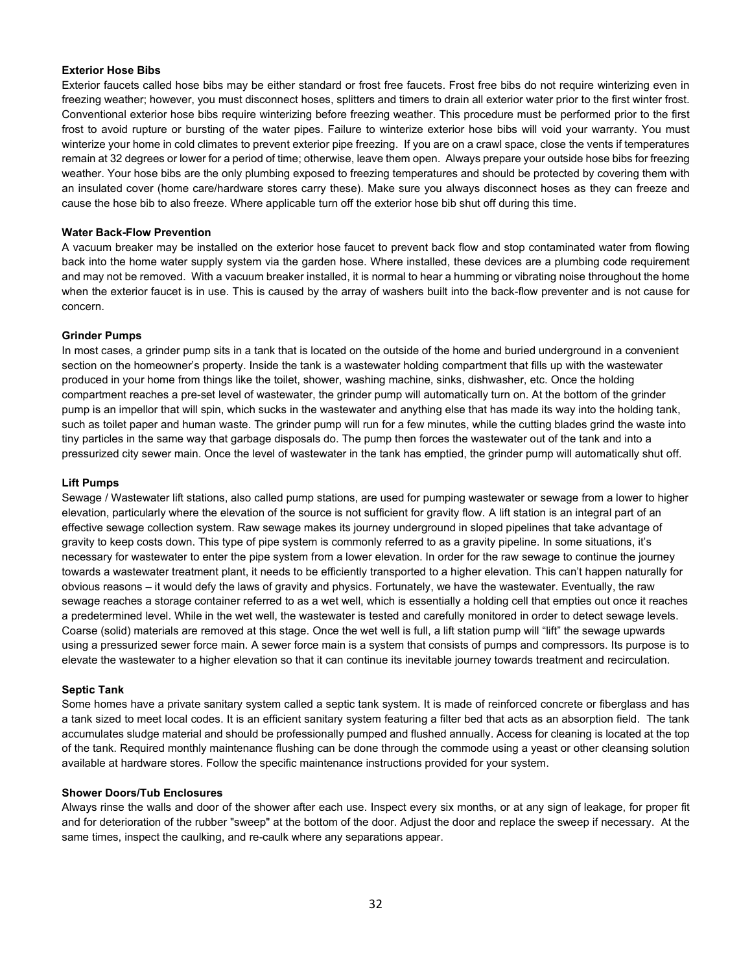#### **Exterior Hose Bibs**

Exterior faucets called hose bibs may be either standard or frost free faucets. Frost free bibs do not require winterizing even in freezing weather; however, you must disconnect hoses, splitters and timers to drain all exterior water prior to the first winter frost. Conventional exterior hose bibs require winterizing before freezing weather. This procedure must be performed prior to the first frost to avoid rupture or bursting of the water pipes. Failure to winterize exterior hose bibs will void your warranty. You must winterize your home in cold climates to prevent exterior pipe freezing. If you are on a crawl space, close the vents if temperatures remain at 32 degrees or lower for a period of time; otherwise, leave them open. Always prepare your outside hose bibs for freezing weather. Your hose bibs are the only plumbing exposed to freezing temperatures and should be protected by covering them with an insulated cover (home care/hardware stores carry these). Make sure you always disconnect hoses as they can freeze and cause the hose bib to also freeze. Where applicable turn off the exterior hose bib shut off during this time.

#### **Water Back-Flow Prevention**

A vacuum breaker may be installed on the exterior hose faucet to prevent back flow and stop contaminated water from flowing back into the home water supply system via the garden hose. Where installed, these devices are a plumbing code requirement and may not be removed. With a vacuum breaker installed, it is normal to hear a humming or vibrating noise throughout the home when the exterior faucet is in use. This is caused by the array of washers built into the back-flow preventer and is not cause for concern.

#### **Grinder Pumps**

In most cases, a grinder pump sits in a tank that is located on the outside of the home and buried underground in a convenient section on the homeowner's property. Inside the tank is a wastewater holding compartment that fills up with the wastewater produced in your home from things like the toilet, shower, washing machine, sinks, dishwasher, etc. Once the holding compartment reaches a pre-set level of wastewater, the grinder pump will automatically turn on. At the bottom of the grinder pump is an impellor that will spin, which sucks in the wastewater and anything else that has made its way into the holding tank, such as toilet paper and human waste. The grinder pump will run for a few minutes, while the cutting blades grind the waste into tiny particles in the same way that garbage disposals do. The pump then forces the wastewater out of the tank and into a pressurized city sewer main. Once the level of wastewater in the tank has emptied, the grinder pump will automatically shut off.

#### **Lift Pumps**

Sewage / Wastewater lift stations, also called pump stations, are used for pumping wastewater or sewage from a lower to higher elevation, particularly where the elevation of the source is not sufficient for gravity flow. A lift station is an integral part of an effective sewage collection system. Raw sewage makes its journey underground in sloped pipelines that take advantage of gravity to keep costs down. This type of pipe system is commonly referred to as a gravity pipeline. In some situations, it's necessary for wastewater to enter the pipe system from a lower elevation. In order for the raw sewage to continue the journey towards a wastewater treatment plant, it needs to be efficiently transported to a higher elevation. This can't happen naturally for obvious reasons – it would defy the laws of gravity and physics. Fortunately, we have the wastewater. Eventually, the raw sewage reaches a storage container referred to as a wet well, which is essentially a holding cell that empties out once it reaches a predetermined level. While in the wet well, the wastewater is tested and carefully monitored in order to detect sewage levels. Coarse (solid) materials are removed at this stage. Once the wet well is full, a lift station pump will "lift" the sewage upwards using a pressurized sewer force main. A sewer force main is a system that consists of pumps and compressors. Its purpose is to elevate the wastewater to a higher elevation so that it can continue its inevitable journey towards treatment and recirculation.

### **Septic Tank**

Some homes have a private sanitary system called a septic tank system. It is made of reinforced concrete or fiberglass and has a tank sized to meet local codes. It is an efficient sanitary system featuring a filter bed that acts as an absorption field. The tank accumulates sludge material and should be professionally pumped and flushed annually. Access for cleaning is located at the top of the tank. Required monthly maintenance flushing can be done through the commode using a yeast or other cleansing solution available at hardware stores. Follow the specific maintenance instructions provided for your system.

#### **Shower Doors/Tub Enclosures**

Always rinse the walls and door of the shower after each use. Inspect every six months, or at any sign of leakage, for proper fit and for deterioration of the rubber "sweep" at the bottom of the door. Adjust the door and replace the sweep if necessary. At the same times, inspect the caulking, and re-caulk where any separations appear.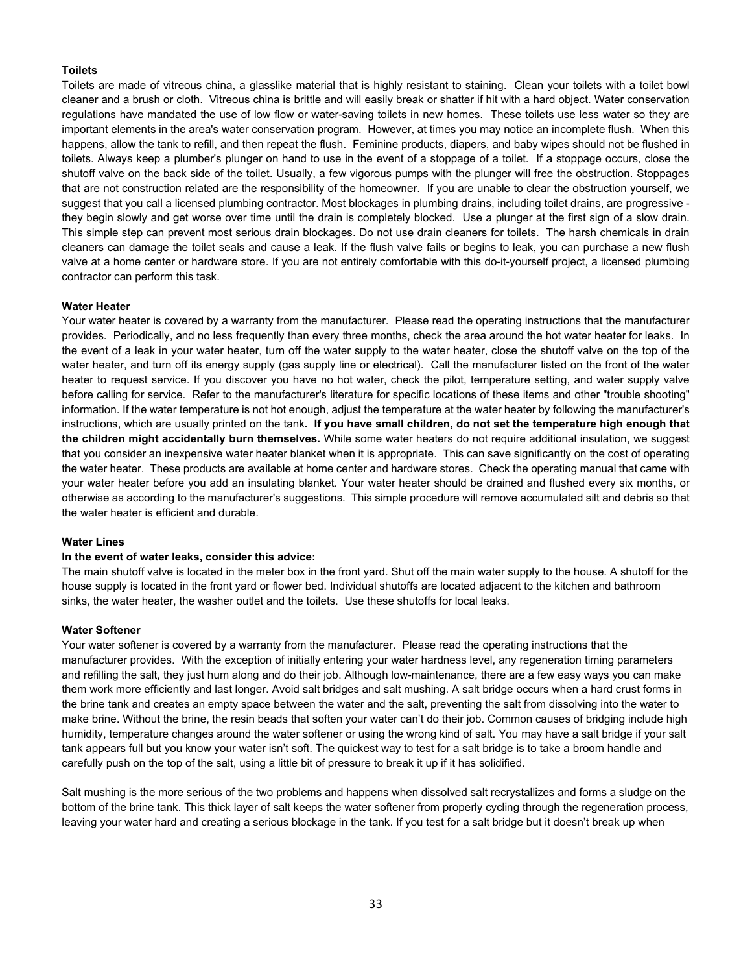### **Toilets**

Toilets are made of vitreous china, a glasslike material that is highly resistant to staining. Clean your toilets with a toilet bowl cleaner and a brush or cloth. Vitreous china is brittle and will easily break or shatter if hit with a hard object. Water conservation regulations have mandated the use of low flow or water-saving toilets in new homes. These toilets use less water so they are important elements in the area's water conservation program. However, at times you may notice an incomplete flush. When this happens, allow the tank to refill, and then repeat the flush. Feminine products, diapers, and baby wipes should not be flushed in toilets. Always keep a plumber's plunger on hand to use in the event of a stoppage of a toilet. If a stoppage occurs, close the shutoff valve on the back side of the toilet. Usually, a few vigorous pumps with the plunger will free the obstruction. Stoppages that are not construction related are the responsibility of the homeowner. If you are unable to clear the obstruction yourself, we suggest that you call a licensed plumbing contractor. Most blockages in plumbing drains, including toilet drains, are progressive they begin slowly and get worse over time until the drain is completely blocked. Use a plunger at the first sign of a slow drain. This simple step can prevent most serious drain blockages. Do not use drain cleaners for toilets. The harsh chemicals in drain cleaners can damage the toilet seals and cause a leak. If the flush valve fails or begins to leak, you can purchase a new flush valve at a home center or hardware store. If you are not entirely comfortable with this do-it-yourself project, a licensed plumbing contractor can perform this task.

#### **Water Heater**

Your water heater is covered by a warranty from the manufacturer. Please read the operating instructions that the manufacturer provides. Periodically, and no less frequently than every three months, check the area around the hot water heater for leaks. In the event of a leak in your water heater, turn off the water supply to the water heater, close the shutoff valve on the top of the water heater, and turn off its energy supply (gas supply line or electrical). Call the manufacturer listed on the front of the water heater to request service. If you discover you have no hot water, check the pilot, temperature setting, and water supply valve before calling for service. Refer to the manufacturer's literature for specific locations of these items and other "trouble shooting" information. If the water temperature is not hot enough, adjust the temperature at the water heater by following the manufacturer's instructions, which are usually printed on the tank**. If you have small children, do not set the temperature high enough that the children might accidentally burn themselves.** While some water heaters do not require additional insulation, we suggest that you consider an inexpensive water heater blanket when it is appropriate. This can save significantly on the cost of operating the water heater. These products are available at home center and hardware stores. Check the operating manual that came with your water heater before you add an insulating blanket. Your water heater should be drained and flushed every six months, or otherwise as according to the manufacturer's suggestions. This simple procedure will remove accumulated silt and debris so that the water heater is efficient and durable.

#### **Water Lines**

#### **In the event of water leaks, consider this advice:**

The main shutoff valve is located in the meter box in the front yard. Shut off the main water supply to the house. A shutoff for the house supply is located in the front yard or flower bed. Individual shutoffs are located adjacent to the kitchen and bathroom sinks, the water heater, the washer outlet and the toilets. Use these shutoffs for local leaks.

#### **Water Softener**

Your water softener is covered by a warranty from the manufacturer. Please read the operating instructions that the manufacturer provides. With the exception of initially entering your water hardness level, any regeneration timing parameters and refilling the salt, they just hum along and do their job. Although low-maintenance, there are a few easy ways you can make them work more efficiently and last longer. Avoid salt bridges and salt mushing. A salt bridge occurs when a hard crust forms in the brine tank and creates an empty space between the water and the salt, preventing the salt from dissolving into the water to make brine. Without the brine, the resin beads that soften your water can't do their job. Common causes of bridging include high humidity, temperature changes around the water softener or using the wrong kind of salt. You may have a salt bridge if your salt tank appears full but you know your water isn't soft. The quickest way to test for a salt bridge is to take a broom handle and carefully push on the top of the salt, using a little bit of pressure to break it up if it has solidified.

Salt mushing is the more serious of the two problems and happens when dissolved salt recrystallizes and forms a sludge on the bottom of the brine tank. This thick layer of salt keeps the water softener from properly cycling through the regeneration process, leaving your water hard and creating a serious blockage in the tank. If you test for a salt bridge but it doesn't break up when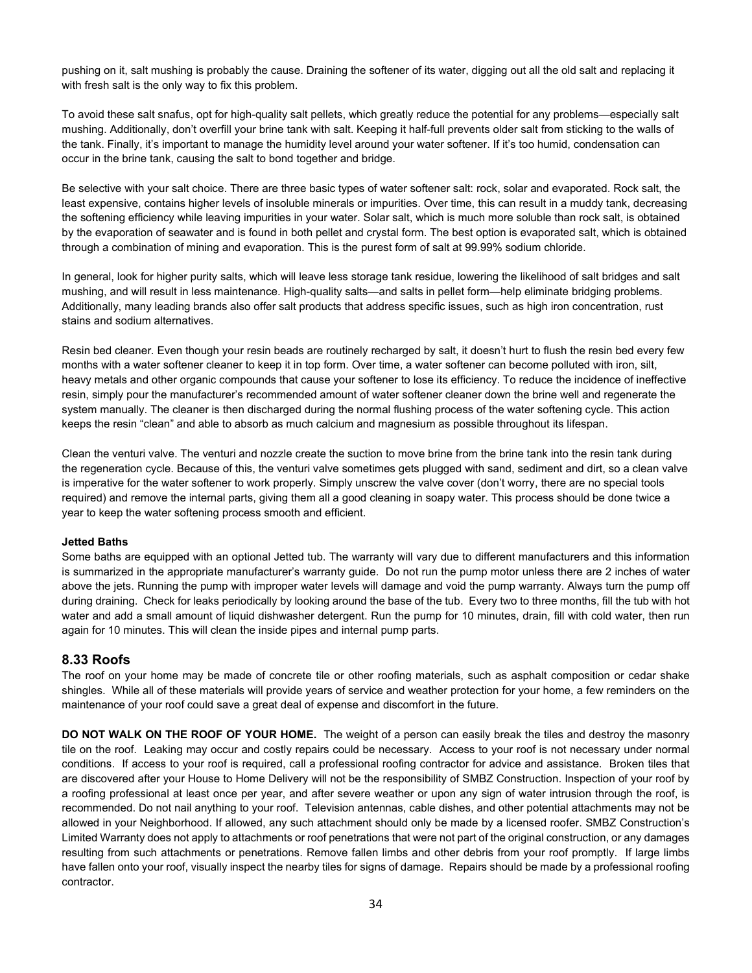pushing on it, salt mushing is probably the cause. Draining the softener of its water, digging out all the old salt and replacing it with fresh salt is the only way to fix this problem.

To avoid these salt snafus, opt for high-quality salt pellets, which greatly reduce the potential for any problems—especially salt mushing. Additionally, don't overfill your brine tank with salt. Keeping it half-full prevents older salt from sticking to the walls of the tank. Finally, it's important to manage the humidity level around your water softener. If it's too humid, condensation can occur in the brine tank, causing the salt to bond together and bridge.

Be selective with your salt choice. There are three basic types of water softener salt: rock, solar and evaporated. Rock salt, the least expensive, contains higher levels of insoluble minerals or impurities. Over time, this can result in a muddy tank, decreasing the softening efficiency while leaving impurities in your water. Solar salt, which is much more soluble than rock salt, is obtained by the evaporation of seawater and is found in both pellet and crystal form. The best option is evaporated salt, which is obtained through a combination of mining and evaporation. This is the purest form of salt at 99.99% sodium chloride.

In general, look for higher purity salts, which will leave less storage tank residue, lowering the likelihood of salt bridges and salt mushing, and will result in less maintenance. High-quality salts—and salts in pellet form—help eliminate bridging problems. Additionally, many leading brands also offer salt products that address specific issues, such as high iron concentration, rust stains and sodium alternatives.

Resin bed cleaner. Even though your resin beads are routinely recharged by salt, it doesn't hurt to flush the resin bed every few months with a water softener cleaner to keep it in top form. Over time, a water softener can become polluted with iron, silt, heavy metals and other organic compounds that cause your softener to lose its efficiency. To reduce the incidence of ineffective resin, simply pour the manufacturer's recommended amount of water softener cleaner down the brine well and regenerate the system manually. The cleaner is then discharged during the normal flushing process of the water softening cycle. This action keeps the resin "clean" and able to absorb as much calcium and magnesium as possible throughout its lifespan.

Clean the venturi valve. The venturi and nozzle create the suction to move brine from the brine tank into the resin tank during the regeneration cycle. Because of this, the venturi valve sometimes gets plugged with sand, sediment and dirt, so a clean valve is imperative for the water softener to work properly. Simply unscrew the valve cover (don't worry, there are no special tools required) and remove the internal parts, giving them all a good cleaning in soapy water. This process should be done twice a year to keep the water softening process smooth and efficient.

### **Jetted Baths**

Some baths are equipped with an optional Jetted tub. The warranty will vary due to different manufacturers and this information is summarized in the appropriate manufacturer's warranty guide. Do not run the pump motor unless there are 2 inches of water above the jets. Running the pump with improper water levels will damage and void the pump warranty. Always turn the pump off during draining. Check for leaks periodically by looking around the base of the tub. Every two to three months, fill the tub with hot water and add a small amount of liquid dishwasher detergent. Run the pump for 10 minutes, drain, fill with cold water, then run again for 10 minutes. This will clean the inside pipes and internal pump parts.

## **8.33 Roofs**

The roof on your home may be made of concrete tile or other roofing materials, such as asphalt composition or cedar shake shingles. While all of these materials will provide years of service and weather protection for your home, a few reminders on the maintenance of your roof could save a great deal of expense and discomfort in the future.

**DO NOT WALK ON THE ROOF OF YOUR HOME.** The weight of a person can easily break the tiles and destroy the masonry tile on the roof. Leaking may occur and costly repairs could be necessary. Access to your roof is not necessary under normal conditions. If access to your roof is required, call a professional roofing contractor for advice and assistance. Broken tiles that are discovered after your House to Home Delivery will not be the responsibility of SMBZ Construction. Inspection of your roof by a roofing professional at least once per year, and after severe weather or upon any sign of water intrusion through the roof, is recommended. Do not nail anything to your roof. Television antennas, cable dishes, and other potential attachments may not be allowed in your Neighborhood. If allowed, any such attachment should only be made by a licensed roofer. SMBZ Construction's Limited Warranty does not apply to attachments or roof penetrations that were not part of the original construction, or any damages resulting from such attachments or penetrations. Remove fallen limbs and other debris from your roof promptly. If large limbs have fallen onto your roof, visually inspect the nearby tiles for signs of damage. Repairs should be made by a professional roofing contractor.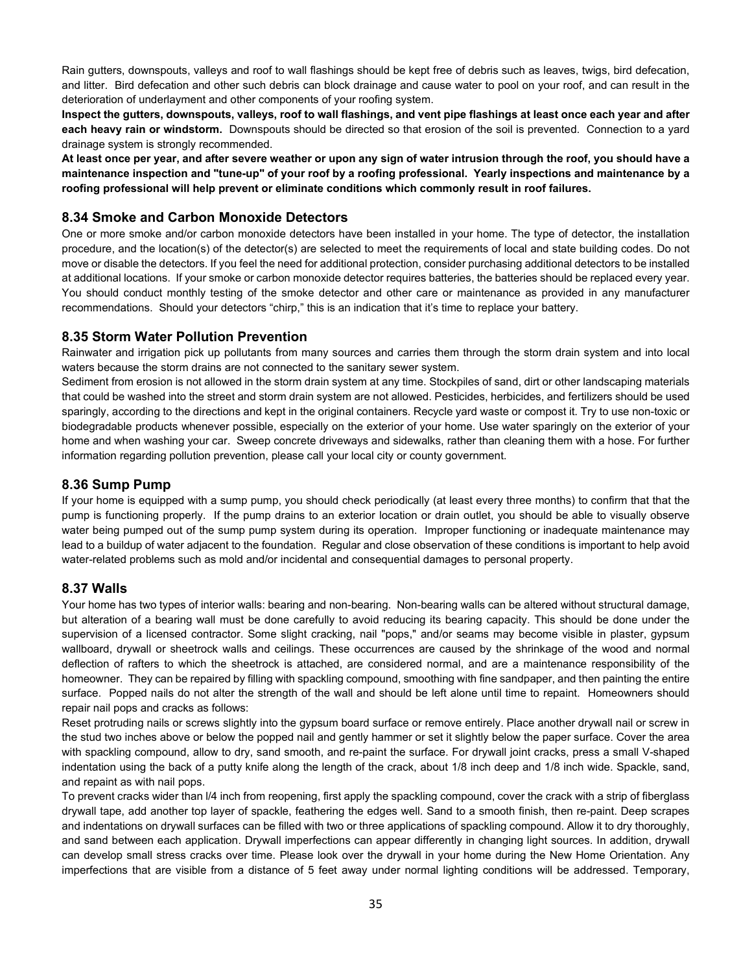Rain gutters, downspouts, valleys and roof to wall flashings should be kept free of debris such as leaves, twigs, bird defecation, and litter. Bird defecation and other such debris can block drainage and cause water to pool on your roof, and can result in the deterioration of underlayment and other components of your roofing system.

**Inspect the gutters, downspouts, valleys, roof to wall flashings, and vent pipe flashings at least once each year and after each heavy rain or windstorm.** Downspouts should be directed so that erosion of the soil is prevented. Connection to a yard drainage system is strongly recommended.

**At least once per year, and after severe weather or upon any sign of water intrusion through the roof, you should have a maintenance inspection and "tune-up" of your roof by a roofing professional. Yearly inspections and maintenance by a roofing professional will help prevent or eliminate conditions which commonly result in roof failures.**

## **8.34 Smoke and Carbon Monoxide Detectors**

One or more smoke and/or carbon monoxide detectors have been installed in your home. The type of detector, the installation procedure, and the location(s) of the detector(s) are selected to meet the requirements of local and state building codes. Do not move or disable the detectors. If you feel the need for additional protection, consider purchasing additional detectors to be installed at additional locations. If your smoke or carbon monoxide detector requires batteries, the batteries should be replaced every year. You should conduct monthly testing of the smoke detector and other care or maintenance as provided in any manufacturer recommendations. Should your detectors "chirp," this is an indication that it's time to replace your battery.

## **8.35 Storm Water Pollution Prevention**

Rainwater and irrigation pick up pollutants from many sources and carries them through the storm drain system and into local waters because the storm drains are not connected to the sanitary sewer system.

Sediment from erosion is not allowed in the storm drain system at any time. Stockpiles of sand, dirt or other landscaping materials that could be washed into the street and storm drain system are not allowed. Pesticides, herbicides, and fertilizers should be used sparingly, according to the directions and kept in the original containers. Recycle yard waste or compost it. Try to use non-toxic or biodegradable products whenever possible, especially on the exterior of your home. Use water sparingly on the exterior of your home and when washing your car. Sweep concrete driveways and sidewalks, rather than cleaning them with a hose. For further information regarding pollution prevention, please call your local city or county government.

## **8.36 Sump Pump**

If your home is equipped with a sump pump, you should check periodically (at least every three months) to confirm that that the pump is functioning properly. If the pump drains to an exterior location or drain outlet, you should be able to visually observe water being pumped out of the sump pump system during its operation. Improper functioning or inadequate maintenance may lead to a buildup of water adjacent to the foundation. Regular and close observation of these conditions is important to help avoid water-related problems such as mold and/or incidental and consequential damages to personal property.

## **8.37 Walls**

Your home has two types of interior walls: bearing and non-bearing. Non-bearing walls can be altered without structural damage, but alteration of a bearing wall must be done carefully to avoid reducing its bearing capacity. This should be done under the supervision of a licensed contractor. Some slight cracking, nail "pops," and/or seams may become visible in plaster, gypsum wallboard, drywall or sheetrock walls and ceilings. These occurrences are caused by the shrinkage of the wood and normal deflection of rafters to which the sheetrock is attached, are considered normal, and are a maintenance responsibility of the homeowner. They can be repaired by filling with spackling compound, smoothing with fine sandpaper, and then painting the entire surface. Popped nails do not alter the strength of the wall and should be left alone until time to repaint. Homeowners should repair nail pops and cracks as follows:

Reset protruding nails or screws slightly into the gypsum board surface or remove entirely. Place another drywall nail or screw in the stud two inches above or below the popped nail and gently hammer or set it slightly below the paper surface. Cover the area with spackling compound, allow to dry, sand smooth, and re-paint the surface. For drywall joint cracks, press a small V-shaped indentation using the back of a putty knife along the length of the crack, about 1/8 inch deep and 1/8 inch wide. Spackle, sand, and repaint as with nail pops.

To prevent cracks wider than l/4 inch from reopening, first apply the spackling compound, cover the crack with a strip of fiberglass drywall tape, add another top layer of spackle, feathering the edges well. Sand to a smooth finish, then re-paint. Deep scrapes and indentations on drywall surfaces can be filled with two or three applications of spackling compound. Allow it to dry thoroughly, and sand between each application. Drywall imperfections can appear differently in changing light sources. In addition, drywall can develop small stress cracks over time. Please look over the drywall in your home during the New Home Orientation. Any imperfections that are visible from a distance of 5 feet away under normal lighting conditions will be addressed. Temporary,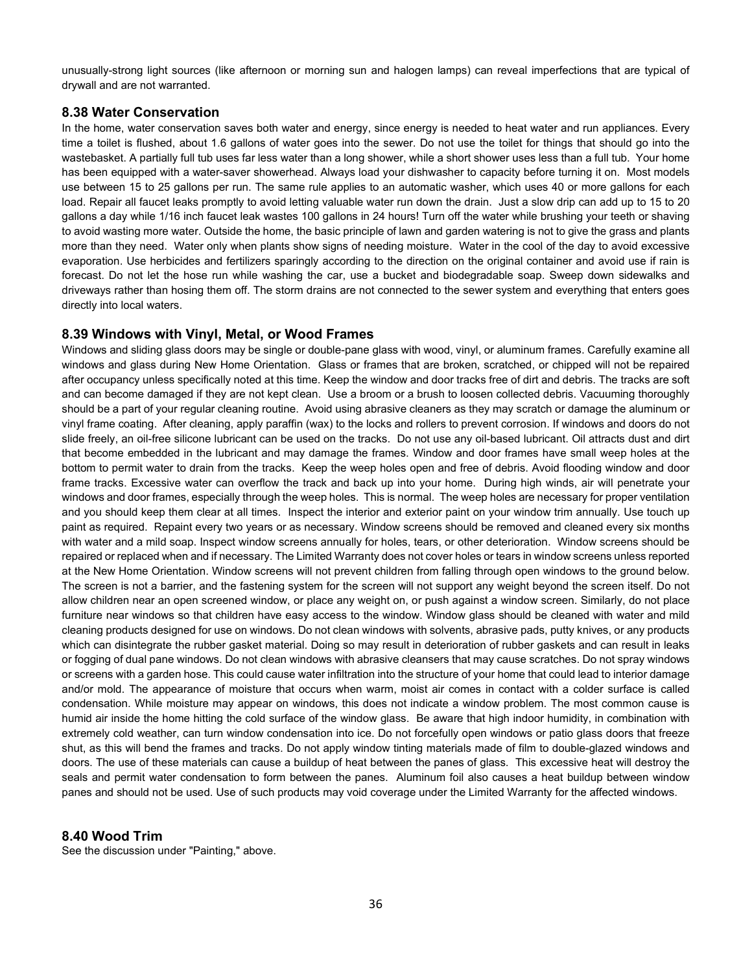unusually-strong light sources (like afternoon or morning sun and halogen lamps) can reveal imperfections that are typical of drywall and are not warranted.

## **8.38 Water Conservation**

In the home, water conservation saves both water and energy, since energy is needed to heat water and run appliances. Every time a toilet is flushed, about 1.6 gallons of water goes into the sewer. Do not use the toilet for things that should go into the wastebasket. A partially full tub uses far less water than a long shower, while a short shower uses less than a full tub. Your home has been equipped with a water-saver showerhead. Always load your dishwasher to capacity before turning it on. Most models use between 15 to 25 gallons per run. The same rule applies to an automatic washer, which uses 40 or more gallons for each load. Repair all faucet leaks promptly to avoid letting valuable water run down the drain. Just a slow drip can add up to 15 to 20 gallons a day while 1/16 inch faucet leak wastes 100 gallons in 24 hours! Turn off the water while brushing your teeth or shaving to avoid wasting more water. Outside the home, the basic principle of lawn and garden watering is not to give the grass and plants more than they need. Water only when plants show signs of needing moisture. Water in the cool of the day to avoid excessive evaporation. Use herbicides and fertilizers sparingly according to the direction on the original container and avoid use if rain is forecast. Do not let the hose run while washing the car, use a bucket and biodegradable soap. Sweep down sidewalks and driveways rather than hosing them off. The storm drains are not connected to the sewer system and everything that enters goes directly into local waters.

## **8.39 Windows with Vinyl, Metal, or Wood Frames**

Windows and sliding glass doors may be single or double-pane glass with wood, vinyl, or aluminum frames. Carefully examine all windows and glass during New Home Orientation. Glass or frames that are broken, scratched, or chipped will not be repaired after occupancy unless specifically noted at this time. Keep the window and door tracks free of dirt and debris. The tracks are soft and can become damaged if they are not kept clean. Use a broom or a brush to loosen collected debris. Vacuuming thoroughly should be a part of your regular cleaning routine. Avoid using abrasive cleaners as they may scratch or damage the aluminum or vinyl frame coating. After cleaning, apply paraffin (wax) to the locks and rollers to prevent corrosion. If windows and doors do not slide freely, an oil-free silicone lubricant can be used on the tracks. Do not use any oil-based lubricant. Oil attracts dust and dirt that become embedded in the lubricant and may damage the frames. Window and door frames have small weep holes at the bottom to permit water to drain from the tracks. Keep the weep holes open and free of debris. Avoid flooding window and door frame tracks. Excessive water can overflow the track and back up into your home. During high winds, air will penetrate your windows and door frames, especially through the weep holes. This is normal. The weep holes are necessary for proper ventilation and you should keep them clear at all times. Inspect the interior and exterior paint on your window trim annually. Use touch up paint as required. Repaint every two years or as necessary. Window screens should be removed and cleaned every six months with water and a mild soap. Inspect window screens annually for holes, tears, or other deterioration. Window screens should be repaired or replaced when and if necessary. The Limited Warranty does not cover holes or tears in window screens unless reported at the New Home Orientation. Window screens will not prevent children from falling through open windows to the ground below. The screen is not a barrier, and the fastening system for the screen will not support any weight beyond the screen itself. Do not allow children near an open screened window, or place any weight on, or push against a window screen. Similarly, do not place furniture near windows so that children have easy access to the window. Window glass should be cleaned with water and mild cleaning products designed for use on windows. Do not clean windows with solvents, abrasive pads, putty knives, or any products which can disintegrate the rubber gasket material. Doing so may result in deterioration of rubber gaskets and can result in leaks or fogging of dual pane windows. Do not clean windows with abrasive cleansers that may cause scratches. Do not spray windows or screens with a garden hose. This could cause water infiltration into the structure of your home that could lead to interior damage and/or mold. The appearance of moisture that occurs when warm, moist air comes in contact with a colder surface is called condensation. While moisture may appear on windows, this does not indicate a window problem. The most common cause is humid air inside the home hitting the cold surface of the window glass. Be aware that high indoor humidity, in combination with extremely cold weather, can turn window condensation into ice. Do not forcefully open windows or patio glass doors that freeze shut, as this will bend the frames and tracks. Do not apply window tinting materials made of film to double-glazed windows and doors. The use of these materials can cause a buildup of heat between the panes of glass. This excessive heat will destroy the seals and permit water condensation to form between the panes. Aluminum foil also causes a heat buildup between window panes and should not be used. Use of such products may void coverage under the Limited Warranty for the affected windows.

## **8.40 Wood Trim**

See the discussion under "Painting," above.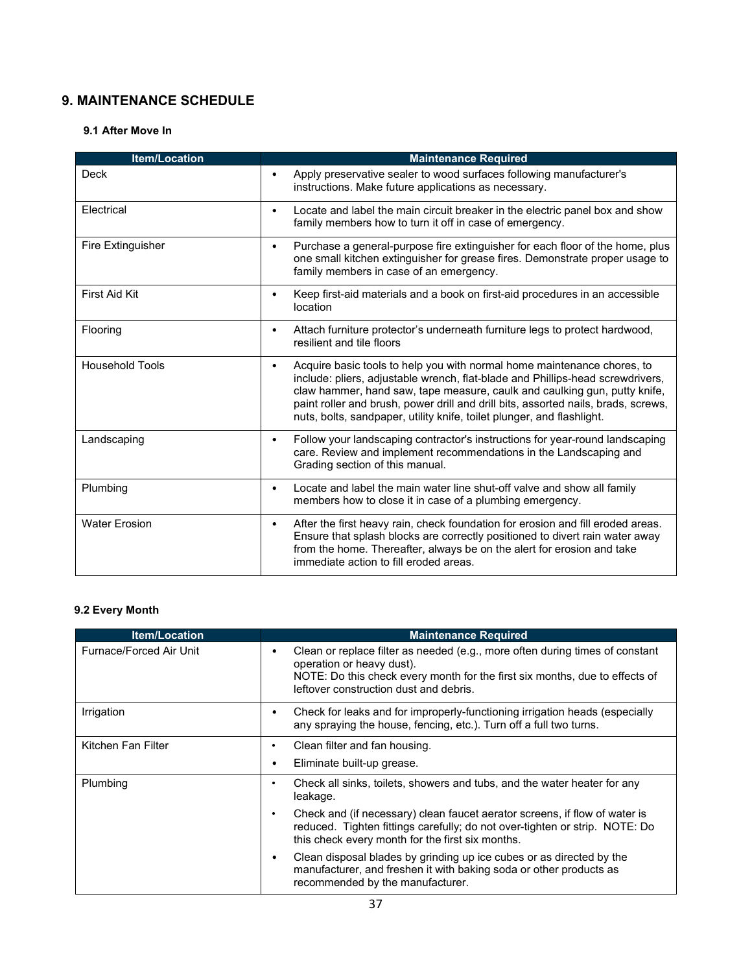# **9. MAINTENANCE SCHEDULE**

## **9.1 After Move In**

| <b>Item/Location</b>     | <b>Maintenance Required</b>                                                                                                                                                                                                                                                                                                                                                                                 |
|--------------------------|-------------------------------------------------------------------------------------------------------------------------------------------------------------------------------------------------------------------------------------------------------------------------------------------------------------------------------------------------------------------------------------------------------------|
| <b>Deck</b>              | Apply preservative sealer to wood surfaces following manufacturer's<br>$\bullet$<br>instructions. Make future applications as necessary.                                                                                                                                                                                                                                                                    |
| Electrical               | Locate and label the main circuit breaker in the electric panel box and show<br>$\bullet$<br>family members how to turn it off in case of emergency.                                                                                                                                                                                                                                                        |
| <b>Fire Extinguisher</b> | Purchase a general-purpose fire extinguisher for each floor of the home, plus<br>$\bullet$<br>one small kitchen extinguisher for grease fires. Demonstrate proper usage to<br>family members in case of an emergency.                                                                                                                                                                                       |
| First Aid Kit            | Keep first-aid materials and a book on first-aid procedures in an accessible<br>$\bullet$<br>location                                                                                                                                                                                                                                                                                                       |
| Flooring                 | Attach furniture protector's underneath furniture legs to protect hardwood,<br>$\bullet$<br>resilient and tile floors                                                                                                                                                                                                                                                                                       |
| <b>Household Tools</b>   | Acquire basic tools to help you with normal home maintenance chores, to<br>٠<br>include: pliers, adjustable wrench, flat-blade and Phillips-head screwdrivers,<br>claw hammer, hand saw, tape measure, caulk and caulking gun, putty knife,<br>paint roller and brush, power drill and drill bits, assorted nails, brads, screws,<br>nuts, bolts, sandpaper, utility knife, toilet plunger, and flashlight. |
| Landscaping              | Follow your landscaping contractor's instructions for year-round landscaping<br>$\bullet$<br>care. Review and implement recommendations in the Landscaping and<br>Grading section of this manual.                                                                                                                                                                                                           |
| Plumbing                 | Locate and label the main water line shut-off valve and show all family<br>$\bullet$<br>members how to close it in case of a plumbing emergency.                                                                                                                                                                                                                                                            |
| <b>Water Frosion</b>     | After the first heavy rain, check foundation for erosion and fill eroded areas.<br>$\bullet$<br>Ensure that splash blocks are correctly positioned to divert rain water away<br>from the home. Thereafter, always be on the alert for erosion and take<br>immediate action to fill eroded areas.                                                                                                            |

# **9.2 Every Month**

| <b>Item/Location</b>    | <b>Maintenance Required</b>                                                                                                                                                                                                        |
|-------------------------|------------------------------------------------------------------------------------------------------------------------------------------------------------------------------------------------------------------------------------|
| Furnace/Forced Air Unit | Clean or replace filter as needed (e.g., more often during times of constant<br>operation or heavy dust).<br>NOTE: Do this check every month for the first six months, due to effects of<br>leftover construction dust and debris. |
| Irrigation              | Check for leaks and for improperly-functioning irrigation heads (especially<br>any spraying the house, fencing, etc.). Turn off a full two turns.                                                                                  |
| Kitchen Fan Filter      | Clean filter and fan housing.<br>٠                                                                                                                                                                                                 |
|                         | Eliminate built-up grease.                                                                                                                                                                                                         |
| Plumbing                | Check all sinks, toilets, showers and tubs, and the water heater for any<br>leakage.                                                                                                                                               |
|                         | Check and (if necessary) clean faucet aerator screens, if flow of water is<br>reduced. Tighten fittings carefully; do not over-tighten or strip. NOTE: Do<br>this check every month for the first six months.                      |
|                         | Clean disposal blades by grinding up ice cubes or as directed by the<br>manufacturer, and freshen it with baking soda or other products as<br>recommended by the manufacturer.                                                     |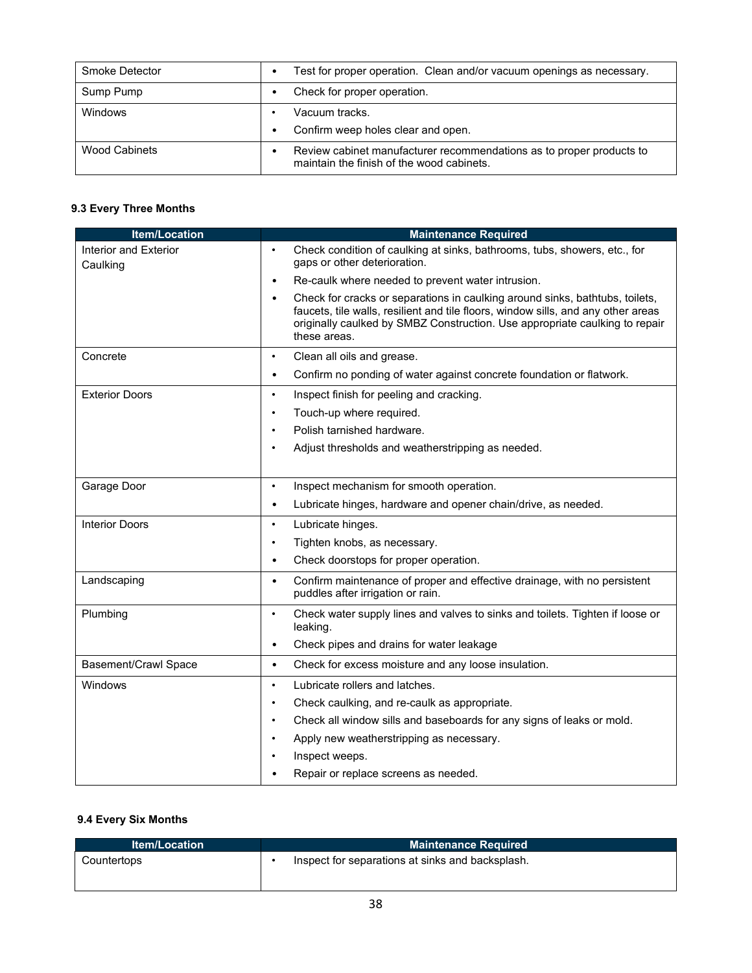| Smoke Detector       | Test for proper operation. Clean and/or vacuum openings as necessary.                                             |
|----------------------|-------------------------------------------------------------------------------------------------------------------|
| Sump Pump            | Check for proper operation.                                                                                       |
| Windows              | Vacuum tracks.                                                                                                    |
|                      | Confirm weep holes clear and open.                                                                                |
| <b>Wood Cabinets</b> | Review cabinet manufacturer recommendations as to proper products to<br>maintain the finish of the wood cabinets. |

# **9.3 Every Three Months**

| <b>Item/Location</b>              | <b>Maintenance Required</b>                                                                                                                                                                                                                                                   |
|-----------------------------------|-------------------------------------------------------------------------------------------------------------------------------------------------------------------------------------------------------------------------------------------------------------------------------|
| Interior and Exterior<br>Caulking | Check condition of caulking at sinks, bathrooms, tubs, showers, etc., for<br>$\bullet$<br>gaps or other deterioration.                                                                                                                                                        |
|                                   | Re-caulk where needed to prevent water intrusion.<br>$\bullet$                                                                                                                                                                                                                |
|                                   | Check for cracks or separations in caulking around sinks, bathtubs, toilets,<br>$\bullet$<br>faucets, tile walls, resilient and tile floors, window sills, and any other areas<br>originally caulked by SMBZ Construction. Use appropriate caulking to repair<br>these areas. |
| Concrete                          | Clean all oils and grease.<br>$\bullet$                                                                                                                                                                                                                                       |
|                                   | Confirm no ponding of water against concrete foundation or flatwork.<br>$\bullet$                                                                                                                                                                                             |
| <b>Exterior Doors</b>             | Inspect finish for peeling and cracking.<br>$\bullet$                                                                                                                                                                                                                         |
|                                   | Touch-up where required.                                                                                                                                                                                                                                                      |
|                                   | Polish tarnished hardware.                                                                                                                                                                                                                                                    |
|                                   | Adjust thresholds and weatherstripping as needed.                                                                                                                                                                                                                             |
| Garage Door                       | Inspect mechanism for smooth operation.<br>$\bullet$                                                                                                                                                                                                                          |
|                                   | Lubricate hinges, hardware and opener chain/drive, as needed.<br>$\bullet$                                                                                                                                                                                                    |
| <b>Interior Doors</b>             | Lubricate hinges.<br>$\bullet$                                                                                                                                                                                                                                                |
|                                   | Tighten knobs, as necessary.<br>$\bullet$                                                                                                                                                                                                                                     |
|                                   | Check doorstops for proper operation.<br>$\bullet$                                                                                                                                                                                                                            |
| Landscaping                       | Confirm maintenance of proper and effective drainage, with no persistent<br>$\bullet$<br>puddles after irrigation or rain.                                                                                                                                                    |
| Plumbing                          | Check water supply lines and valves to sinks and toilets. Tighten if loose or<br>$\bullet$<br>leaking.                                                                                                                                                                        |
|                                   | Check pipes and drains for water leakage<br>$\bullet$                                                                                                                                                                                                                         |
| <b>Basement/Crawl Space</b>       | Check for excess moisture and any loose insulation.<br>$\bullet$                                                                                                                                                                                                              |
| Windows                           | Lubricate rollers and latches.<br>$\bullet$                                                                                                                                                                                                                                   |
|                                   | Check caulking, and re-caulk as appropriate.<br>$\bullet$                                                                                                                                                                                                                     |
|                                   | Check all window sills and baseboards for any signs of leaks or mold.<br>$\bullet$                                                                                                                                                                                            |
|                                   | Apply new weatherstripping as necessary.                                                                                                                                                                                                                                      |
|                                   | Inspect weeps.                                                                                                                                                                                                                                                                |
|                                   | Repair or replace screens as needed.                                                                                                                                                                                                                                          |

## **9.4 Every Six Months**

| <b>Item/Location</b> | <b>Maintenance Required</b>                      |
|----------------------|--------------------------------------------------|
| Countertops          | Inspect for separations at sinks and backsplash. |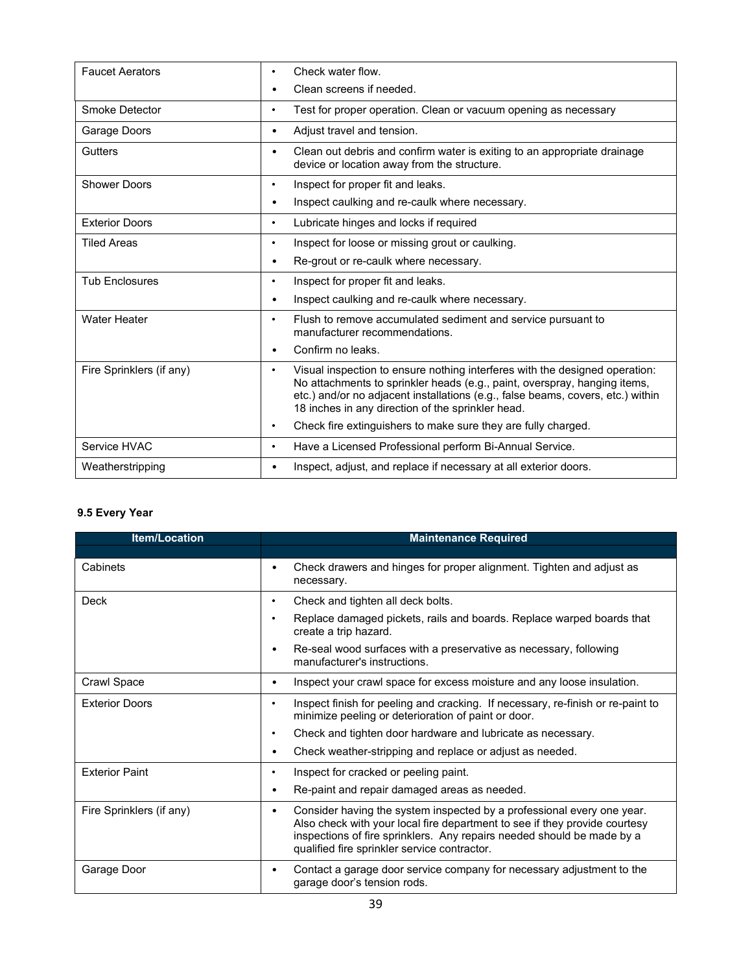| <b>Faucet Aerators</b>   | Check water flow.<br>٠                                                                                                                                                                                                                                                                                        |
|--------------------------|---------------------------------------------------------------------------------------------------------------------------------------------------------------------------------------------------------------------------------------------------------------------------------------------------------------|
|                          | Clean screens if needed.<br>$\bullet$                                                                                                                                                                                                                                                                         |
| Smoke Detector           | Test for proper operation. Clean or vacuum opening as necessary<br>$\bullet$                                                                                                                                                                                                                                  |
| Garage Doors             | Adjust travel and tension.<br>$\bullet$                                                                                                                                                                                                                                                                       |
| Gutters                  | Clean out debris and confirm water is exiting to an appropriate drainage<br>٠<br>device or location away from the structure.                                                                                                                                                                                  |
| <b>Shower Doors</b>      | Inspect for proper fit and leaks.<br>٠                                                                                                                                                                                                                                                                        |
|                          | Inspect caulking and re-caulk where necessary.<br>٠                                                                                                                                                                                                                                                           |
| <b>Exterior Doors</b>    | Lubricate hinges and locks if required<br>٠                                                                                                                                                                                                                                                                   |
| <b>Tiled Areas</b>       | Inspect for loose or missing grout or caulking.<br>$\bullet$                                                                                                                                                                                                                                                  |
|                          | Re-grout or re-caulk where necessary.<br>٠                                                                                                                                                                                                                                                                    |
| <b>Tub Enclosures</b>    | Inspect for proper fit and leaks.<br>$\bullet$                                                                                                                                                                                                                                                                |
|                          | Inspect caulking and re-caulk where necessary.<br>٠                                                                                                                                                                                                                                                           |
| <b>Water Heater</b>      | Flush to remove accumulated sediment and service pursuant to<br>$\bullet$<br>manufacturer recommendations.                                                                                                                                                                                                    |
|                          | Confirm no leaks.<br>$\bullet$                                                                                                                                                                                                                                                                                |
| Fire Sprinklers (if any) | Visual inspection to ensure nothing interferes with the designed operation:<br>$\bullet$<br>No attachments to sprinkler heads (e.g., paint, overspray, hanging items,<br>etc.) and/or no adjacent installations (e.g., false beams, covers, etc.) within<br>18 inches in any direction of the sprinkler head. |
|                          | Check fire extinguishers to make sure they are fully charged.<br>$\bullet$                                                                                                                                                                                                                                    |
| Service HVAC             | Have a Licensed Professional perform Bi-Annual Service.<br>$\bullet$                                                                                                                                                                                                                                          |
| Weatherstripping         | Inspect, adjust, and replace if necessary at all exterior doors.<br>$\bullet$                                                                                                                                                                                                                                 |

# **9.5 Every Year**

| <b>Item/Location</b>     | <b>Maintenance Required</b>                                                                                                                                                                                                                                                         |
|--------------------------|-------------------------------------------------------------------------------------------------------------------------------------------------------------------------------------------------------------------------------------------------------------------------------------|
|                          |                                                                                                                                                                                                                                                                                     |
| Cabinets                 | Check drawers and hinges for proper alignment. Tighten and adjust as<br>٠<br>necessary.                                                                                                                                                                                             |
| Deck                     | Check and tighten all deck bolts.<br>٠                                                                                                                                                                                                                                              |
|                          | Replace damaged pickets, rails and boards. Replace warped boards that<br>create a trip hazard.                                                                                                                                                                                      |
|                          | Re-seal wood surfaces with a preservative as necessary, following<br>٠<br>manufacturer's instructions.                                                                                                                                                                              |
| Crawl Space              | Inspect your crawl space for excess moisture and any loose insulation.<br>٠                                                                                                                                                                                                         |
| <b>Exterior Doors</b>    | Inspect finish for peeling and cracking. If necessary, re-finish or re-paint to<br>٠<br>minimize peeling or deterioration of paint or door.                                                                                                                                         |
|                          | Check and tighten door hardware and lubricate as necessary.<br>$\bullet$                                                                                                                                                                                                            |
|                          | Check weather-stripping and replace or adjust as needed.<br>٠                                                                                                                                                                                                                       |
| <b>Fxterior Paint</b>    | Inspect for cracked or peeling paint.<br>٠                                                                                                                                                                                                                                          |
|                          | Re-paint and repair damaged areas as needed.<br>٠                                                                                                                                                                                                                                   |
| Fire Sprinklers (if any) | Consider having the system inspected by a professional every one year.<br>٠<br>Also check with your local fire department to see if they provide courtesy<br>inspections of fire sprinklers. Any repairs needed should be made by a<br>qualified fire sprinkler service contractor. |
| Garage Door              | Contact a garage door service company for necessary adjustment to the<br>٠<br>garage door's tension rods.                                                                                                                                                                           |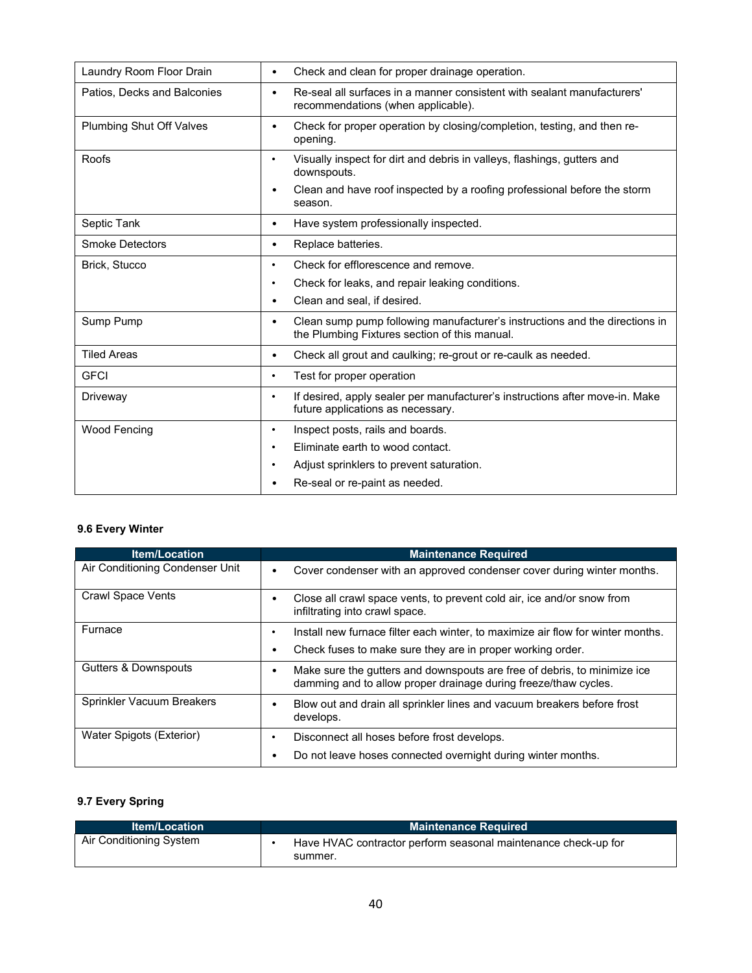| Laundry Room Floor Drain        | Check and clean for proper drainage operation.<br>$\bullet$                                                                               |
|---------------------------------|-------------------------------------------------------------------------------------------------------------------------------------------|
| Patios, Decks and Balconies     | Re-seal all surfaces in a manner consistent with sealant manufacturers'<br>$\bullet$<br>recommendations (when applicable).                |
| <b>Plumbing Shut Off Valves</b> | Check for proper operation by closing/completion, testing, and then re-<br>$\bullet$<br>opening.                                          |
| Roofs                           | Visually inspect for dirt and debris in valleys, flashings, gutters and<br>٠<br>downspouts.                                               |
|                                 | Clean and have roof inspected by a roofing professional before the storm<br>٠<br>season.                                                  |
| Septic Tank                     | Have system professionally inspected.<br>$\bullet$                                                                                        |
| <b>Smoke Detectors</b>          | Replace batteries.<br>$\bullet$                                                                                                           |
| Brick, Stucco                   | Check for efflorescence and remove.<br>٠                                                                                                  |
|                                 | Check for leaks, and repair leaking conditions.<br>٠                                                                                      |
|                                 | Clean and seal, if desired.<br>٠                                                                                                          |
| Sump Pump                       | Clean sump pump following manufacturer's instructions and the directions in<br>$\bullet$<br>the Plumbing Fixtures section of this manual. |
| <b>Tiled Areas</b>              | Check all grout and caulking; re-grout or re-caulk as needed.<br>$\bullet$                                                                |
| <b>GFCI</b>                     | Test for proper operation<br>$\bullet$                                                                                                    |
| Driveway                        | If desired, apply sealer per manufacturer's instructions after move-in. Make<br>$\bullet$<br>future applications as necessary.            |
| <b>Wood Fencing</b>             | Inspect posts, rails and boards.<br>٠                                                                                                     |
|                                 | Eliminate earth to wood contact.<br>$\bullet$                                                                                             |
|                                 | Adjust sprinklers to prevent saturation.                                                                                                  |
|                                 | Re-seal or re-paint as needed.                                                                                                            |

# **9.6 Every Winter**

| <b>Item/Location</b>            | <b>Maintenance Required</b>                                                                                                                 |
|---------------------------------|---------------------------------------------------------------------------------------------------------------------------------------------|
| Air Conditioning Condenser Unit | Cover condenser with an approved condenser cover during winter months.<br>٠                                                                 |
| Crawl Space Vents               | Close all crawl space vents, to prevent cold air, ice and/or snow from<br>infiltrating into crawl space.                                    |
| Furnace                         | Install new furnace filter each winter, to maximize air flow for winter months.                                                             |
|                                 | Check fuses to make sure they are in proper working order.                                                                                  |
| Gutters & Downspouts            | Make sure the gutters and downspouts are free of debris, to minimize ice<br>damming and to allow proper drainage during freeze/thaw cycles. |
| Sprinkler Vacuum Breakers       | Blow out and drain all sprinkler lines and vacuum breakers before frost<br>develops.                                                        |
| Water Spigots (Exterior)        | Disconnect all hoses before frost develops.                                                                                                 |
|                                 | Do not leave hoses connected overnight during winter months.                                                                                |

# **9.7 Every Spring**

|                         | <b>Maintenance Required</b>                                               |
|-------------------------|---------------------------------------------------------------------------|
| Air Conditioning System | Have HVAC contractor perform seasonal maintenance check-up for<br>summer. |